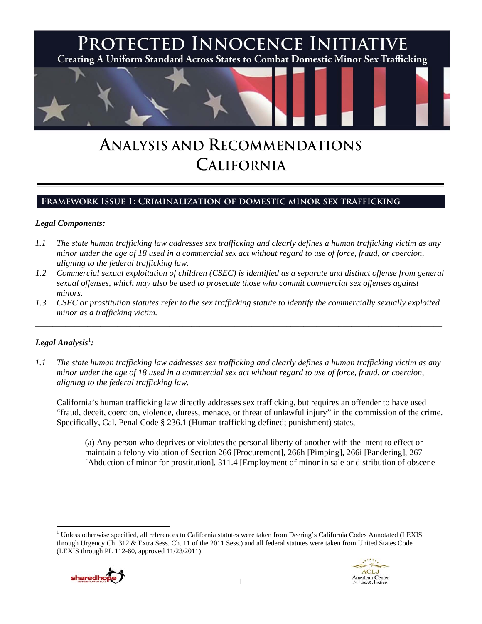

# **ANALYSIS AND RECOMMENDATIONS CALIFORNIA**

## **Framework Issue 1: Criminalization of domestic minor sex trafficking**

## *Legal Components:*

- *1.1 The state human trafficking law addresses sex trafficking and clearly defines a human trafficking victim as any minor under the age of 18 used in a commercial sex act without regard to use of force, fraud, or coercion, aligning to the federal trafficking law.*
- *1.2 Commercial sexual exploitation of children (CSEC) is identified as a separate and distinct offense from general sexual offenses, which may also be used to prosecute those who commit commercial sex offenses against minors.*
- *1.3 CSEC or prostitution statutes refer to the sex trafficking statute to identify the commercially sexually exploited minor as a trafficking victim.*

\_\_\_\_\_\_\_\_\_\_\_\_\_\_\_\_\_\_\_\_\_\_\_\_\_\_\_\_\_\_\_\_\_\_\_\_\_\_\_\_\_\_\_\_\_\_\_\_\_\_\_\_\_\_\_\_\_\_\_\_\_\_\_\_\_\_\_\_\_\_\_\_\_\_\_\_\_\_\_\_\_\_\_\_\_\_\_\_\_\_\_\_\_\_

## $\bm{\mathit{Legal\, Analysis}^{\text{!}}:}$

*1.1 The state human trafficking law addresses sex trafficking and clearly defines a human trafficking victim as any minor under the age of 18 used in a commercial sex act without regard to use of force, fraud, or coercion, aligning to the federal trafficking law.* 

California's human trafficking law directly addresses sex trafficking, but requires an offender to have used "fraud, deceit, coercion, violence, duress, menace, or threat of unlawful injury" in the commission of the crime. Specifically, Cal. Penal Code § 236.1 (Human trafficking defined; punishment) states,

(a) Any person who deprives or violates the personal liberty of another with the intent to effect or maintain a felony violation of Section 266 [Procurement], 266h [Pimping], 266i [Pandering], 267 [Abduction of minor for prostitution], 311.4 [Employment of minor in sale or distribution of obscene

 <sup>1</sup> Unless otherwise specified, all references to California statutes were taken from Deering's California Codes Annotated (LEXIS through Urgency Ch. 312 & Extra Sess. Ch. 11 of the 2011 Sess.) and all federal statutes were taken from United States Code (LEXIS through PL 112-60, approved 11/23/2011).



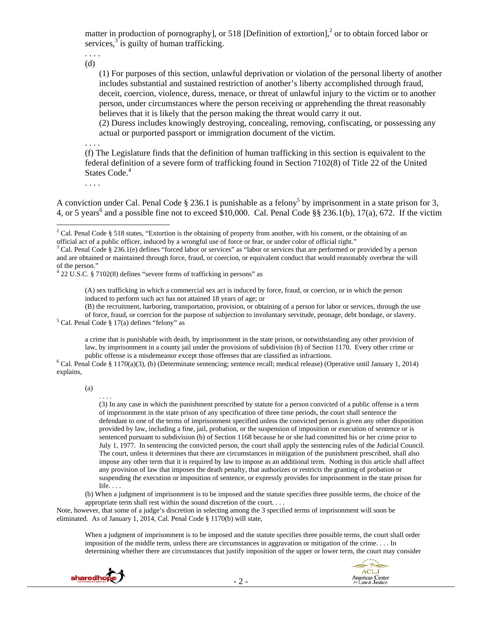matter in production of pornography], or 518 [Definition of extortion],<sup>2</sup> or to obtain forced labor or services, $3$  is guilty of human trafficking.

. . . . (d)

> (1) For purposes of this section, unlawful deprivation or violation of the personal liberty of another includes substantial and sustained restriction of another's liberty accomplished through fraud, deceit, coercion, violence, duress, menace, or threat of unlawful injury to the victim or to another person, under circumstances where the person receiving or apprehending the threat reasonably believes that it is likely that the person making the threat would carry it out.

(2) Duress includes knowingly destroying, concealing, removing, confiscating, or possessing any actual or purported passport or immigration document of the victim.

. . . .

(f) The Legislature finds that the definition of human trafficking in this section is equivalent to the federal definition of a severe form of trafficking found in Section 7102(8) of Title 22 of the United States Code.<sup>4</sup>

. . . .

A conviction under Cal. Penal Code  $\S 236.1$  is punishable as a felony<sup>5</sup> by imprisonment in a state prison for 3, 4, or 5 years<sup>6</sup> and a possible fine not to exceed \$10,000. Cal. Penal Code  $\S$ § 236.1(b), 17(a), 672. If the victim

4 22 U.S.C. § 7102(8) defines "severe forms of trafficking in persons" as

(A) sex trafficking in which a commercial sex act is induced by force, fraud, or coercion, or in which the person induced to perform such act has not attained 18 years of age; or

(B) the recruitment, harboring, transportation, provision, or obtaining of a person for labor or services, through the use of force, fraud, or coercion for the purpose of subjection to involuntary servitude, peonage, debt bondage, or slavery. 5  $5$  Cal. Penal Code § 17(a) defines "felony" as

a crime that is punishable with death, by imprisonment in the state prison, or notwithstanding any other provision of law, by imprisonment in a county jail under the provisions of subdivision (h) of Section 1170. Every other crime or public offense is a misdemeanor except those offenses that are classified as infractions. 6

 $6$  Cal. Penal Code § 1170(a)(3), (b) (Determinate sentencing; sentence recall; medical release) (Operative until January 1, 2014) explains,

(a)

. . . .

(3) In any case in which the punishment prescribed by statute for a person convicted of a public offense is a term of imprisonment in the state prison of any specification of three time periods, the court shall sentence the defendant to one of the terms of imprisonment specified unless the convicted person is given any other disposition provided by law, including a fine, jail, probation, or the suspension of imposition or execution of sentence or is sentenced pursuant to subdivision (b) of Section 1168 because he or she had committed his or her crime prior to July 1, 1977. In sentencing the convicted person, the court shall apply the sentencing rules of the Judicial Council. The court, unless it determines that there are circumstances in mitigation of the punishment prescribed, shall also impose any other term that it is required by law to impose as an additional term. Nothing in this article shall affect any provision of law that imposes the death penalty, that authorizes or restricts the granting of probation or suspending the execution or imposition of sentence, or expressly provides for imprisonment in the state prison for life. . . .

(b) When a judgment of imprisonment is to be imposed and the statute specifies three possible terms, the choice of the appropriate term shall rest within the sound discretion of the court. . . .

Note, however, that some of a judge's discretion in selecting among the 3 specified terms of imprisonment will soon be eliminated. As of January 1, 2014, Cal. Penal Code § 1170(b) will state,

When a judgment of imprisonment is to be imposed and the statute specifies three possible terms, the court shall order imposition of the middle term, unless there are circumstances in aggravation or mitigation of the crime. . . . In determining whether there are circumstances that justify imposition of the upper or lower term, the court may consider





<sup>&</sup>lt;sup>2</sup> Cal. Penal Code § 518 states, "Extortion is the obtaining of property from another, with his consent, or the obtaining of an official act of a public officer, induced by a wrongful use of force or fear, or under color of official right." 3

<sup>&</sup>lt;sup>3</sup> Cal. Penal Code § 236.1(e) defines "forced labor or services" as "labor or services that are performed or provided by a person and are obtained or maintained through force, fraud, or coercion, or equivalent conduct that would reasonably overbear the will of the person."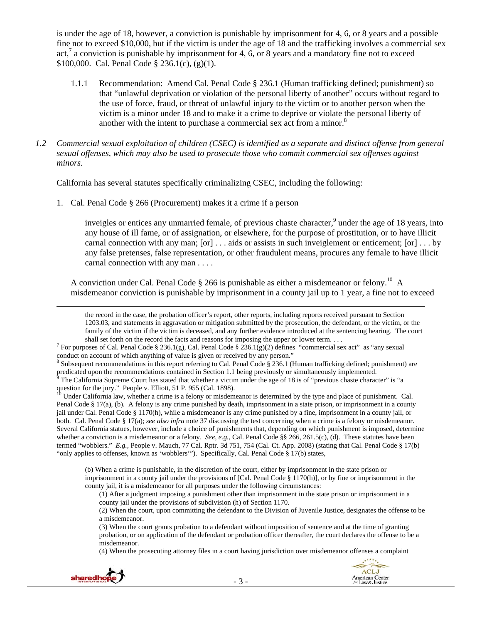is under the age of 18, however, a conviction is punishable by imprisonment for 4, 6, or 8 years and a possible fine not to exceed \$10,000, but if the victim is under the age of 18 and the trafficking involves a commercial sex act,<sup>7</sup> a conviction is punishable by imprisonment for 4, 6, or 8 years and a mandatory fine not to exceed \$100,000. Cal. Penal Code § 236.1(c), (g)(1).

- 1.1.1 Recommendation: Amend Cal. Penal Code § 236.1 (Human trafficking defined; punishment) so that "unlawful deprivation or violation of the personal liberty of another" occurs without regard to the use of force, fraud, or threat of unlawful injury to the victim or to another person when the victim is a minor under 18 and to make it a crime to deprive or violate the personal liberty of another with the intent to purchase a commercial sex act from a minor. $8<sup>8</sup>$
- *1.2 Commercial sexual exploitation of children (CSEC) is identified as a separate and distinct offense from general sexual offenses, which may also be used to prosecute those who commit commercial sex offenses against minors.*

California has several statutes specifically criminalizing CSEC, including the following:

1. Cal. Penal Code § 266 (Procurement) makes it a crime if a person

inveigles or entices any unmarried female, of previous chaste character,<sup>9</sup> under the age of 18 years, into any house of ill fame, or of assignation, or elsewhere, for the purpose of prostitution, or to have illicit carnal connection with any man;  $[\text{or}] \dots$  aids or assists in such inveiglement or enticement;  $[\text{or}] \dots$  by any false pretenses, false representation, or other fraudulent means, procures any female to have illicit carnal connection with any man . . . .

A conviction under Cal. Penal Code  $\S 266$  is punishable as either a misdemeanor or felony.<sup>10</sup> A misdemeanor conviction is punishable by imprisonment in a county jail up to 1 year, a fine not to exceed

<u> 1989 - Johann Stein, marwolaethau a gweledydd a ganrad y ganrad y ganrad y ganrad y ganrad y ganrad y ganrad</u>

the record in the case, the probation officer's report, other reports, including reports received pursuant to Section 1203.03, and statements in aggravation or mitigation submitted by the prosecution, the defendant, or the victim, or the family of the victim if the victim is deceased, and any further evidence introduced at the sentencing hearing. The court shall set forth on the record the facts and reasons for imposing the upper or lower term. . . .

<sup>7</sup> For purposes of Cal. Penal Code § 236.1(g), Cal. Penal Code § 236.1(g)(2) defines "commercial sex act" as "any sexual conduct on account of which anything of value is given or received by any person."

 $8$  Subsequent recommendations in this report referring to Cal. Penal Code  $\S$  236.1 (Human trafficking defined; punishment) are predicated upon the recommendations contained in Section 1.1 being previously or simultaneously implemented.<br><sup>9</sup> The California Supreme Court has stated that whether a victim under the age of 18 is of "previous chaste char

10 Under California law, whether a crime is a felony or misdemeanor is determined by the type and place of punishment. Cal. Penal Code § 17(a), (b). A felony is any crime punished by death, imprisonment in a state prison, or imprisonment in a county jail under Cal. Penal Code § 1170(h), while a misdemeanor is any crime punished by a fine, imprisonment in a county jail, or both. Cal. Penal Code § 17(a); *see also infra* note 37 discussing the test concerning when a crime is a felony or misdemeanor. Several California statues, however, include a choice of punishments that, depending on which punishment is imposed, determine whether a conviction is a misdemeanor or a felony. *See, e.g.,* Cal. Penal Code §§ 266, 261.5(c), (d). These statutes have been termed "wobblers." *E.g.,* People v. Mauch, 77 Cal. Rptr. 3d 751, 754 (Cal. Ct. App. 2008) (stating that Cal. Penal Code § 17(b) "only applies to offenses, known as 'wobblers'"). Specifically, Cal. Penal Code § 17(b) states,

(b) When a crime is punishable, in the discretion of the court, either by imprisonment in the state prison or imprisonment in a county jail under the provisions of [Cal. Penal Code § 1170(h)], or by fine or imprisonment in the county jail, it is a misdemeanor for all purposes under the following circumstances:

(1) After a judgment imposing a punishment other than imprisonment in the state prison or imprisonment in a county jail under the provisions of subdivision (h) of Section 1170.

(2) When the court, upon committing the defendant to the Division of Juvenile Justice, designates the offense to be a misdemeanor.

(3) When the court grants probation to a defendant without imposition of sentence and at the time of granting probation, or on application of the defendant or probation officer thereafter, the court declares the offense to be a misdemeanor.

(4) When the prosecuting attorney files in a court having jurisdiction over misdemeanor offenses a complaint



question for the jury." People v. Elliott, 51 P. 955 (Cal. 1898).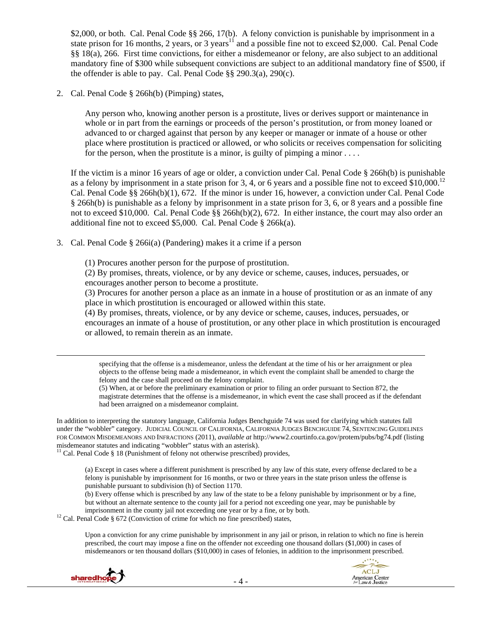\$2,000, or both. Cal. Penal Code §§ 266, 17(b). A felony conviction is punishable by imprisonment in a state prison for 16 months, 2 years, or 3 years<sup>11</sup> and a possible fine not to exceed \$2,000. Cal. Penal Code §§ 18(a), 266. First time convictions, for either a misdemeanor or felony, are also subject to an additional mandatory fine of \$300 while subsequent convictions are subject to an additional mandatory fine of \$500, if the offender is able to pay. Cal. Penal Code §§ 290.3(a), 290(c).

2. Cal. Penal Code § 266h(b) (Pimping) states,

Any person who, knowing another person is a prostitute, lives or derives support or maintenance in whole or in part from the earnings or proceeds of the person's prostitution, or from money loaned or advanced to or charged against that person by any keeper or manager or inmate of a house or other place where prostitution is practiced or allowed, or who solicits or receives compensation for soliciting for the person, when the prostitute is a minor, is guilty of pimping a minor  $\dots$ 

If the victim is a minor 16 years of age or older, a conviction under Cal. Penal Code § 266h(b) is punishable as a felony by imprisonment in a state prison for 3, 4, or 6 years and a possible fine not to exceed  $$10,000$ .<sup>12</sup> Cal. Penal Code §§ 266h(b)(1), 672. If the minor is under 16, however, a conviction under Cal. Penal Code § 266h(b) is punishable as a felony by imprisonment in a state prison for 3, 6, or 8 years and a possible fine not to exceed \$10,000. Cal. Penal Code §§ 266h(b)(2), 672. In either instance, the court may also order an additional fine not to exceed \$5,000. Cal. Penal Code § 266k(a).

3. Cal. Penal Code § 266i(a) (Pandering) makes it a crime if a person

(1) Procures another person for the purpose of prostitution.

(2) By promises, threats, violence, or by any device or scheme, causes, induces, persuades, or encourages another person to become a prostitute.

(3) Procures for another person a place as an inmate in a house of prostitution or as an inmate of any place in which prostitution is encouraged or allowed within this state.

(4) By promises, threats, violence, or by any device or scheme, causes, induces, persuades, or encourages an inmate of a house of prostitution, or any other place in which prostitution is encouraged or allowed, to remain therein as an inmate.

<u> Andrewski politika (za obrazu pod predsjednika u predsjednika u predsjednika u predsjednika (za obrazu pod p</u> specifying that the offense is a misdemeanor, unless the defendant at the time of his or her arraignment or plea objects to the offense being made a misdemeanor, in which event the complaint shall be amended to charge the felony and the case shall proceed on the felony complaint.

(5) When, at or before the preliminary examination or prior to filing an order pursuant to Section 872, the magistrate determines that the offense is a misdemeanor, in which event the case shall proceed as if the defendant had been arraigned on a misdemeanor complaint.

In addition to interpreting the statutory language, California Judges Benchguide 74 was used for clarifying which statutes fall under the "wobbler" category. JUDICIAL COUNCIL OF CALIFORNIA, CALIFORNIA JUDGES BENCHGUIDE 74, SENTENCING GUIDELINES FOR COMMON MISDEMEANORS AND INFRACTIONS (2011), *available at* http://www2.courtinfo.ca.gov/protem/pubs/bg74.pdf (listing misdemeanor statutes and indicating "wobbler" status with an asterisk).<br><sup>11</sup> Cal. Penal Code § 18 (Punishment of felony not otherwise prescribed) provides,

imprisonment in the county jail not exceeding one year or by a fine, or by both. 12 Cal. Penal Code § 672 (Conviction of crime for which no fine prescribed) states,

Upon a conviction for any crime punishable by imprisonment in any jail or prison, in relation to which no fine is herein prescribed, the court may impose a fine on the offender not exceeding one thousand dollars (\$1,000) in cases of misdemeanors or ten thousand dollars (\$10,000) in cases of felonies, in addition to the imprisonment prescribed.





<sup>(</sup>a) Except in cases where a different punishment is prescribed by any law of this state, every offense declared to be a felony is punishable by imprisonment for 16 months, or two or three years in the state prison unless the offense is punishable pursuant to subdivision (h) of Section 1170.

<sup>(</sup>b) Every offense which is prescribed by any law of the state to be a felony punishable by imprisonment or by a fine, but without an alternate sentence to the county jail for a period not exceeding one year, may be punishable by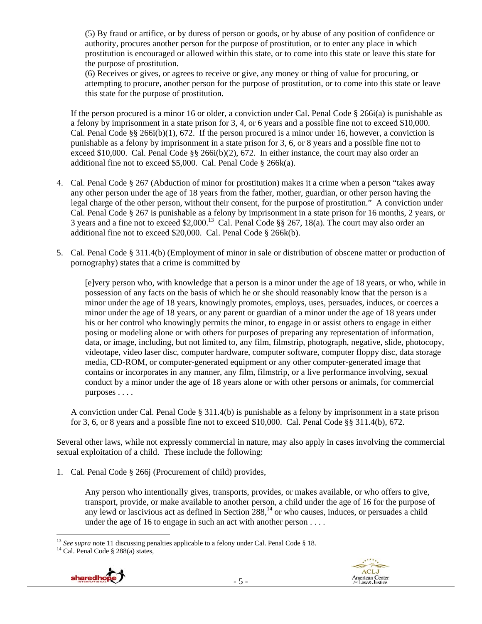(5) By fraud or artifice, or by duress of person or goods, or by abuse of any position of confidence or authority, procures another person for the purpose of prostitution, or to enter any place in which prostitution is encouraged or allowed within this state, or to come into this state or leave this state for the purpose of prostitution.

(6) Receives or gives, or agrees to receive or give, any money or thing of value for procuring, or attempting to procure, another person for the purpose of prostitution, or to come into this state or leave this state for the purpose of prostitution.

If the person procured is a minor 16 or older, a conviction under Cal. Penal Code § 266i(a) is punishable as a felony by imprisonment in a state prison for 3, 4, or 6 years and a possible fine not to exceed \$10,000. Cal. Penal Code §§ 266i(b)(1), 672. If the person procured is a minor under 16, however, a conviction is punishable as a felony by imprisonment in a state prison for 3, 6, or 8 years and a possible fine not to exceed \$10,000. Cal. Penal Code  $\S$ § 266i(b)(2), 672. In either instance, the court may also order an additional fine not to exceed \$5,000. Cal. Penal Code § 266k(a).

- 4. Cal. Penal Code § 267 (Abduction of minor for prostitution) makes it a crime when a person "takes away any other person under the age of 18 years from the father, mother, guardian, or other person having the legal charge of the other person, without their consent, for the purpose of prostitution." A conviction under Cal. Penal Code § 267 is punishable as a felony by imprisonment in a state prison for 16 months, 2 years, or 3 years and a fine not to exceed \$2,000.13 Cal. Penal Code §§ 267, 18(a). The court may also order an additional fine not to exceed \$20,000. Cal. Penal Code § 266k(b).
- 5. Cal. Penal Code § 311.4(b) (Employment of minor in sale or distribution of obscene matter or production of pornography) states that a crime is committed by

[e]very person who, with knowledge that a person is a minor under the age of 18 years, or who, while in possession of any facts on the basis of which he or she should reasonably know that the person is a minor under the age of 18 years, knowingly promotes, employs, uses, persuades, induces, or coerces a minor under the age of 18 years, or any parent or guardian of a minor under the age of 18 years under his or her control who knowingly permits the minor, to engage in or assist others to engage in either posing or modeling alone or with others for purposes of preparing any representation of information, data, or image, including, but not limited to, any film, filmstrip, photograph, negative, slide, photocopy, videotape, video laser disc, computer hardware, computer software, computer floppy disc, data storage media, CD-ROM, or computer-generated equipment or any other computer-generated image that contains or incorporates in any manner, any film, filmstrip, or a live performance involving, sexual conduct by a minor under the age of 18 years alone or with other persons or animals, for commercial purposes . . . .

A conviction under Cal. Penal Code § 311.4(b) is punishable as a felony by imprisonment in a state prison for 3, 6, or 8 years and a possible fine not to exceed \$10,000. Cal. Penal Code §§ 311.4(b), 672.

Several other laws, while not expressly commercial in nature, may also apply in cases involving the commercial sexual exploitation of a child. These include the following:

1. Cal. Penal Code § 266j (Procurement of child) provides,

Any person who intentionally gives, transports, provides, or makes available, or who offers to give, transport, provide, or make available to another person, a child under the age of 16 for the purpose of any lewd or lascivious act as defined in Section  $288<sup>14</sup>$  or who causes, induces, or persuades a child under the age of 16 to engage in such an act with another person . . . .





 <sup>13</sup> *See supra* note 11 discussing penalties applicable to a felony under Cal. Penal Code § 18. <sup>14</sup> Cal. Penal Code § 288(a) states,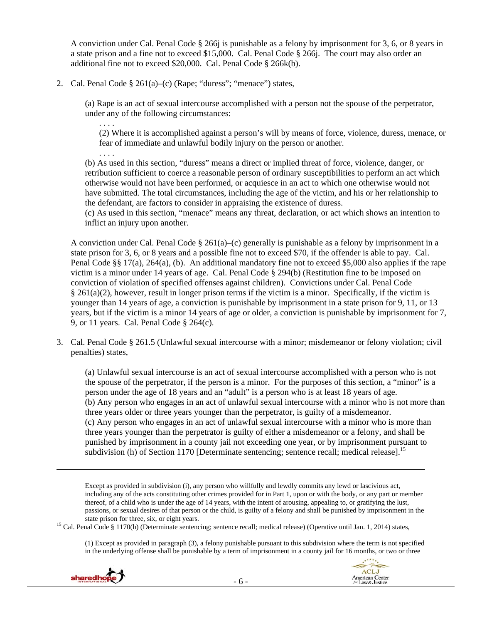A conviction under Cal. Penal Code § 266j is punishable as a felony by imprisonment for 3, 6, or 8 years in a state prison and a fine not to exceed \$15,000. Cal. Penal Code § 266j. The court may also order an additional fine not to exceed \$20,000. Cal. Penal Code § 266k(b).

2. Cal. Penal Code § 261(a)–(c) (Rape; "duress"; "menace") states,

. . . .

. . . .

(a) Rape is an act of sexual intercourse accomplished with a person not the spouse of the perpetrator, under any of the following circumstances:

(2) Where it is accomplished against a person's will by means of force, violence, duress, menace, or fear of immediate and unlawful bodily injury on the person or another.

(b) As used in this section, "duress" means a direct or implied threat of force, violence, danger, or retribution sufficient to coerce a reasonable person of ordinary susceptibilities to perform an act which otherwise would not have been performed, or acquiesce in an act to which one otherwise would not have submitted. The total circumstances, including the age of the victim, and his or her relationship to the defendant, are factors to consider in appraising the existence of duress.

(c) As used in this section, "menace" means any threat, declaration, or act which shows an intention to inflict an injury upon another.

A conviction under Cal. Penal Code § 261(a)–(c) generally is punishable as a felony by imprisonment in a state prison for 3, 6, or 8 years and a possible fine not to exceed \$70, if the offender is able to pay. Cal. Penal Code §§ 17(a), 264(a), (b). An additional mandatory fine not to exceed \$5,000 also applies if the rape victim is a minor under 14 years of age. Cal. Penal Code § 294(b) (Restitution fine to be imposed on conviction of violation of specified offenses against children). Convictions under Cal. Penal Code § 261(a)(2), however, result in longer prison terms if the victim is a minor. Specifically, if the victim is younger than 14 years of age, a conviction is punishable by imprisonment in a state prison for 9, 11, or 13 years, but if the victim is a minor 14 years of age or older, a conviction is punishable by imprisonment for 7, 9, or 11 years. Cal. Penal Code § 264(c).

3. Cal. Penal Code § 261.5 (Unlawful sexual intercourse with a minor; misdemeanor or felony violation; civil penalties) states,

(a) Unlawful sexual intercourse is an act of sexual intercourse accomplished with a person who is not the spouse of the perpetrator, if the person is a minor. For the purposes of this section, a "minor" is a person under the age of 18 years and an "adult" is a person who is at least 18 years of age. (b) Any person who engages in an act of unlawful sexual intercourse with a minor who is not more than three years older or three years younger than the perpetrator, is guilty of a misdemeanor. (c) Any person who engages in an act of unlawful sexual intercourse with a minor who is more than three years younger than the perpetrator is guilty of either a misdemeanor or a felony, and shall be punished by imprisonment in a county jail not exceeding one year, or by imprisonment pursuant to subdivision (h) of Section 1170 [Determinate sentencing; sentence recall; medical release].<sup>15</sup>

Except as provided in subdivision (i), any person who willfully and lewdly commits any lewd or lascivious act, including any of the acts constituting other crimes provided for in Part 1, upon or with the body, or any part or member thereof, of a child who is under the age of 14 years, with the intent of arousing, appealing to, or gratifying the lust, passions, or sexual desires of that person or the child, is guilty of a felony and shall be punished by imprisonment in the

<u> 1989 - Johann Stoff, amerikansk politiker (d. 1989)</u>

state prison for three, six, or eight years. 15 Cal. Penal Code § 1170(h) (Determinate sentencing; sentence recall; medical release) (Operative until Jan. 1, 2014) states,

(1) Except as provided in paragraph (3), a felony punishable pursuant to this subdivision where the term is not specified in the underlying offense shall be punishable by a term of imprisonment in a county jail for 16 months, or two or three



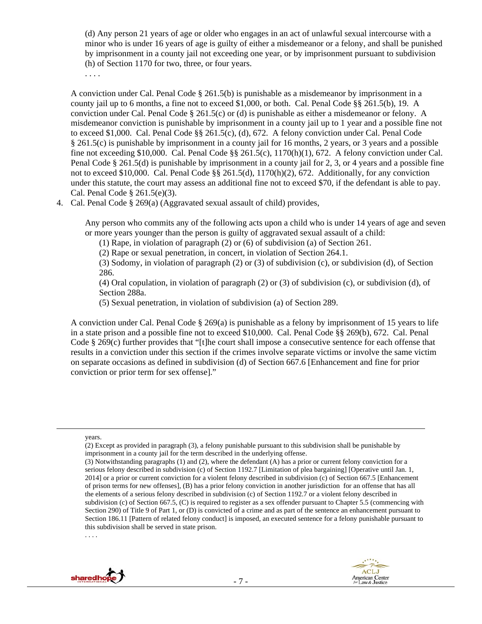(d) Any person 21 years of age or older who engages in an act of unlawful sexual intercourse with a minor who is under 16 years of age is guilty of either a misdemeanor or a felony, and shall be punished by imprisonment in a county jail not exceeding one year, or by imprisonment pursuant to subdivision (h) of Section 1170 for two, three, or four years.

. . . .

A conviction under Cal. Penal Code § 261.5(b) is punishable as a misdemeanor by imprisonment in a county jail up to 6 months, a fine not to exceed \$1,000, or both. Cal. Penal Code §§ 261.5(b), 19. A conviction under Cal. Penal Code § 261.5(c) or (d) is punishable as either a misdemeanor or felony. A misdemeanor conviction is punishable by imprisonment in a county jail up to 1 year and a possible fine not to exceed \$1,000. Cal. Penal Code §§ 261.5(c), (d), 672. A felony conviction under Cal. Penal Code § 261.5(c) is punishable by imprisonment in a county jail for 16 months, 2 years, or 3 years and a possible fine not exceeding \$10,000. Cal. Penal Code  $\S$ § 261.5(c), 1170(h)(1), 672. A felony conviction under Cal. Penal Code § 261.5(d) is punishable by imprisonment in a county jail for 2, 3, or 4 years and a possible fine not to exceed \$10,000. Cal. Penal Code §§ 261.5(d), 1170(h)(2), 672. Additionally, for any conviction under this statute, the court may assess an additional fine not to exceed \$70, if the defendant is able to pay. Cal. Penal Code § 261.5(e)(3).

4. Cal. Penal Code § 269(a) (Aggravated sexual assault of child) provides,

Any person who commits any of the following acts upon a child who is under 14 years of age and seven or more years younger than the person is guilty of aggravated sexual assault of a child:

(1) Rape, in violation of paragraph (2) or (6) of subdivision (a) of Section 261.

(2) Rape or sexual penetration, in concert, in violation of Section 264.1.

(3) Sodomy, in violation of paragraph (2) or (3) of subdivision (c), or subdivision (d), of Section 286.

(4) Oral copulation, in violation of paragraph (2) or (3) of subdivision (c), or subdivision (d), of Section 288a.

(5) Sexual penetration, in violation of subdivision (a) of Section 289.

A conviction under Cal. Penal Code § 269(a) is punishable as a felony by imprisonment of 15 years to life in a state prison and a possible fine not to exceed \$10,000. Cal. Penal Code §§ 269(b), 672. Cal. Penal Code § 269(c) further provides that "[t]he court shall impose a consecutive sentence for each offense that results in a conviction under this section if the crimes involve separate victims or involve the same victim on separate occasions as defined in subdivision (d) of Section 667.6 [Enhancement and fine for prior conviction or prior term for sex offense]."

<u> Andrewski politika (za obrazu pod predsjednika u predsjednika u predsjednika u predsjednika (za obrazu pod p</u>

<sup>(3)</sup> Notwithstanding paragraphs (1) and (2), where the defendant (A) has a prior or current felony conviction for a serious felony described in subdivision (c) of Section 1192.7 [Limitation of plea bargaining] [Operative until Jan. 1, 2014] or a prior or current conviction for a violent felony described in subdivision (c) of Section 667.5 [Enhancement of prison terms for new offenses], (B) has a prior felony conviction in another jurisdiction for an offense that has all the elements of a serious felony described in subdivision (c) of Section 1192.7 or a violent felony described in subdivision (c) of Section 667.5, (C) is required to register as a sex offender pursuant to Chapter 5.5 (commencing with Section 290) of Title 9 of Part 1, or (D) is convicted of a crime and as part of the sentence an enhancement pursuant to Section 186.11 [Pattern of related felony conduct] is imposed, an executed sentence for a felony punishable pursuant to this subdivision shall be served in state prison.





years.

<sup>(2)</sup> Except as provided in paragraph (3), a felony punishable pursuant to this subdivision shall be punishable by imprisonment in a county jail for the term described in the underlying offense.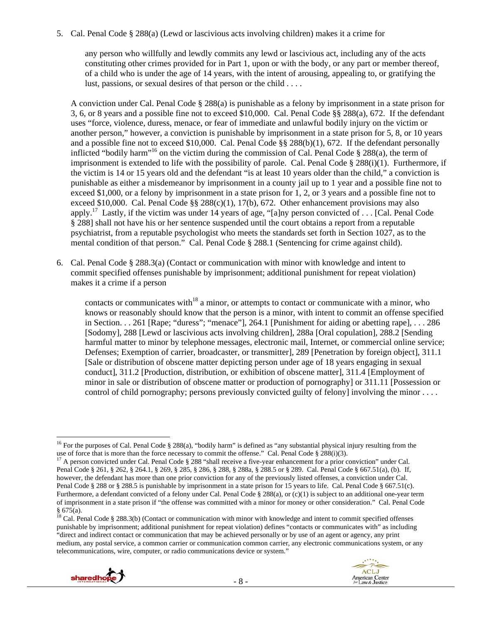5. Cal. Penal Code § 288(a) (Lewd or lascivious acts involving children) makes it a crime for

any person who willfully and lewdly commits any lewd or lascivious act, including any of the acts constituting other crimes provided for in Part 1, upon or with the body, or any part or member thereof, of a child who is under the age of 14 years, with the intent of arousing, appealing to, or gratifying the lust, passions, or sexual desires of that person or the child . . . .

A conviction under Cal. Penal Code § 288(a) is punishable as a felony by imprisonment in a state prison for 3, 6, or 8 years and a possible fine not to exceed \$10,000. Cal. Penal Code §§ 288(a), 672. If the defendant uses "force, violence, duress, menace, or fear of immediate and unlawful bodily injury on the victim or another person," however, a conviction is punishable by imprisonment in a state prison for 5, 8, or 10 years and a possible fine not to exceed \$10,000. Cal. Penal Code §§ 288(b)(1), 672. If the defendant personally inflicted "bodily harm"<sup>16</sup> on the victim during the commission of Cal. Penal Code § 288(a), the term of imprisonment is extended to life with the possibility of parole. Cal. Penal Code § 288(i)(1). Furthermore, if the victim is 14 or 15 years old and the defendant "is at least 10 years older than the child," a conviction is punishable as either a misdemeanor by imprisonment in a county jail up to 1 year and a possible fine not to exceed \$1,000, or a felony by imprisonment in a state prison for 1, 2, or 3 years and a possible fine not to exceed \$10,000. Cal. Penal Code  $\S$ § 288(c)(1), 17(b), 672. Other enhancement provisions may also apply.<sup>17</sup> Lastly, if the victim was under 14 years of age, "[a]ny person convicted of . . . [Cal. Penal Code § 288] shall not have his or her sentence suspended until the court obtains a report from a reputable psychiatrist, from a reputable psychologist who meets the standards set forth in Section 1027, as to the mental condition of that person." Cal. Penal Code § 288.1 (Sentencing for crime against child).

6. Cal. Penal Code § 288.3(a) (Contact or communication with minor with knowledge and intent to commit specified offenses punishable by imprisonment; additional punishment for repeat violation) makes it a crime if a person

contacts or communicates with<sup>18</sup> a minor, or attempts to contact or communicate with a minor, who knows or reasonably should know that the person is a minor, with intent to commit an offense specified in Section. . . 261 [Rape; "duress"; "menace"], 264.1 [Punishment for aiding or abetting rape], . . . 286 [Sodomy], 288 [Lewd or lascivious acts involving children], 288a [Oral copulation], 288.2 [Sending harmful matter to minor by telephone messages, electronic mail, Internet, or commercial online service; Defenses; Exemption of carrier, broadcaster, or transmitter], 289 [Penetration by foreign object], 311.1 [Sale or distribution of obscene matter depicting person under age of 18 years engaging in sexual conduct], 311.2 [Production, distribution, or exhibition of obscene matter], 311.4 [Employment of minor in sale or distribution of obscene matter or production of pornography] or 311.11 [Possession or control of child pornography; persons previously convicted guilty of felony] involving the minor . . . .

 $^{18}$  Cal. Penal Code § 288.3(b) (Contact or communication with minor with knowledge and intent to commit specified offenses punishable by imprisonment; additional punishment for repeat violation) defines "contacts or communicates with" as including "direct and indirect contact or communication that may be achieved personally or by use of an agent or agency, any print medium, any postal service, a common carrier or communication common carrier, any electronic communications system, or any telecommunications, wire, computer, or radio communications device or system."





 <sup>16</sup> For the purposes of Cal. Penal Code § 288(a), "bodily harm" is defined as "any substantial physical injury resulting from the

use of force that is more than the force necessary to commit the offense." Cal. Penal Code § 288(i)(3).<br><sup>17</sup> A person convicted under Cal. Penal Code § 288 "shall receive a five-year enhancement for a prior conviction" un Penal Code § 261, § 262, § 264.1, § 269, § 285, § 286, § 288, § 288a, § 288.5 or § 289. Cal. Penal Code § 667.51(a), (b). If, however, the defendant has more than one prior conviction for any of the previously listed offenses, a conviction under Cal. Penal Code § 288 or § 288.5 is punishable by imprisonment in a state prison for 15 years to life. Cal. Penal Code § 667.51(c). Furthermore, a defendant convicted of a felony under Cal. Penal Code § 288(a), or (c)(1) is subject to an additional one-year term of imprisonment in a state prison if "the offense was committed with a minor for money or other consideration." Cal. Penal Code  $§ 675(a).$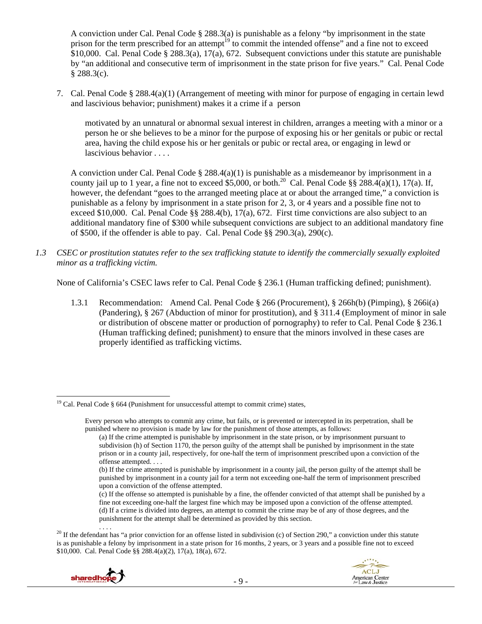A conviction under Cal. Penal Code § 288.3(a) is punishable as a felony "by imprisonment in the state prison for the term prescribed for an attempt<sup>19</sup> to commit the intended offense" and a fine not to exceed  $$10,000$ . Cal. Penal Code § 288.3(a), 17(a), 672. Subsequent convictions under this statute are punishable by "an additional and consecutive term of imprisonment in the state prison for five years." Cal. Penal Code  $§$  288.3(c).

7. Cal. Penal Code § 288.4(a)(1) (Arrangement of meeting with minor for purpose of engaging in certain lewd and lascivious behavior; punishment) makes it a crime if a person

motivated by an unnatural or abnormal sexual interest in children, arranges a meeting with a minor or a person he or she believes to be a minor for the purpose of exposing his or her genitals or pubic or rectal area, having the child expose his or her genitals or pubic or rectal area, or engaging in lewd or lascivious behavior . . . .

A conviction under Cal. Penal Code § 288.4(a)(1) is punishable as a misdemeanor by imprisonment in a county jail up to 1 year, a fine not to exceed \$5,000, or both.<sup>20</sup> Cal. Penal Code §§ 288.4(a)(1), 17(a). If, however, the defendant "goes to the arranged meeting place at or about the arranged time," a conviction is punishable as a felony by imprisonment in a state prison for 2, 3, or 4 years and a possible fine not to exceed \$10,000. Cal. Penal Code  $\S$ § 288.4(b), 17(a), 672. First time convictions are also subject to an additional mandatory fine of \$300 while subsequent convictions are subject to an additional mandatory fine of \$500, if the offender is able to pay. Cal. Penal Code §§ 290.3(a), 290(c).

*1.3 CSEC or prostitution statutes refer to the sex trafficking statute to identify the commercially sexually exploited minor as a trafficking victim.* 

None of California's CSEC laws refer to Cal. Penal Code § 236.1 (Human trafficking defined; punishment).

1.3.1 Recommendation: Amend Cal. Penal Code § 266 (Procurement), § 266h(b) (Pimping), § 266i(a) (Pandering), § 267 (Abduction of minor for prostitution), and § 311.4 (Employment of minor in sale or distribution of obscene matter or production of pornography) to refer to Cal. Penal Code § 236.1 (Human trafficking defined; punishment) to ensure that the minors involved in these cases are properly identified as trafficking victims.

<sup>&</sup>lt;sup>20</sup> If the defendant has "a prior conviction for an offense listed in subdivision (c) of Section 290," a conviction under this statute is as punishable a felony by imprisonment in a state prison for 16 months, 2 years, or 3 years and a possible fine not to exceed \$10,000. Cal. Penal Code §§ 288.4(a)(2), 17(a), 18(a), 672.



  $19$  Cal. Penal Code § 664 (Punishment for unsuccessful attempt to commit crime) states,

Every person who attempts to commit any crime, but fails, or is prevented or intercepted in its perpetration, shall be punished where no provision is made by law for the punishment of those attempts, as follows:

<sup>(</sup>a) If the crime attempted is punishable by imprisonment in the state prison, or by imprisonment pursuant to subdivision (h) of Section 1170, the person guilty of the attempt shall be punished by imprisonment in the state prison or in a county jail, respectively, for one-half the term of imprisonment prescribed upon a conviction of the offense attempted. . . .

<sup>(</sup>b) If the crime attempted is punishable by imprisonment in a county jail, the person guilty of the attempt shall be punished by imprisonment in a county jail for a term not exceeding one-half the term of imprisonment prescribed upon a conviction of the offense attempted.

<sup>(</sup>c) If the offense so attempted is punishable by a fine, the offender convicted of that attempt shall be punished by a fine not exceeding one-half the largest fine which may be imposed upon a conviction of the offense attempted. (d) If a crime is divided into degrees, an attempt to commit the crime may be of any of those degrees, and the punishment for the attempt shall be determined as provided by this section.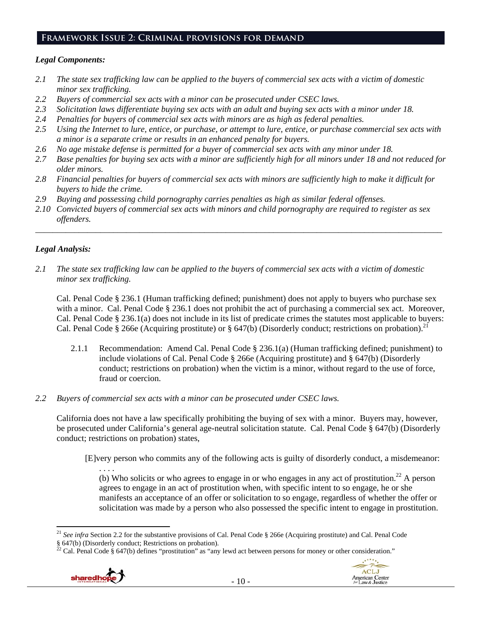#### **Framework Issue 2: Criminal provisions for demand**

#### *Legal Components:*

- *2.1 The state sex trafficking law can be applied to the buyers of commercial sex acts with a victim of domestic minor sex trafficking.*
- *2.2 Buyers of commercial sex acts with a minor can be prosecuted under CSEC laws.*
- *2.3 Solicitation laws differentiate buying sex acts with an adult and buying sex acts with a minor under 18.*
- *2.4 Penalties for buyers of commercial sex acts with minors are as high as federal penalties.*
- *2.5 Using the Internet to lure, entice, or purchase, or attempt to lure, entice, or purchase commercial sex acts with a minor is a separate crime or results in an enhanced penalty for buyers.*
- *2.6 No age mistake defense is permitted for a buyer of commercial sex acts with any minor under 18.*
- *2.7 Base penalties for buying sex acts with a minor are sufficiently high for all minors under 18 and not reduced for older minors.*
- *2.8 Financial penalties for buyers of commercial sex acts with minors are sufficiently high to make it difficult for buyers to hide the crime.*
- *2.9 Buying and possessing child pornography carries penalties as high as similar federal offenses.*
- *2.10 Convicted buyers of commercial sex acts with minors and child pornography are required to register as sex offenders.*

\_\_\_\_\_\_\_\_\_\_\_\_\_\_\_\_\_\_\_\_\_\_\_\_\_\_\_\_\_\_\_\_\_\_\_\_\_\_\_\_\_\_\_\_\_\_\_\_\_\_\_\_\_\_\_\_\_\_\_\_\_\_\_\_\_\_\_\_\_\_\_\_\_\_\_\_\_\_\_\_\_\_\_\_\_\_\_\_\_\_\_\_\_\_

## *Legal Analysis:*

*2.1 The state sex trafficking law can be applied to the buyers of commercial sex acts with a victim of domestic minor sex trafficking.* 

Cal. Penal Code § 236.1 (Human trafficking defined; punishment) does not apply to buyers who purchase sex with a minor. Cal. Penal Code § 236.1 does not prohibit the act of purchasing a commercial sex act. Moreover, Cal. Penal Code § 236.1(a) does not include in its list of predicate crimes the statutes most applicable to buyers: Cal. Penal Code § 266e (Acquiring prostitute) or § 647(b) (Disorderly conduct; restrictions on probation).<sup>21</sup>

- 2.1.1 Recommendation: Amend Cal. Penal Code § 236.1(a) (Human trafficking defined; punishment) to include violations of Cal. Penal Code § 266e (Acquiring prostitute) and § 647(b) (Disorderly conduct; restrictions on probation) when the victim is a minor, without regard to the use of force, fraud or coercion.
- *2.2 Buyers of commercial sex acts with a minor can be prosecuted under CSEC laws.*

California does not have a law specifically prohibiting the buying of sex with a minor. Buyers may, however, be prosecuted under California's general age-neutral solicitation statute. Cal. Penal Code § 647(b) (Disorderly conduct; restrictions on probation) states,

[E]very person who commits any of the following acts is guilty of disorderly conduct, a misdemeanor:

. . . . (b) Who solicits or who agrees to engage in or who engages in any act of prostitution.<sup>22</sup> A person agrees to engage in an act of prostitution when, with specific intent to so engage, he or she manifests an acceptance of an offer or solicitation to so engage, regardless of whether the offer or solicitation was made by a person who also possessed the specific intent to engage in prostitution.

<sup>&</sup>lt;sup>22</sup> Cal. Penal Code § 647(b) defines "prostitution" as "any lewd act between persons for money or other consideration."





 <sup>21</sup> See infra Section 2.2 for the substantive provisions of Cal. Penal Code § 266e (Acquiring prostitute) and Cal. Penal Code § 647(b) (Disorderly conduct; Restrictions on probation).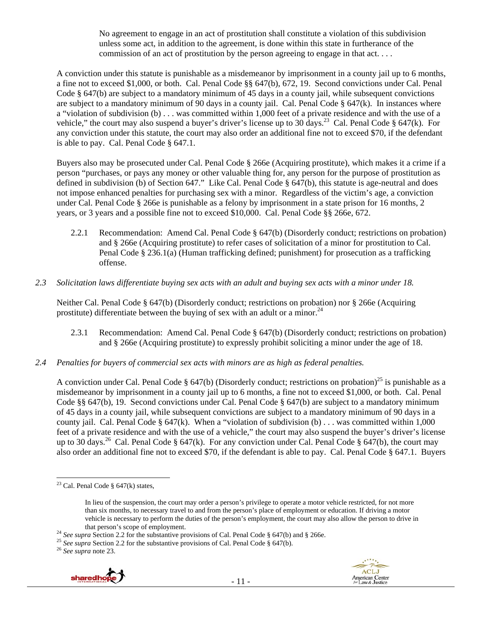No agreement to engage in an act of prostitution shall constitute a violation of this subdivision unless some act, in addition to the agreement, is done within this state in furtherance of the commission of an act of prostitution by the person agreeing to engage in that act. . . .

A conviction under this statute is punishable as a misdemeanor by imprisonment in a county jail up to 6 months, a fine not to exceed \$1,000, or both. Cal. Penal Code §§ 647(b), 672, 19. Second convictions under Cal. Penal Code § 647(b) are subject to a mandatory minimum of 45 days in a county jail, while subsequent convictions are subject to a mandatory minimum of 90 days in a county jail. Cal. Penal Code  $\S$  647(k). In instances where a "violation of subdivision (b) . . . was committed within 1,000 feet of a private residence and with the use of a vehicle," the court may also suspend a buyer's driver's license up to 30 days.<sup>23</sup> Cal. Penal Code § 647(k). For any conviction under this statute, the court may also order an additional fine not to exceed \$70, if the defendant is able to pay. Cal. Penal Code § 647.1.

Buyers also may be prosecuted under Cal. Penal Code § 266e (Acquiring prostitute), which makes it a crime if a person "purchases, or pays any money or other valuable thing for, any person for the purpose of prostitution as defined in subdivision (b) of Section 647." Like Cal. Penal Code § 647(b), this statute is age-neutral and does not impose enhanced penalties for purchasing sex with a minor. Regardless of the victim's age, a conviction under Cal. Penal Code § 266e is punishable as a felony by imprisonment in a state prison for 16 months, 2 years, or 3 years and a possible fine not to exceed \$10,000. Cal. Penal Code §§ 266e, 672.

- 2.2.1 Recommendation: Amend Cal. Penal Code § 647(b) (Disorderly conduct; restrictions on probation) and § 266e (Acquiring prostitute) to refer cases of solicitation of a minor for prostitution to Cal. Penal Code § 236.1(a) (Human trafficking defined; punishment) for prosecution as a trafficking offense.
- *2.3 Solicitation laws differentiate buying sex acts with an adult and buying sex acts with a minor under 18.*

Neither Cal. Penal Code § 647(b) (Disorderly conduct; restrictions on probation) nor § 266e (Acquiring prostitute) differentiate between the buying of sex with an adult or a minor.<sup>24</sup>

- 2.3.1 Recommendation: Amend Cal. Penal Code § 647(b) (Disorderly conduct; restrictions on probation) and § 266e (Acquiring prostitute) to expressly prohibit soliciting a minor under the age of 18.
- *2.4 Penalties for buyers of commercial sex acts with minors are as high as federal penalties.*

A conviction under Cal. Penal Code § 647(b) (Disorderly conduct; restrictions on probation)<sup>25</sup> is punishable as a misdemeanor by imprisonment in a county jail up to 6 months, a fine not to exceed \$1,000, or both. Cal. Penal Code §§ 647(b), 19. Second convictions under Cal. Penal Code § 647(b) are subject to a mandatory minimum of 45 days in a county jail, while subsequent convictions are subject to a mandatory minimum of 90 days in a county jail. Cal. Penal Code §  $647(k)$ . When a "violation of subdivision (b) . . . was committed within 1,000 feet of a private residence and with the use of a vehicle," the court may also suspend the buyer's driver's license up to 30 days.<sup>26</sup> Cal. Penal Code § 647(k). For any conviction under Cal. Penal Code § 647(b), the court may also order an additional fine not to exceed \$70, if the defendant is able to pay. Cal. Penal Code § 647.1. Buyers





 <sup>23</sup> Cal. Penal Code  $\S$  647(k) states,

In lieu of the suspension, the court may order a person's privilege to operate a motor vehicle restricted, for not more than six months, to necessary travel to and from the person's place of employment or education. If driving a motor vehicle is necessary to perform the duties of the person's employment, the court may also allow the person to drive in

that person's scope of employment.<br><sup>24</sup> See supra Section 2.2 for the substantive provisions of Cal. Penal Code § 647(b) and § 266e.<br><sup>25</sup> See supra Section 2.2 for the substantive provisions of Cal. Penal Code § 647(b).<br><sup></sup>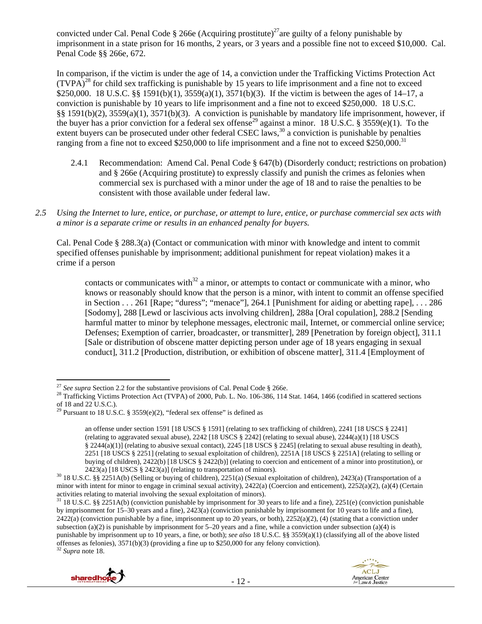convicted under Cal. Penal Code § 266e (Acquiring prostitute)<sup>27</sup>are guilty of a felony punishable by imprisonment in a state prison for 16 months, 2 years, or 3 years and a possible fine not to exceed \$10,000. Cal. Penal Code §§ 266e, 672.

In comparison, if the victim is under the age of 14, a conviction under the Trafficking Victims Protection Act  $(TVPA)^{28}$  for child sex trafficking is punishable by 15 years to life imprisonment and a fine not to exceed \$250,000. 18 U.S.C. §§ 1591(b)(1), 3559(a)(1), 3571(b)(3). If the victim is between the ages of 14–17, a conviction is punishable by 10 years to life imprisonment and a fine not to exceed \$250,000. 18 U.S.C. §§ 1591(b)(2), 3559(a)(1), 3571(b)(3). A conviction is punishable by mandatory life imprisonment, however, if the buyer has a prior conviction for a federal sex offense<sup>29</sup> against a minor. 18 U.S.C. § 3559(e)(1). To the extent buyers can be prosecuted under other federal CSEC laws,  $30$  a conviction is punishable by penalties ranging from a fine not to exceed \$250,000 to life imprisonment and a fine not to exceed \$250,000.<sup>31</sup>

- 2.4.1 Recommendation: Amend Cal. Penal Code § 647(b) (Disorderly conduct; restrictions on probation) and § 266e (Acquiring prostitute) to expressly classify and punish the crimes as felonies when commercial sex is purchased with a minor under the age of 18 and to raise the penalties to be consistent with those available under federal law.
- *2.5 Using the Internet to lure, entice, or purchase, or attempt to lure, entice, or purchase commercial sex acts with a minor is a separate crime or results in an enhanced penalty for buyers.*

Cal. Penal Code § 288.3(a) (Contact or communication with minor with knowledge and intent to commit specified offenses punishable by imprisonment; additional punishment for repeat violation) makes it a crime if a person

contacts or communicates with<sup>32</sup> a minor, or attempts to contact or communicate with a minor, who knows or reasonably should know that the person is a minor, with intent to commit an offense specified in Section . . . 261 [Rape; "duress"; "menace"], 264.1 [Punishment for aiding or abetting rape], . . . 286 [Sodomy], 288 [Lewd or lascivious acts involving children], 288a [Oral copulation], 288.2 [Sending harmful matter to minor by telephone messages, electronic mail, Internet, or commercial online service; Defenses; Exemption of carrier, broadcaster, or transmitter], 289 [Penetration by foreign object], 311.1 [Sale or distribution of obscene matter depicting person under age of 18 years engaging in sexual conduct], 311.2 [Production, distribution, or exhibition of obscene matter], 311.4 [Employment of

<sup>31 18</sup> U.S.C. §§ 2251A(b) (conviction punishable by imprisonment for 30 years to life and a fine), 2251(e) (conviction punishable by imprisonment for 15–30 years and a fine), 2423(a) (conviction punishable by imprisonment for 10 years to life and a fine),  $2422(a)$  (conviction punishable by a fine, imprisonment up to 20 years, or both),  $2252(a)(2)$ , (4) (stating that a conviction under subsection (a)(2) is punishable by imprisonment for  $5-20$  years and a fine, while a conviction under subsection (a)(4) is punishable by imprisonment up to 10 years, a fine, or both); *see also* 18 U.S.C. §§ 3559(a)(1) (classifying all of the above listed offenses as felonies), 3571(b)(3) (providing a fine up to \$250,000 for any felony conviction). 32 *Supra* note 18.





<sup>&</sup>lt;sup>27</sup> See supra Section 2.2 for the substantive provisions of Cal. Penal Code § 266e.

<sup>&</sup>lt;sup>28</sup> Trafficking Victims Protection Act (TVPA) of 2000, Pub. L. No. 106-386, 114 Stat. 1464, 1466 (codified in scattered sections of 18 and 22 U.S.C.).

<sup>&</sup>lt;sup>29</sup> Pursuant to 18 U.S.C. § 3559(e)(2), "federal sex offense" is defined as

an offense under section 1591 [18 USCS § 1591] (relating to sex trafficking of children), 2241 [18 USCS § 2241] (relating to aggravated sexual abuse), 2242 [18 USCS § 2242] (relating to sexual abuse), 2244(a)(1) [18 USCS § 2244(a)(1)] (relating to abusive sexual contact), 2245 [18 USCS § 2245] (relating to sexual abuse resulting in death), 2251 [18 USCS § 2251] (relating to sexual exploitation of children), 2251A [18 USCS § 2251A] (relating to selling or buying of children), 2422(b) [18 USCS § 2422(b)] (relating to coercion and enticement of a minor into prostitution), or

<sup>2423(</sup>a) [18 USCS § 2423(a)] (relating to transportation of minors).<br><sup>30</sup> 18 U.S.C. §§ 2251A(b) (Selling or buying of children), 2251(a) (Sexual exploitation of children), 2423(a) (Transportation of a minor with intent for minor to engage in criminal sexual activity), 2422(a) (Coercion and enticement), 2252(a)(2), (a)(4) (Certain activities relating to material involving the sexual exploitation of minors).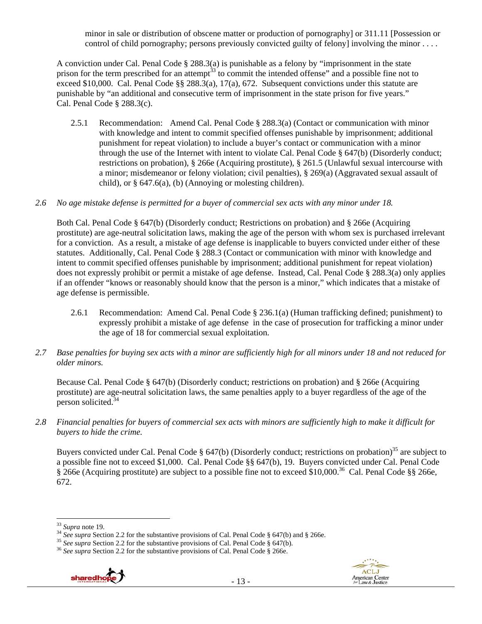minor in sale or distribution of obscene matter or production of pornography] or 311.11 [Possession or control of child pornography; persons previously convicted guilty of felony] involving the minor ....

A conviction under Cal. Penal Code § 288.3(a) is punishable as a felony by "imprisonment in the state prison for the term prescribed for an attempt<sup>33</sup> to commit the intended offense" and a possible fine not to exceed \$10,000. Cal. Penal Code §§ 288.3(a), 17(a), 672. Subsequent convictions under this statute are punishable by "an additional and consecutive term of imprisonment in the state prison for five years." Cal. Penal Code § 288.3(c).

2.5.1 Recommendation: Amend Cal. Penal Code § 288.3(a) (Contact or communication with minor with knowledge and intent to commit specified offenses punishable by imprisonment; additional punishment for repeat violation) to include a buyer's contact or communication with a minor through the use of the Internet with intent to violate Cal. Penal Code § 647(b) (Disorderly conduct; restrictions on probation), § 266e (Acquiring prostitute), § 261.5 (Unlawful sexual intercourse with a minor; misdemeanor or felony violation; civil penalties), § 269(a) (Aggravated sexual assault of child), or § 647.6(a), (b) (Annoying or molesting children).

#### *2.6 No age mistake defense is permitted for a buyer of commercial sex acts with any minor under 18.*

Both Cal. Penal Code § 647(b) (Disorderly conduct; Restrictions on probation) and § 266e (Acquiring prostitute) are age-neutral solicitation laws, making the age of the person with whom sex is purchased irrelevant for a conviction. As a result, a mistake of age defense is inapplicable to buyers convicted under either of these statutes. Additionally, Cal. Penal Code § 288.3 (Contact or communication with minor with knowledge and intent to commit specified offenses punishable by imprisonment; additional punishment for repeat violation) does not expressly prohibit or permit a mistake of age defense. Instead, Cal. Penal Code § 288.3(a) only applies if an offender "knows or reasonably should know that the person is a minor," which indicates that a mistake of age defense is permissible.

- 2.6.1 Recommendation: Amend Cal. Penal Code § 236.1(a) (Human trafficking defined; punishment) to expressly prohibit a mistake of age defense in the case of prosecution for trafficking a minor under the age of 18 for commercial sexual exploitation.
- *2.7 Base penalties for buying sex acts with a minor are sufficiently high for all minors under 18 and not reduced for older minors.*

Because Cal. Penal Code § 647(b) (Disorderly conduct; restrictions on probation) and § 266e (Acquiring prostitute) are age-neutral solicitation laws, the same penalties apply to a buyer regardless of the age of the person solicited.<sup>34</sup>

*2.8 Financial penalties for buyers of commercial sex acts with minors are sufficiently high to make it difficult for buyers to hide the crime.* 

Buyers convicted under Cal. Penal Code § 647(b) (Disorderly conduct; restrictions on probation)<sup>35</sup> are subject to a possible fine not to exceed \$1,000. Cal. Penal Code §§ 647(b), 19. Buyers convicted under Cal. Penal Code § 266e (Acquiring prostitute) are subject to a possible fine not to exceed \$10,000.36 Cal. Penal Code §§ 266e, 672.





<sup>&</sup>lt;sup>33</sup> Supra note 19.<br><sup>34</sup> See supra Section 2.2 for the substantive provisions of Cal. Penal Code § 647(b) and § 266e.<br><sup>35</sup> See supra Section 2.2 for the substantive provisions of Cal. Penal Code § 647(b).<br><sup>36</sup> See supra S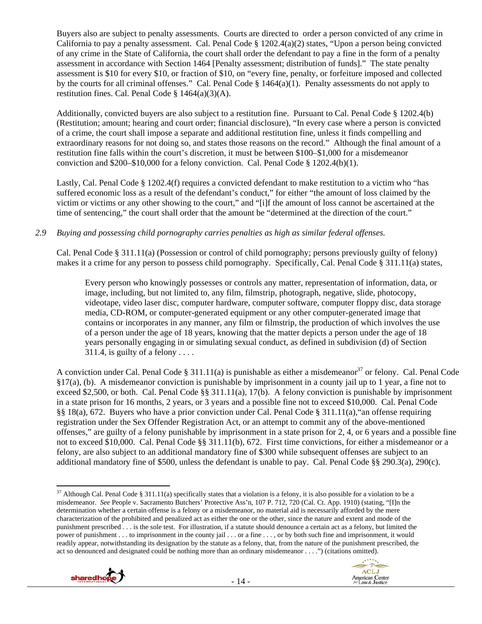Buyers also are subject to penalty assessments. Courts are directed to order a person convicted of any crime in California to pay a penalty assessment. Cal. Penal Code § 1202.4(a)(2) states, "Upon a person being convicted of any crime in the State of California, the court shall order the defendant to pay a fine in the form of a penalty assessment in accordance with Section 1464 [Penalty assessment; distribution of funds]." The state penalty assessment is \$10 for every \$10, or fraction of \$10, on "every fine, penalty, or forfeiture imposed and collected by the courts for all criminal offenses." Cal. Penal Code § 1464(a)(1). Penalty assessments do not apply to restitution fines. Cal. Penal Code § 1464(a)(3)(A).

Additionally, convicted buyers are also subject to a restitution fine. Pursuant to Cal. Penal Code § 1202.4(b) (Restitution; amount; hearing and court order; financial disclosure), "In every case where a person is convicted of a crime, the court shall impose a separate and additional restitution fine, unless it finds compelling and extraordinary reasons for not doing so, and states those reasons on the record." Although the final amount of a restitution fine falls within the court's discretion, it must be between \$100–\$1,000 for a misdemeanor conviction and \$200–\$10,000 for a felony conviction. Cal. Penal Code § 1202.4(b)(1).

Lastly, Cal. Penal Code § 1202.4(f) requires a convicted defendant to make restitution to a victim who "has suffered economic loss as a result of the defendant's conduct," for either "the amount of loss claimed by the victim or victims or any other showing to the court," and "[i]f the amount of loss cannot be ascertained at the time of sentencing," the court shall order that the amount be "determined at the direction of the court."

## *2.9 Buying and possessing child pornography carries penalties as high as similar federal offenses.*

Cal. Penal Code § 311.11(a) (Possession or control of child pornography; persons previously guilty of felony) makes it a crime for any person to possess child pornography. Specifically, Cal. Penal Code § 311.11(a) states,

Every person who knowingly possesses or controls any matter, representation of information, data, or image, including, but not limited to, any film, filmstrip, photograph, negative, slide, photocopy, videotape, video laser disc, computer hardware, computer software, computer floppy disc, data storage media, CD-ROM, or computer-generated equipment or any other computer-generated image that contains or incorporates in any manner, any film or filmstrip, the production of which involves the use of a person under the age of 18 years, knowing that the matter depicts a person under the age of 18 years personally engaging in or simulating sexual conduct, as defined in subdivision (d) of Section 311.4, is guilty of a felony  $\dots$ .

A conviction under Cal. Penal Code § 311.11(a) is punishable as either a misdemeanor<sup>37</sup> or felony. Cal. Penal Code §17(a), (b). A misdemeanor conviction is punishable by imprisonment in a county jail up to 1 year, a fine not to exceed \$2,500, or both. Cal. Penal Code  $\S$ § 311.11(a), 17(b). A felony conviction is punishable by imprisonment in a state prison for 16 months, 2 years, or 3 years and a possible fine not to exceed \$10,000. Cal. Penal Code §§ 18(a), 672. Buyers who have a prior conviction under Cal. Penal Code § 311.11(a),"an offense requiring registration under the Sex Offender Registration Act, or an attempt to commit any of the above-mentioned offenses," are guilty of a felony punishable by imprisonment in a state prison for 2, 4, or 6 years and a possible fine not to exceed \$10,000. Cal. Penal Code §§ 311.11(b), 672. First time convictions, for either a misdemeanor or a felony, are also subject to an additional mandatory fine of \$300 while subsequent offenses are subject to an additional mandatory fine of \$500, unless the defendant is unable to pay. Cal. Penal Code §§ 290.3(a), 290(c).

<sup>&</sup>lt;sup>37</sup> Although Cal. Penal Code § 311.11(a) specifically states that a violation is a felony, it is also possible for a violation to be a misdemeanor. *See* People v. Sacramento Butchers' Protective Ass'n, 107 P. 712, 720 (Cal. Ct. App. 1910) (stating, "[I]n the determination whether a certain offense is a felony or a misdemeanor, no material aid is necessarily afforded by the mere characterization of the prohibited and penalized act as either the one or the other, since the nature and extent and mode of the punishment prescribed . . . is the sole test. For illustration, if a statute should denounce a certain act as a felony, but limited the power of punishment . . . to imprisonment in the county jail . . . or a fine . . . , or by both such fine and imprisonment, it would readily appear, notwithstanding its designation by the statute as a felony, that, from the nature of the punishment prescribed, the act so denounced and designated could be nothing more than an ordinary misdemeanor . . . .") (citations omitted).



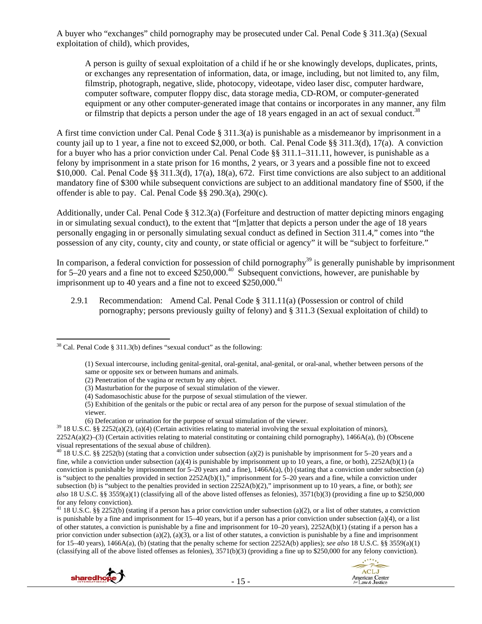A buyer who "exchanges" child pornography may be prosecuted under Cal. Penal Code § 311.3(a) (Sexual exploitation of child), which provides,

A person is guilty of sexual exploitation of a child if he or she knowingly develops, duplicates, prints, or exchanges any representation of information, data, or image, including, but not limited to, any film, filmstrip, photograph, negative, slide, photocopy, videotape, video laser disc, computer hardware, computer software, computer floppy disc, data storage media, CD-ROM, or computer-generated equipment or any other computer-generated image that contains or incorporates in any manner, any film or filmstrip that depicts a person under the age of 18 years engaged in an act of sexual conduct.<sup>38</sup>

A first time conviction under Cal. Penal Code § 311.3(a) is punishable as a misdemeanor by imprisonment in a county jail up to 1 year, a fine not to exceed \$2,000, or both. Cal. Penal Code  $\S$ § 311.3(d), 17(a). A conviction for a buyer who has a prior conviction under Cal. Penal Code §§ 311.1–311.11, however, is punishable as a felony by imprisonment in a state prison for 16 months, 2 years, or 3 years and a possible fine not to exceed \$10,000. Cal. Penal Code §§ 311.3(d), 17(a), 18(a), 672. First time convictions are also subject to an additional mandatory fine of \$300 while subsequent convictions are subject to an additional mandatory fine of \$500, if the offender is able to pay. Cal. Penal Code §§ 290.3(a), 290(c).

Additionally, under Cal. Penal Code § 312.3(a) (Forfeiture and destruction of matter depicting minors engaging in or simulating sexual conduct), to the extent that "[m]atter that depicts a person under the age of 18 years personally engaging in or personally simulating sexual conduct as defined in Section 311.4," comes into "the possession of any city, county, city and county, or state official or agency" it will be "subject to forfeiture."

In comparison, a federal conviction for possession of child pornography<sup>39</sup> is generally punishable by imprisonment for 5–20 years and a fine not to exceed  $$250,000.<sup>40</sup>$  Subsequent convictions, however, are punishable by imprisonment up to 40 years and a fine not to exceed  $$250,000.<sup>41</sup>$ 

2.9.1 Recommendation: Amend Cal. Penal Code § 311.11(a) (Possession or control of child pornography; persons previously guilty of felony) and § 311.3 (Sexual exploitation of child) to

<sup>&</sup>lt;sup>41</sup> 18 U.S.C. §§ 2252(b) (stating if a person has a prior conviction under subsection (a)(2), or a list of other statutes, a conviction is punishable by a fine and imprisonment for 15–40 years, but if a person has a prior conviction under subsection (a)(4), or a list of other statutes, a conviction is punishable by a fine and imprisonment for 10–20 years), 2252A(b)(1) (stating if a person has a prior conviction under subsection (a)(2), (a)(3), or a list of other statutes, a conviction is punishable by a fine and imprisonment for 15–40 years), 1466A(a), (b) (stating that the penalty scheme for section 2252A(b) applies); *see also* 18 U.S.C. §§ 3559(a)(1) (classifying all of the above listed offenses as felonies),  $3571(b)(3)$  (providing a fine up to \$250,000 for any felony conviction).





  $38$  Cal. Penal Code § 311.3(b) defines "sexual conduct" as the following:

<sup>(1)</sup> Sexual intercourse, including genital-genital, oral-genital, anal-genital, or oral-anal, whether between persons of the same or opposite sex or between humans and animals.

<sup>(2)</sup> Penetration of the vagina or rectum by any object.

<sup>(3)</sup> Masturbation for the purpose of sexual stimulation of the viewer.

<sup>(4)</sup> Sadomasochistic abuse for the purpose of sexual stimulation of the viewer.

<sup>(5)</sup> Exhibition of the genitals or the pubic or rectal area of any person for the purpose of sexual stimulation of the viewer.

<sup>(6)</sup> Defecation or urination for the purpose of sexual stimulation of the viewer.<br><sup>39</sup> 18 U.S.C. §§ 2252(a)(2), (a)(4) (Certain activities relating to material involving the sexual exploitation of minors), 2252A(a)(2)–(3) (Certain activities relating to material constituting or containing child pornography), 1466A(a), (b) (Obscene visual representations of the sexual abuse of children).

<sup>&</sup>lt;sup>40</sup> 18 U.S.C. §§ 2252(b) (stating that a conviction under subsection (a)(2) is punishable by imprisonment for 5–20 years and a fine, while a conviction under subsection (a)(4) is punishable by imprisonment up to 10 years, a fine, or both),  $2252A(b)(1)$  (a conviction is punishable by imprisonment for  $5-20$  years and a fine),  $1466A(a)$ , (b) (stating that a conviction under subsection (a) is "subject to the penalties provided in section  $2252A(b)(1)$ ," imprisonment for  $5-20$  years and a fine, while a conviction under subsection (b) is "subject to the penalties provided in section 2252A(b)(2)," imprisonment up to 10 years, a fine, or both); *see also* 18 U.S.C. §§ 3559(a)(1) (classifying all of the above listed offenses as felonies), 3571(b)(3) (providing a fine up to \$250,000 for any felony conviction).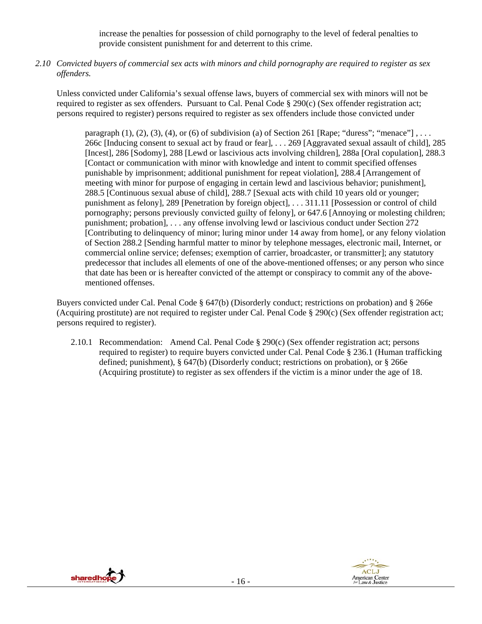increase the penalties for possession of child pornography to the level of federal penalties to provide consistent punishment for and deterrent to this crime.

*2.10 Convicted buyers of commercial sex acts with minors and child pornography are required to register as sex offenders.* 

Unless convicted under California's sexual offense laws, buyers of commercial sex with minors will not be required to register as sex offenders. Pursuant to Cal. Penal Code § 290(c) (Sex offender registration act; persons required to register) persons required to register as sex offenders include those convicted under

paragraph  $(1)$ ,  $(2)$ ,  $(3)$ ,  $(4)$ , or  $(6)$  of subdivision (a) of Section 261 [Rape; "duress"; "menace"], ... 266c [Inducing consent to sexual act by fraud or fear], . . . 269 [Aggravated sexual assault of child], 285 [Incest], 286 [Sodomy], 288 [Lewd or lascivious acts involving children], 288a [Oral copulation], 288.3 [Contact or communication with minor with knowledge and intent to commit specified offenses punishable by imprisonment; additional punishment for repeat violation], 288.4 [Arrangement of meeting with minor for purpose of engaging in certain lewd and lascivious behavior; punishment], 288.5 [Continuous sexual abuse of child], 288.7 [Sexual acts with child 10 years old or younger; punishment as felony], 289 [Penetration by foreign object], . . . 311.11 [Possession or control of child pornography; persons previously convicted guilty of felony], or 647.6 [Annoying or molesting children; punishment; probation], . . . any offense involving lewd or lascivious conduct under Section 272 [Contributing to delinquency of minor; luring minor under 14 away from home], or any felony violation of Section 288.2 [Sending harmful matter to minor by telephone messages, electronic mail, Internet, or commercial online service; defenses; exemption of carrier, broadcaster, or transmitter]; any statutory predecessor that includes all elements of one of the above-mentioned offenses; or any person who since that date has been or is hereafter convicted of the attempt or conspiracy to commit any of the abovementioned offenses.

Buyers convicted under Cal. Penal Code § 647(b) (Disorderly conduct; restrictions on probation) and § 266e (Acquiring prostitute) are not required to register under Cal. Penal Code § 290(c) (Sex offender registration act; persons required to register).

2.10.1 Recommendation: Amend Cal. Penal Code § 290(c) (Sex offender registration act; persons required to register) to require buyers convicted under Cal. Penal Code § 236.1 (Human trafficking defined; punishment), § 647(b) (Disorderly conduct; restrictions on probation), or § 266e (Acquiring prostitute) to register as sex offenders if the victim is a minor under the age of 18.



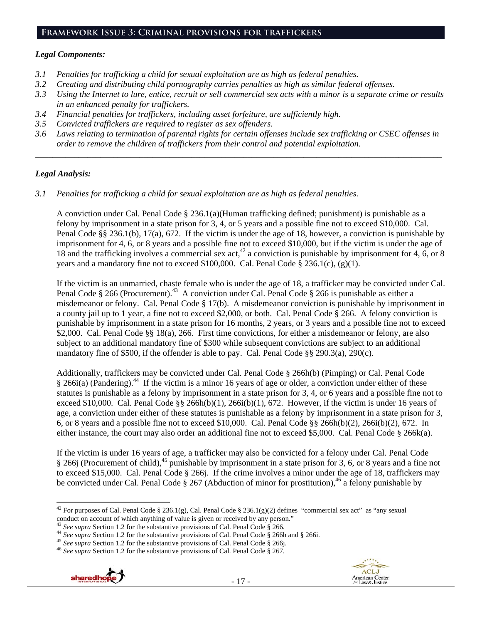## **Framework Issue 3: Criminal provisions for traffickers**

#### *Legal Components:*

- *3.1 Penalties for trafficking a child for sexual exploitation are as high as federal penalties.*
- *3.2 Creating and distributing child pornography carries penalties as high as similar federal offenses.*
- *3.3 Using the Internet to lure, entice, recruit or sell commercial sex acts with a minor is a separate crime or results in an enhanced penalty for traffickers.*
- *3.4 Financial penalties for traffickers, including asset forfeiture, are sufficiently high.*
- *3.5 Convicted traffickers are required to register as sex offenders.*
- *3.6 Laws relating to termination of parental rights for certain offenses include sex trafficking or CSEC offenses in order to remove the children of traffickers from their control and potential exploitation.*

*\_\_\_\_\_\_\_\_\_\_\_\_\_\_\_\_\_\_\_\_\_\_\_\_\_\_\_\_\_\_\_\_\_\_\_\_\_\_\_\_\_\_\_\_\_\_\_\_\_\_\_\_\_\_\_\_\_\_\_\_\_\_\_\_\_\_\_\_\_\_\_\_\_\_\_\_\_\_\_\_\_\_\_\_\_\_\_\_\_\_\_\_\_\_* 

## *Legal Analysis:*

*3.1 Penalties for trafficking a child for sexual exploitation are as high as federal penalties.* 

A conviction under Cal. Penal Code § 236.1(a)(Human trafficking defined; punishment) is punishable as a felony by imprisonment in a state prison for 3, 4, or 5 years and a possible fine not to exceed \$10,000. Cal. Penal Code §§ 236.1(b), 17(a), 672. If the victim is under the age of 18, however, a conviction is punishable by imprisonment for 4, 6, or 8 years and a possible fine not to exceed \$10,000, but if the victim is under the age of 18 and the trafficking involves a commercial sex act,<sup>42</sup> a conviction is punishable by imprisonment for 4, 6, or 8 years and a mandatory fine not to exceed \$100,000. Cal. Penal Code  $\S$  236.1(c), (g)(1).

If the victim is an unmarried, chaste female who is under the age of 18, a trafficker may be convicted under Cal. Penal Code § 266 (Procurement).<sup>43</sup> A conviction under Cal. Penal Code § 266 is punishable as either a misdemeanor or felony. Cal. Penal Code § 17(b). A misdemeanor conviction is punishable by imprisonment in a county jail up to 1 year, a fine not to exceed \$2,000, or both. Cal. Penal Code § 266. A felony conviction is punishable by imprisonment in a state prison for 16 months, 2 years, or 3 years and a possible fine not to exceed \$2,000. Cal. Penal Code §§ 18(a), 266. First time convictions, for either a misdemeanor or felony, are also subject to an additional mandatory fine of \$300 while subsequent convictions are subject to an additional mandatory fine of \$500, if the offender is able to pay. Cal. Penal Code §§ 290.3(a), 290(c).

Additionally, traffickers may be convicted under Cal. Penal Code § 266h(b) (Pimping) or Cal. Penal Code  $§$  266i(a) (Pandering).<sup>44</sup> If the victim is a minor 16 years of age or older, a conviction under either of these statutes is punishable as a felony by imprisonment in a state prison for 3, 4, or 6 years and a possible fine not to exceed \$10,000. Cal. Penal Code  $\S$ § 266h(b)(1), 266i(b)(1), 672. However, if the victim is under 16 years of age, a conviction under either of these statutes is punishable as a felony by imprisonment in a state prison for 3, 6, or 8 years and a possible fine not to exceed \$10,000. Cal. Penal Code §§ 266h(b)(2), 266i(b)(2), 672. In either instance, the court may also order an additional fine not to exceed \$5,000. Cal. Penal Code § 266k(a).

If the victim is under 16 years of age, a trafficker may also be convicted for a felony under Cal. Penal Code § 266j (Procurement of child),<sup>45</sup> punishable by imprisonment in a state prison for 3, 6, or 8 years and a fine not to exceed \$15,000. Cal. Penal Code § 266j. If the crime involves a minor under the age of 18, traffickers may be convicted under Cal. Penal Code  $\S 267$  (Abduction of minor for prostitution),<sup>46</sup> a felony punishable by





 <sup>42</sup> For purposes of Cal. Penal Code § 236.1(g), Cal. Penal Code § 236.1(g)(2) defines "commercial sex act" as "any sexual conduct on account of which anything of value is given or received by any person."<br><sup>43</sup> See supra Section 1.2 for the substantive provisions of Cal. Penal Code § 266.

<sup>&</sup>lt;sup>44</sup> See supra Section 1.2 for the substantive provisions of Cal. Penal Code § 266h and § 266i.<br><sup>45</sup> See supra Section 1.2 for the substantive provisions of Cal. Penal Code § 266j.<br><sup>46</sup> See supra Section 1.2 for the subst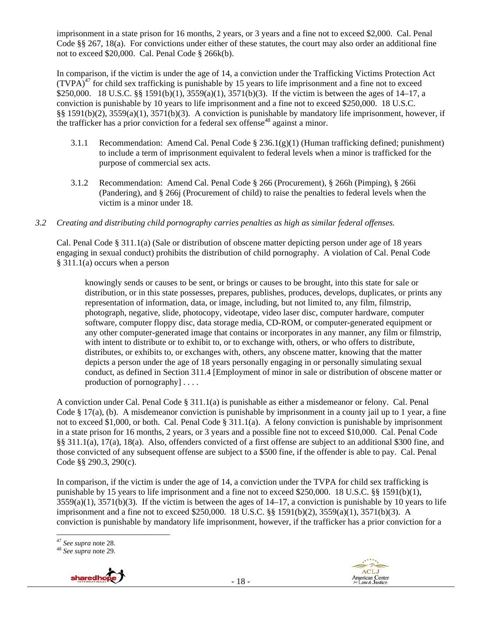imprisonment in a state prison for 16 months, 2 years, or 3 years and a fine not to exceed \$2,000. Cal. Penal Code §§ 267, 18(a). For convictions under either of these statutes, the court may also order an additional fine not to exceed \$20,000. Cal. Penal Code § 266k(b).

In comparison, if the victim is under the age of 14, a conviction under the Trafficking Victims Protection Act  $(TVPA)<sup>47</sup>$  for child sex trafficking is punishable by 15 years to life imprisonment and a fine not to exceed \$250,000. 18 U.S.C. §§ 1591(b)(1), 3559(a)(1), 3571(b)(3). If the victim is between the ages of 14–17, a conviction is punishable by 10 years to life imprisonment and a fine not to exceed \$250,000. 18 U.S.C. §§ 1591(b)(2), 3559(a)(1), 3571(b)(3). A conviction is punishable by mandatory life imprisonment, however, if the trafficker has a prior conviction for a federal sex offense<sup>48</sup> against a minor.

- 3.1.1 Recommendation: Amend Cal. Penal Code § 236.1(g)(1) (Human trafficking defined; punishment) to include a term of imprisonment equivalent to federal levels when a minor is trafficked for the purpose of commercial sex acts.
- 3.1.2 Recommendation: Amend Cal. Penal Code § 266 (Procurement), § 266h (Pimping), § 266i (Pandering), and § 266j (Procurement of child) to raise the penalties to federal levels when the victim is a minor under 18.
- *3.2 Creating and distributing child pornography carries penalties as high as similar federal offenses.*

Cal. Penal Code § 311.1(a) (Sale or distribution of obscene matter depicting person under age of 18 years engaging in sexual conduct) prohibits the distribution of child pornography. A violation of Cal. Penal Code § 311.1(a) occurs when a person

knowingly sends or causes to be sent, or brings or causes to be brought, into this state for sale or distribution, or in this state possesses, prepares, publishes, produces, develops, duplicates, or prints any representation of information, data, or image, including, but not limited to, any film, filmstrip, photograph, negative, slide, photocopy, videotape, video laser disc, computer hardware, computer software, computer floppy disc, data storage media, CD-ROM, or computer-generated equipment or any other computer-generated image that contains or incorporates in any manner, any film or filmstrip, with intent to distribute or to exhibit to, or to exchange with, others, or who offers to distribute, distributes, or exhibits to, or exchanges with, others, any obscene matter, knowing that the matter depicts a person under the age of 18 years personally engaging in or personally simulating sexual conduct, as defined in Section 311.4 [Employment of minor in sale or distribution of obscene matter or production of pornography] . . . .

A conviction under Cal. Penal Code § 311.1(a) is punishable as either a misdemeanor or felony. Cal. Penal Code § 17(a), (b). A misdemeanor conviction is punishable by imprisonment in a county jail up to 1 year, a fine not to exceed \$1,000, or both. Cal. Penal Code § 311.1(a). A felony conviction is punishable by imprisonment in a state prison for 16 months, 2 years, or 3 years and a possible fine not to exceed \$10,000. Cal. Penal Code §§ 311.1(a), 17(a), 18(a). Also, offenders convicted of a first offense are subject to an additional \$300 fine, and those convicted of any subsequent offense are subject to a \$500 fine, if the offender is able to pay. Cal. Penal Code §§ 290.3, 290(c).

In comparison, if the victim is under the age of 14, a conviction under the TVPA for child sex trafficking is punishable by 15 years to life imprisonment and a fine not to exceed \$250,000. 18 U.S.C. §§ 1591(b)(1),  $3559(a)(1)$ ,  $3571(b)(3)$ . If the victim is between the ages of  $14-17$ , a conviction is punishable by 10 years to life imprisonment and a fine not to exceed \$250,000. 18 U.S.C. §§ 1591(b)(2), 3559(a)(1), 3571(b)(3). A conviction is punishable by mandatory life imprisonment, however, if the trafficker has a prior conviction for a

<sup>47</sup> *See supra* note 28. 48 *See supra* note 29.





<sup>&</sup>lt;sup>47</sup> See supra note 28.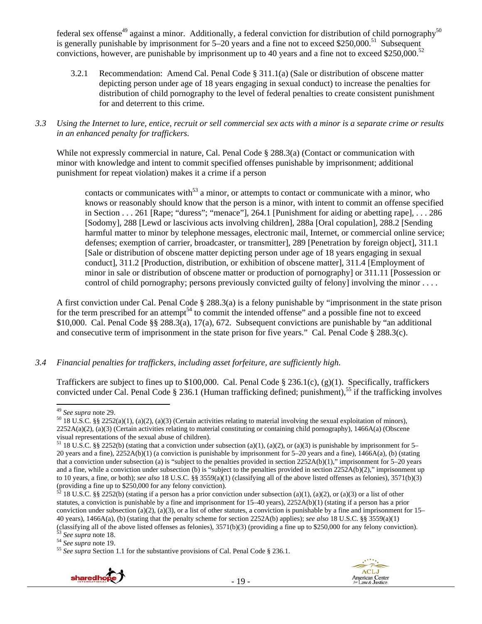federal sex offense<sup>49</sup> against a minor. Additionally, a federal conviction for distribution of child pornography<sup>50</sup> is generally punishable by imprisonment for  $5-20$  years and a fine not to exceed \$250,000.<sup>51</sup> Subsequent convictions, however, are punishable by imprisonment up to 40 years and a fine not to exceed \$250,000.<sup>52</sup>

3.2.1 Recommendation: Amend Cal. Penal Code § 311.1(a) (Sale or distribution of obscene matter depicting person under age of 18 years engaging in sexual conduct) to increase the penalties for distribution of child pornography to the level of federal penalties to create consistent punishment for and deterrent to this crime.

#### *3.3 Using the Internet to lure, entice, recruit or sell commercial sex acts with a minor is a separate crime or results in an enhanced penalty for traffickers.*

While not expressly commercial in nature, Cal. Penal Code § 288.3(a) (Contact or communication with minor with knowledge and intent to commit specified offenses punishable by imprisonment; additional punishment for repeat violation) makes it a crime if a person

contacts or communicates with<sup>53</sup> a minor, or attempts to contact or communicate with a minor, who knows or reasonably should know that the person is a minor, with intent to commit an offense specified in Section . . . 261 [Rape; "duress"; "menace"], 264.1 [Punishment for aiding or abetting rape], . . . 286 [Sodomy], 288 [Lewd or lascivious acts involving children], 288a [Oral copulation], 288.2 [Sending harmful matter to minor by telephone messages, electronic mail, Internet, or commercial online service; defenses; exemption of carrier, broadcaster, or transmitter], 289 [Penetration by foreign object], 311.1 [Sale or distribution of obscene matter depicting person under age of 18 years engaging in sexual conduct], 311.2 [Production, distribution, or exhibition of obscene matter], 311.4 [Employment of minor in sale or distribution of obscene matter or production of pornography] or 311.11 [Possession or control of child pornography; persons previously convicted guilty of felony] involving the minor . . . .

A first conviction under Cal. Penal Code § 288.3(a) is a felony punishable by "imprisonment in the state prison for the term prescribed for an attempt<sup>54</sup> to commit the intended offense" and a possible fine not to exceed \$10,000. Cal. Penal Code §§ 288.3(a), 17(a), 672. Subsequent convictions are punishable by "an additional and consecutive term of imprisonment in the state prison for five years." Cal. Penal Code § 288.3(c).

## *3.4 Financial penalties for traffickers, including asset forfeiture, are sufficiently high.*

Traffickers are subject to fines up to \$100,000. Cal. Penal Code § 236.1(c), (g)(1). Specifically, traffickers convicted under Cal. Penal Code  $\S 236.1$  (Human trafficking defined; punishment),<sup>55</sup> if the trafficking involves





<sup>&</sup>lt;sup>49</sup> See supra note 29.

<sup>&</sup>lt;sup>50</sup> 18 U.S.C. §§ 2252(a)(1), (a)(2), (a)(3) (Certain activities relating to material involving the sexual exploitation of minors),  $2252A(a)(2)$ , (a)(3) (Certain activities relating to material constituting or containing child pornography), 1466A(a) (Obscene visual representations of the sexual abuse of children).

<sup>&</sup>lt;sup>51</sup> 18 U.S.C. §§ 2252(b) (stating that a conviction under subsection (a)(1), (a)(2), or (a)(3) is punishable by imprisonment for 5– 20 years and a fine),  $2252A(b)(1)$  (a conviction is punishable by imprisonment for 5–20 years and a fine),  $1466A(a)$ , (b) (stating that a conviction under subsection (a) is "subject to the penalties provided in section  $2252A(b)(1)$ ," imprisonment for 5–20 years and a fine, while a conviction under subsection (b) is "subject to the penalties provided in section  $2252A(b)(2)$ ," imprisonment up to 10 years, a fine, or both); *see also* 18 U.S.C. §§ 3559(a)(1) (classifying all of the above listed offenses as felonies), 3571(b)(3) (providing a fine up to \$250,000 for any felony conviction).

 $52$  18 U.S.C. §§ 2252(b) (stating if a person has a prior conviction under subsection (a)(1), (a)(2), or (a)(3) or a list of other statutes, a conviction is punishable by a fine and imprisonment for 15–40 years), 2252A(b)(1) (stating if a person has a prior conviction under subsection (a)(2), (a)(3), or a list of other statutes, a conviction is punishable by a fine and imprisonment for  $15-$ 40 years), 1466A(a), (b) (stating that the penalty scheme for section 2252A(b) applies); *see also* 18 U.S.C. §§ 3559(a)(1) (classifying all of the above listed offenses as felonies), 3571(b)(3) (providing a fine up to \$250,000 for any felony conviction).<br><sup>53</sup> See supra note 18.<br><sup>54</sup> See supra note 19.<br><sup>55</sup> See supra Section 1.1 for the substa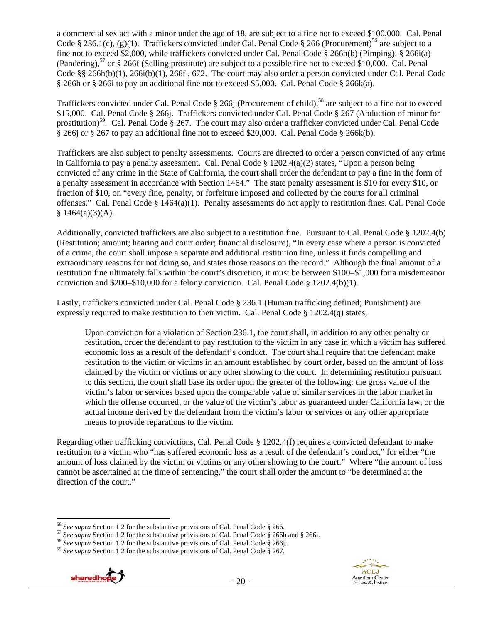a commercial sex act with a minor under the age of 18, are subject to a fine not to exceed \$100,000. Cal. Penal Code § 236.1(c), (g)(1). Traffickers convicted under Cal. Penal Code § 266 (Procurement)<sup>56</sup> are subject to a fine not to exceed \$2,000, while traffickers convicted under Cal. Penal Code § 266h(b) (Pimping), § 266i(a) (Pandering),<sup>57</sup> or § 266f (Selling prostitute) are subject to a possible fine not to exceed \$10,000. Cal. Penal Code §§ 266h(b)(1), 266i(b)(1), 266f , 672. The court may also order a person convicted under Cal. Penal Code § 266h or § 266i to pay an additional fine not to exceed \$5,000. Cal. Penal Code § 266k(a).

Traffickers convicted under Cal. Penal Code § 266j (Procurement of child),<sup>58</sup> are subject to a fine not to exceed \$15,000. Cal. Penal Code § 266j. Traffickers convicted under Cal. Penal Code § 267 (Abduction of minor for prostitution)<sup>59</sup>. Cal. Penal Code § 267. The court may also order a trafficker convicted under Cal. Penal Code § 266j or § 267 to pay an additional fine not to exceed \$20,000. Cal. Penal Code § 266k(b).

Traffickers are also subject to penalty assessments. Courts are directed to order a person convicted of any crime in California to pay a penalty assessment. Cal. Penal Code  $\S 1202.4(a)(2)$  states, "Upon a person being convicted of any crime in the State of California, the court shall order the defendant to pay a fine in the form of a penalty assessment in accordance with Section 1464." The state penalty assessment is \$10 for every \$10, or fraction of \$10, on "every fine, penalty, or forfeiture imposed and collected by the courts for all criminal offenses." Cal. Penal Code  $\S 1464(a)(1)$ . Penalty assessments do not apply to restitution fines. Cal. Penal Code  $§ 1464(a)(3)(A).$ 

Additionally, convicted traffickers are also subject to a restitution fine. Pursuant to Cal. Penal Code § 1202.4(b) (Restitution; amount; hearing and court order; financial disclosure), "In every case where a person is convicted of a crime, the court shall impose a separate and additional restitution fine, unless it finds compelling and extraordinary reasons for not doing so, and states those reasons on the record." Although the final amount of a restitution fine ultimately falls within the court's discretion, it must be between \$100–\$1,000 for a misdemeanor conviction and \$200–\$10,000 for a felony conviction. Cal. Penal Code § 1202.4(b)(1).

Lastly, traffickers convicted under Cal. Penal Code § 236.1 (Human trafficking defined; Punishment) are expressly required to make restitution to their victim. Cal. Penal Code § 1202.4(q) states,

Upon conviction for a violation of Section 236.1, the court shall, in addition to any other penalty or restitution, order the defendant to pay restitution to the victim in any case in which a victim has suffered economic loss as a result of the defendant's conduct. The court shall require that the defendant make restitution to the victim or victims in an amount established by court order, based on the amount of loss claimed by the victim or victims or any other showing to the court. In determining restitution pursuant to this section, the court shall base its order upon the greater of the following: the gross value of the victim's labor or services based upon the comparable value of similar services in the labor market in which the offense occurred, or the value of the victim's labor as guaranteed under California law, or the actual income derived by the defendant from the victim's labor or services or any other appropriate means to provide reparations to the victim.

Regarding other trafficking convictions, Cal. Penal Code § 1202.4(f) requires a convicted defendant to make restitution to a victim who "has suffered economic loss as a result of the defendant's conduct," for either "the amount of loss claimed by the victim or victims or any other showing to the court." Where "the amount of loss cannot be ascertained at the time of sentencing," the court shall order the amount to "be determined at the direction of the court."





<sup>&</sup>lt;sup>56</sup> See supra Section 1.2 for the substantive provisions of Cal. Penal Code § 266.<br><sup>57</sup> See supra Section 1.2 for the substantive provisions of Cal. Penal Code § 266h and § 266i.<br><sup>58</sup> See supra Section 1.2 for the substa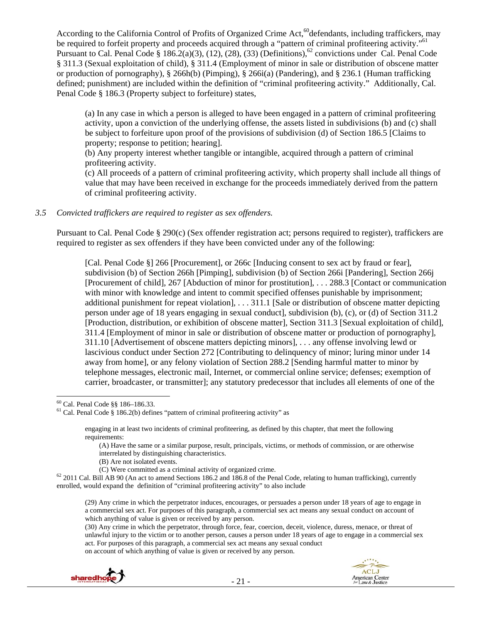According to the California Control of Profits of Organized Crime Act,<sup>60</sup>defendants, including traffickers, may be required to forfeit property and proceeds acquired through a "pattern of criminal profiteering activity."<sup>61</sup> Pursuant to Cal. Penal Code  $\S 186.2(a)(3)$ , (12), (28), (33) (Definitions),  $^{62}$  convictions under Cal. Penal Code § 311.3 (Sexual exploitation of child), § 311.4 (Employment of minor in sale or distribution of obscene matter or production of pornography), § 266h(b) (Pimping), § 266i(a) (Pandering), and § 236.1 (Human trafficking defined; punishment) are included within the definition of "criminal profiteering activity." Additionally, Cal. Penal Code § 186.3 (Property subject to forfeiture) states,

(a) In any case in which a person is alleged to have been engaged in a pattern of criminal profiteering activity, upon a conviction of the underlying offense, the assets listed in subdivisions (b) and (c) shall be subject to forfeiture upon proof of the provisions of subdivision (d) of Section 186.5 [Claims to property; response to petition; hearing].

(b) Any property interest whether tangible or intangible, acquired through a pattern of criminal profiteering activity.

(c) All proceeds of a pattern of criminal profiteering activity, which property shall include all things of value that may have been received in exchange for the proceeds immediately derived from the pattern of criminal profiteering activity.

#### *3.5 Convicted traffickers are required to register as sex offenders.*

Pursuant to Cal. Penal Code § 290(c) (Sex offender registration act; persons required to register), traffickers are required to register as sex offenders if they have been convicted under any of the following:

[Cal. Penal Code §] 266 [Procurement], or 266c [Inducing consent to sex act by fraud or fear], subdivision (b) of Section 266h [Pimping], subdivision (b) of Section 266i [Pandering], Section 266j [Procurement of child], 267 [Abduction of minor for prostitution], . . . 288.3 [Contact or communication with minor with knowledge and intent to commit specified offenses punishable by imprisonment; additional punishment for repeat violation], . . . 311.1 [Sale or distribution of obscene matter depicting person under age of 18 years engaging in sexual conduct], subdivision (b), (c), or (d) of Section 311.2 [Production, distribution, or exhibition of obscene matter], Section 311.3 [Sexual exploitation of child], 311.4 [Employment of minor in sale or distribution of obscene matter or production of pornography], 311.10 [Advertisement of obscene matters depicting minors], . . . any offense involving lewd or lascivious conduct under Section 272 [Contributing to delinquency of minor; luring minor under 14 away from home], or any felony violation of Section 288.2 [Sending harmful matter to minor by telephone messages, electronic mail, Internet, or commercial online service; defenses; exemption of carrier, broadcaster, or transmitter]; any statutory predecessor that includes all elements of one of the

(B) Are not isolated events.

on account of which anything of value is given or received by any person.





 60 Cal. Penal Code §§ 186–186.33.

 $61$  Cal. Penal Code § 186.2(b) defines "pattern of criminal profiteering activity" as

engaging in at least two incidents of criminal profiteering, as defined by this chapter, that meet the following requirements:

<sup>(</sup>A) Have the same or a similar purpose, result, principals, victims, or methods of commission, or are otherwise interrelated by distinguishing characteristics.

<sup>(</sup>C) Were committed as a criminal activity of organized crime.<br><sup>62</sup> 2011 Cal. Bill AB 90 (An act to amend Sections 186.2 and 186.8 of the Penal Code, relating to human trafficking), currently enrolled, would expand the definition of "criminal profiteering activity" to also include

<sup>(29)</sup> Any crime in which the perpetrator induces, encourages, or persuades a person under 18 years of age to engage in a commercial sex act. For purposes of this paragraph, a commercial sex act means any sexual conduct on account of which anything of value is given or received by any person.

<sup>(30)</sup> Any crime in which the perpetrator, through force, fear, coercion, deceit, violence, duress, menace, or threat of unlawful injury to the victim or to another person, causes a person under 18 years of age to engage in a commercial sex act. For purposes of this paragraph, a commercial sex act means any sexual conduct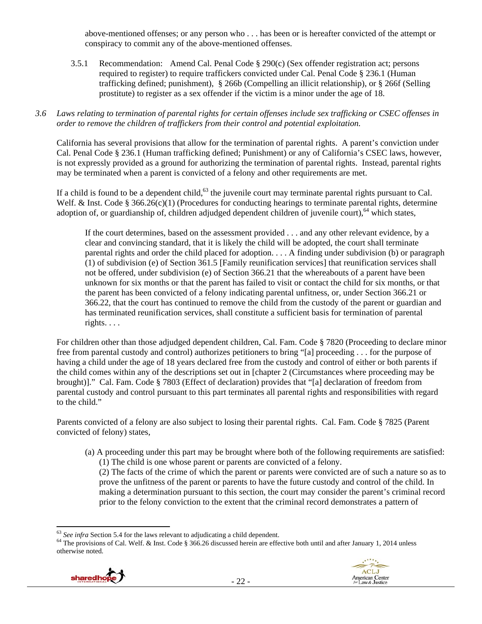above-mentioned offenses; or any person who . . . has been or is hereafter convicted of the attempt or conspiracy to commit any of the above-mentioned offenses.

3.5.1 Recommendation: Amend Cal. Penal Code § 290(c) (Sex offender registration act; persons required to register) to require traffickers convicted under Cal. Penal Code § 236.1 (Human trafficking defined; punishment), § 266b (Compelling an illicit relationship), or § 266f (Selling prostitute) to register as a sex offender if the victim is a minor under the age of 18.

#### *3.6 Laws relating to termination of parental rights for certain offenses include sex trafficking or CSEC offenses in order to remove the children of traffickers from their control and potential exploitation.*

California has several provisions that allow for the termination of parental rights. A parent's conviction under Cal. Penal Code § 236.1 (Human trafficking defined; Punishment) or any of California's CSEC laws, however, is not expressly provided as a ground for authorizing the termination of parental rights. Instead, parental rights may be terminated when a parent is convicted of a felony and other requirements are met.

If a child is found to be a dependent child,  $63$  the juvenile court may terminate parental rights pursuant to Cal. Welf. & Inst. Code § 366.26(c)(1) (Procedures for conducting hearings to terminate parental rights, determine adoption of, or guardianship of, children adjudged dependent children of juvenile court),<sup>64</sup> which states,

If the court determines, based on the assessment provided . . . and any other relevant evidence, by a clear and convincing standard, that it is likely the child will be adopted, the court shall terminate parental rights and order the child placed for adoption. . . . A finding under subdivision (b) or paragraph (1) of subdivision (e) of Section 361.5 [Family reunification services] that reunification services shall not be offered, under subdivision (e) of Section 366.21 that the whereabouts of a parent have been unknown for six months or that the parent has failed to visit or contact the child for six months, or that the parent has been convicted of a felony indicating parental unfitness, or, under Section 366.21 or 366.22, that the court has continued to remove the child from the custody of the parent or guardian and has terminated reunification services, shall constitute a sufficient basis for termination of parental rights. . . .

For children other than those adjudged dependent children, Cal. Fam. Code § 7820 (Proceeding to declare minor free from parental custody and control) authorizes petitioners to bring "[a] proceeding . . . for the purpose of having a child under the age of 18 years declared free from the custody and control of either or both parents if the child comes within any of the descriptions set out in [chapter 2 (Circumstances where proceeding may be brought)]." Cal. Fam. Code § 7803 (Effect of declaration) provides that "[a] declaration of freedom from parental custody and control pursuant to this part terminates all parental rights and responsibilities with regard to the child."

Parents convicted of a felony are also subject to losing their parental rights. Cal. Fam. Code § 7825 (Parent convicted of felony) states,

(a) A proceeding under this part may be brought where both of the following requirements are satisfied: (1) The child is one whose parent or parents are convicted of a felony.

(2) The facts of the crime of which the parent or parents were convicted are of such a nature so as to prove the unfitness of the parent or parents to have the future custody and control of the child. In making a determination pursuant to this section, the court may consider the parent's criminal record prior to the felony conviction to the extent that the criminal record demonstrates a pattern of

<sup>&</sup>lt;sup>64</sup> The provisions of Cal. Welf. & Inst. Code § 366.26 discussed herein are effective both until and after January 1, 2014 unless otherwise noted.



 $63$  See infra Section 5.4 for the laws relevant to adjudicating a child dependent.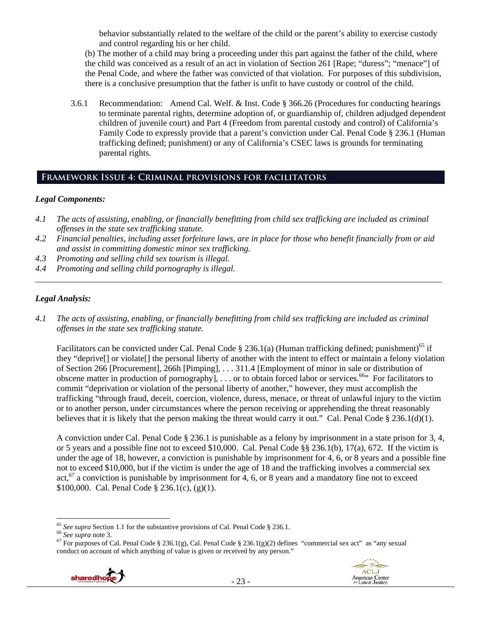behavior substantially related to the welfare of the child or the parent's ability to exercise custody and control regarding his or her child.

(b) The mother of a child may bring a proceeding under this part against the father of the child, where the child was conceived as a result of an act in violation of Section 261 [Rape; "duress"; "menace"] of the Penal Code, and where the father was convicted of that violation. For purposes of this subdivision, there is a conclusive presumption that the father is unfit to have custody or control of the child.

3.6.1 Recommendation: Amend Cal. Welf. & Inst. Code § 366.26 (Procedures for conducting hearings to terminate parental rights, determine adoption of, or guardianship of, children adjudged dependent children of juvenile court) and Part 4 (Freedom from parental custody and control) of California's Family Code to expressly provide that a parent's conviction under Cal. Penal Code § 236.1 (Human trafficking defined; punishment) or any of California's CSEC laws is grounds for terminating parental rights.

## **Framework Issue 4: Criminal provisions for facilitators**

## *Legal Components:*

- *4.1 The acts of assisting, enabling, or financially benefitting from child sex trafficking are included as criminal offenses in the state sex trafficking statute.*
- *4.2 Financial penalties, including asset forfeiture laws, are in place for those who benefit financially from or aid and assist in committing domestic minor sex trafficking.*
- *4.3 Promoting and selling child sex tourism is illegal.*
- *4.4 Promoting and selling child pornography is illegal. \_\_\_\_\_\_\_\_\_\_\_\_\_\_\_\_\_\_\_\_\_\_\_\_\_\_\_\_\_\_\_\_\_\_\_\_\_\_\_\_\_\_\_\_\_\_\_\_\_\_\_\_\_\_\_\_\_\_\_\_\_\_\_\_\_\_\_\_\_\_\_\_\_\_\_\_\_\_\_\_\_\_\_\_\_\_\_\_\_\_\_\_\_\_*

## *Legal Analysis:*

*4.1 The acts of assisting, enabling, or financially benefitting from child sex trafficking are included as criminal offenses in the state sex trafficking statute.* 

Facilitators can be convicted under Cal. Penal Code § 236.1(a) (Human trafficking defined; punishment)<sup>65</sup> if they "deprive[] or violate[] the personal liberty of another with the intent to effect or maintain a felony violation of Section 266 [Procurement], 266h [Pimping], . . . 311.4 [Employment of minor in sale or distribution of obscene matter in production of pornography],  $\ldots$  or to obtain forced labor or services.<sup>66</sup> For facilitators to commit "deprivation or violation of the personal liberty of another," however, they must accomplish the trafficking "through fraud, deceit, coercion, violence, duress, menace, or threat of unlawful injury to the victim or to another person, under circumstances where the person receiving or apprehending the threat reasonably believes that it is likely that the person making the threat would carry it out." Cal. Penal Code  $\S 236.1(d)(1)$ .

A conviction under Cal. Penal Code § 236.1 is punishable as a felony by imprisonment in a state prison for 3, 4, or 5 years and a possible fine not to exceed \$10,000. Cal. Penal Code §§ 236.1(b), 17(a), 672. If the victim is under the age of 18, however, a conviction is punishable by imprisonment for 4, 6, or 8 years and a possible fine not to exceed \$10,000, but if the victim is under the age of 18 and the trafficking involves a commercial sex act,  $^{67}$  a conviction is punishable by imprisonment for 4, 6, or 8 years and a mandatory fine not to exceed \$100,000. Cal. Penal Code § 236.1(c), (g)(1).

<sup>&</sup>lt;sup>65</sup> See supra Section 1.1 for the substantive provisions of Cal. Penal Code § 236.1.<br><sup>66</sup> See supra note 3.<br><sup>67</sup> For purposes of Cal. Penal Code § 236.1(g), Cal. Penal Code § 236.1(g)(2) defines "commercial sex act" as " conduct on account of which anything of value is given or received by any person."



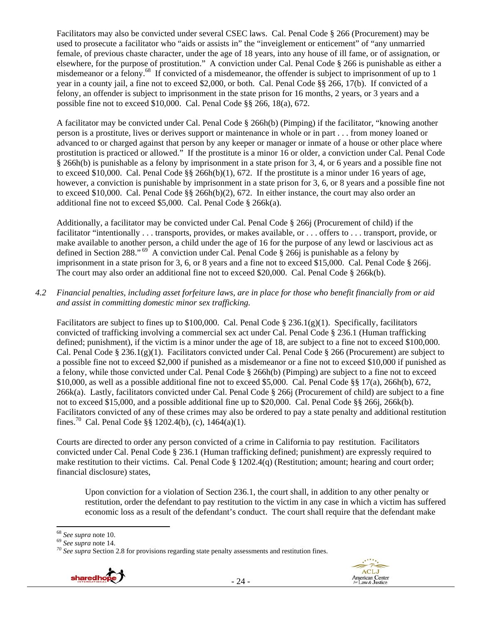Facilitators may also be convicted under several CSEC laws. Cal. Penal Code § 266 (Procurement) may be used to prosecute a facilitator who "aids or assists in" the "inveiglement or enticement" of "any unmarried female, of previous chaste character, under the age of 18 years, into any house of ill fame, or of assignation, or elsewhere, for the purpose of prostitution." A conviction under Cal. Penal Code § 266 is punishable as either a misdemeanor or a felony.<sup>68</sup> If convicted of a misdemeanor, the offender is subject to imprisonment of up to 1 year in a county jail, a fine not to exceed \$2,000, or both. Cal. Penal Code §§ 266, 17(b). If convicted of a felony, an offender is subject to imprisonment in the state prison for 16 months, 2 years, or 3 years and a possible fine not to exceed \$10,000. Cal. Penal Code §§ 266, 18(a), 672.

A facilitator may be convicted under Cal. Penal Code § 266h(b) (Pimping) if the facilitator, "knowing another person is a prostitute, lives or derives support or maintenance in whole or in part . . . from money loaned or advanced to or charged against that person by any keeper or manager or inmate of a house or other place where prostitution is practiced or allowed." If the prostitute is a minor 16 or older, a conviction under Cal. Penal Code § 266h(b) is punishable as a felony by imprisonment in a state prison for 3, 4, or 6 years and a possible fine not to exceed \$10,000. Cal. Penal Code  $\S$ § 266h(b)(1), 672. If the prostitute is a minor under 16 years of age, however, a conviction is punishable by imprisonment in a state prison for 3, 6, or 8 years and a possible fine not to exceed \$10,000. Cal. Penal Code §§ 266h(b)(2), 672. In either instance, the court may also order an additional fine not to exceed \$5,000. Cal. Penal Code § 266k(a).

Additionally, a facilitator may be convicted under Cal. Penal Code § 266j (Procurement of child) if the facilitator "intentionally . . . transports, provides, or makes available, or . . . offers to . . . transport, provide, or make available to another person, a child under the age of 16 for the purpose of any lewd or lascivious act as defined in Section 288."  $^{69}$  A conviction under Cal. Penal Code § 266j is punishable as a felony by imprisonment in a state prison for 3, 6, or 8 years and a fine not to exceed \$15,000. Cal. Penal Code § 266j. The court may also order an additional fine not to exceed \$20,000. Cal. Penal Code § 266k(b).

## *4.2 Financial penalties, including asset forfeiture laws, are in place for those who benefit financially from or aid and assist in committing domestic minor sex trafficking.*

Facilitators are subject to fines up to \$100,000. Cal. Penal Code  $\S 236.1(g)(1)$ . Specifically, facilitators convicted of trafficking involving a commercial sex act under Cal. Penal Code § 236.1 (Human trafficking defined; punishment), if the victim is a minor under the age of 18, are subject to a fine not to exceed \$100,000. Cal. Penal Code § 236.1(g)(1). Facilitators convicted under Cal. Penal Code § 266 (Procurement) are subject to a possible fine not to exceed \$2,000 if punished as a misdemeanor or a fine not to exceed \$10,000 if punished as a felony, while those convicted under Cal. Penal Code § 266h(b) (Pimping) are subject to a fine not to exceed \$10,000, as well as a possible additional fine not to exceed \$5,000. Cal. Penal Code §§ 17(a), 266h(b), 672, 266k(a). Lastly, facilitators convicted under Cal. Penal Code  $\S$  266j (Procurement of child) are subject to a fine not to exceed \$15,000, and a possible additional fine up to \$20,000. Cal. Penal Code §§ 266j, 266k(b). Facilitators convicted of any of these crimes may also be ordered to pay a state penalty and additional restitution fines.<sup>70</sup> Cal. Penal Code §§ 1202.4(b), (c), 1464(a)(1).

Courts are directed to order any person convicted of a crime in California to pay restitution. Facilitators convicted under Cal. Penal Code § 236.1 (Human trafficking defined; punishment) are expressly required to make restitution to their victims. Cal. Penal Code § 1202.4(q) (Restitution; amount; hearing and court order; financial disclosure) states,

Upon conviction for a violation of Section 236.1, the court shall, in addition to any other penalty or restitution, order the defendant to pay restitution to the victim in any case in which a victim has suffered economic loss as a result of the defendant's conduct. The court shall require that the defendant make

<sup>&</sup>lt;sup>68</sup> *See supra* note 10.<br><sup>69</sup> *See supra* note 14.<br><sup>70</sup> *See supra* Section 2.8 for provisions regarding state penalty assessments and restitution fines.



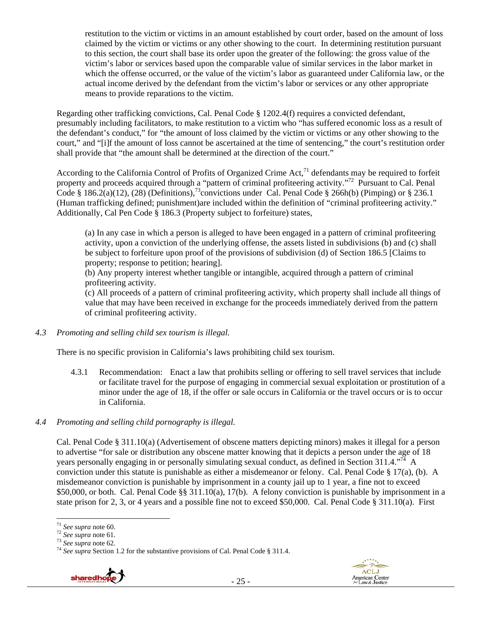restitution to the victim or victims in an amount established by court order, based on the amount of loss claimed by the victim or victims or any other showing to the court. In determining restitution pursuant to this section, the court shall base its order upon the greater of the following: the gross value of the victim's labor or services based upon the comparable value of similar services in the labor market in which the offense occurred, or the value of the victim's labor as guaranteed under California law, or the actual income derived by the defendant from the victim's labor or services or any other appropriate means to provide reparations to the victim.

Regarding other trafficking convictions, Cal. Penal Code § 1202.4(f) requires a convicted defendant, presumably including facilitators, to make restitution to a victim who "has suffered economic loss as a result of the defendant's conduct," for "the amount of loss claimed by the victim or victims or any other showing to the court," and "[i]f the amount of loss cannot be ascertained at the time of sentencing," the court's restitution order shall provide that "the amount shall be determined at the direction of the court."

According to the California Control of Profits of Organized Crime Act, $^{71}$  defendants may be required to forfeit property and proceeds acquired through a "pattern of criminal profiteering activity."72 Pursuant to Cal. Penal Code § 186.2(a)(12), (28) (Definitions),<sup>73</sup>convictions under Cal. Penal Code § 266h(b) (Pimping) or § 236.1 (Human trafficking defined; punishment)are included within the definition of "criminal profiteering activity." Additionally, Cal Pen Code § 186.3 (Property subject to forfeiture) states,

(a) In any case in which a person is alleged to have been engaged in a pattern of criminal profiteering activity, upon a conviction of the underlying offense, the assets listed in subdivisions (b) and (c) shall be subject to forfeiture upon proof of the provisions of subdivision (d) of Section 186.5 [Claims to property; response to petition; hearing].

(b) Any property interest whether tangible or intangible, acquired through a pattern of criminal profiteering activity.

(c) All proceeds of a pattern of criminal profiteering activity, which property shall include all things of value that may have been received in exchange for the proceeds immediately derived from the pattern of criminal profiteering activity.

*4.3 Promoting and selling child sex tourism is illegal.* 

There is no specific provision in California's laws prohibiting child sex tourism.

- 4.3.1 Recommendation: Enact a law that prohibits selling or offering to sell travel services that include or facilitate travel for the purpose of engaging in commercial sexual exploitation or prostitution of a minor under the age of 18, if the offer or sale occurs in California or the travel occurs or is to occur in California.
- *4.4 Promoting and selling child pornography is illegal.*

Cal. Penal Code § 311.10(a) (Advertisement of obscene matters depicting minors) makes it illegal for a person to advertise "for sale or distribution any obscene matter knowing that it depicts a person under the age of 18 years personally engaging in or personally simulating sexual conduct, as defined in Section 311.4."<sup>74</sup> A conviction under this statute is punishable as either a misdemeanor or felony. Cal. Penal Code § 17(a), (b). A misdemeanor conviction is punishable by imprisonment in a county jail up to 1 year, a fine not to exceed \$50,000, or both. Cal. Penal Code §§ 311.10(a), 17(b). A felony conviction is punishable by imprisonment in a state prison for 2, 3, or 4 years and a possible fine not to exceed \$50,000. Cal. Penal Code § 311.10(a). First

<sup>&</sup>lt;sup>73</sup> *See supra* note 62.<br><sup>74</sup> *See supra* Section 1.2 for the substantive provisions of Cal. Penal Code § 311.4.





<sup>&</sup>lt;sup>71</sup> See supra note 60.<br><sup>72</sup> See supra note 61.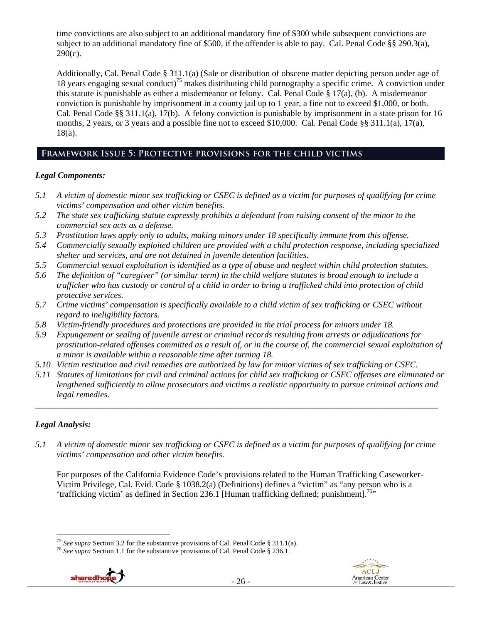time convictions are also subject to an additional mandatory fine of \$300 while subsequent convictions are subject to an additional mandatory fine of \$500, if the offender is able to pay. Cal. Penal Code §§ 290.3(a),  $290(c)$ .

Additionally, Cal. Penal Code § 311.1(a) (Sale or distribution of obscene matter depicting person under age of 18 years engaging sexual conduct)<sup>75</sup> makes distributing child pornography a specific crime. A conviction under this statute is punishable as either a misdemeanor or felony. Cal. Penal Code § 17(a), (b). A misdemeanor conviction is punishable by imprisonment in a county jail up to 1 year, a fine not to exceed \$1,000, or both. Cal. Penal Code §§ 311.1(a), 17(b). A felony conviction is punishable by imprisonment in a state prison for 16 months, 2 years, or 3 years and a possible fine not to exceed \$10,000. Cal. Penal Code §§ 311.1(a), 17(a), 18(a).

## **Framework Issue 5: Protective provisions for the child victims**

## *Legal Components:*

- *5.1 A victim of domestic minor sex trafficking or CSEC is defined as a victim for purposes of qualifying for crime victims' compensation and other victim benefits.*
- *5.2 The state sex trafficking statute expressly prohibits a defendant from raising consent of the minor to the commercial sex acts as a defense.*
- *5.3 Prostitution laws apply only to adults, making minors under 18 specifically immune from this offense.*
- *5.4 Commercially sexually exploited children are provided with a child protection response, including specialized shelter and services, and are not detained in juvenile detention facilities.*
- *5.5 Commercial sexual exploitation is identified as a type of abuse and neglect within child protection statutes.*
- *5.6 The definition of "caregiver" (or similar term) in the child welfare statutes is broad enough to include a trafficker who has custody or control of a child in order to bring a trafficked child into protection of child protective services.*
- *5.7 Crime victims' compensation is specifically available to a child victim of sex trafficking or CSEC without regard to ineligibility factors.*
- *5.8 Victim-friendly procedures and protections are provided in the trial process for minors under 18.*
- *5.9 Expungement or sealing of juvenile arrest or criminal records resulting from arrests or adjudications for prostitution-related offenses committed as a result of, or in the course of, the commercial sexual exploitation of a minor is available within a reasonable time after turning 18.*
- *5.10 Victim restitution and civil remedies are authorized by law for minor victims of sex trafficking or CSEC.*
- *5.11 Statutes of limitations for civil and criminal actions for child sex trafficking or CSEC offenses are eliminated or lengthened sufficiently to allow prosecutors and victims a realistic opportunity to pursue criminal actions and legal remedies.*

*\_\_\_\_\_\_\_\_\_\_\_\_\_\_\_\_\_\_\_\_\_\_\_\_\_\_\_\_\_\_\_\_\_\_\_\_\_\_\_\_\_\_\_\_\_\_\_\_\_\_\_\_\_\_\_\_\_\_\_\_\_\_\_\_\_\_\_\_\_\_\_\_\_\_\_\_\_\_\_\_\_\_\_\_\_\_\_\_\_\_\_\_\_* 

## *Legal Analysis:*

*5.1 A victim of domestic minor sex trafficking or CSEC is defined as a victim for purposes of qualifying for crime victims' compensation and other victim benefits.* 

For purposes of the California Evidence Code's provisions related to the Human Trafficking Caseworker-Victim Privilege, Cal. Evid. Code § 1038.2(a) (Definitions) defines a "victim" as "any person who is a 'trafficking victim' as defined in Section 236.1 [Human trafficking defined; punishment].<sup>76</sup>"

<sup>&</sup>lt;sup>76</sup> See supra Section 1.1 for the substantive provisions of Cal. Penal Code § 236.1.





<sup>&</sup>lt;sup>75</sup> See supra Section 3.2 for the substantive provisions of Cal. Penal Code § 311.1(a).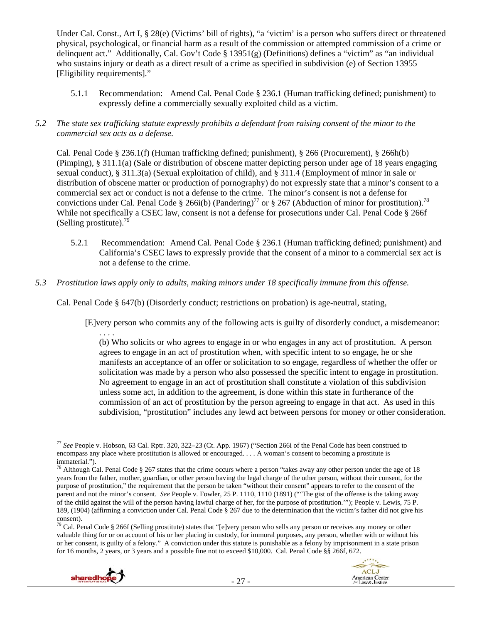Under Cal. Const., Art I, § 28(e) (Victims' bill of rights), "a 'victim' is a person who suffers direct or threatened physical, psychological, or financial harm as a result of the commission or attempted commission of a crime or delinquent act." Additionally, Cal. Gov't Code § 13951(g) (Definitions) defines a "victim" as "an individual who sustains injury or death as a direct result of a crime as specified in subdivision (e) of Section 13955 [Eligibility requirements]."

- 5.1.1 Recommendation: Amend Cal. Penal Code § 236.1 (Human trafficking defined; punishment) to expressly define a commercially sexually exploited child as a victim.
- *5.2 The state sex trafficking statute expressly prohibits a defendant from raising consent of the minor to the commercial sex acts as a defense.*

Cal. Penal Code § 236.1(f) (Human trafficking defined; punishment), § 266 (Procurement), § 266h(b) (Pimping), § 311.1(a) (Sale or distribution of obscene matter depicting person under age of 18 years engaging sexual conduct), § 311.3(a) (Sexual exploitation of child), and § 311.4 (Employment of minor in sale or distribution of obscene matter or production of pornography) do not expressly state that a minor's consent to a commercial sex act or conduct is not a defense to the crime. The minor's consent is not a defense for convictions under Cal. Penal Code § 266i(b) (Pandering)<sup>77</sup> or § 267 (Abduction of minor for prostitution).<sup>78</sup> While not specifically a CSEC law, consent is not a defense for prosecutions under Cal. Penal Code § 266f (Selling prostitute). $^{79}$ 

- 5.2.1 Recommendation: Amend Cal. Penal Code § 236.1 (Human trafficking defined; punishment) and California's CSEC laws to expressly provide that the consent of a minor to a commercial sex act is not a defense to the crime.
- *5.3 Prostitution laws apply only to adults, making minors under 18 specifically immune from this offense.*

Cal. Penal Code § 647(b) (Disorderly conduct; restrictions on probation) is age-neutral, stating,

[E]very person who commits any of the following acts is guilty of disorderly conduct, a misdemeanor: . . . .

(b) Who solicits or who agrees to engage in or who engages in any act of prostitution. A person agrees to engage in an act of prostitution when, with specific intent to so engage, he or she manifests an acceptance of an offer or solicitation to so engage, regardless of whether the offer or solicitation was made by a person who also possessed the specific intent to engage in prostitution. No agreement to engage in an act of prostitution shall constitute a violation of this subdivision unless some act, in addition to the agreement, is done within this state in furtherance of the commission of an act of prostitution by the person agreeing to engage in that act. As used in this subdivision, "prostitution" includes any lewd act between persons for money or other consideration.

 $79$  Cal. Penal Code § 266f (Selling prostitute) states that "[e]very person who sells any person or receives any money or other valuable thing for or on account of his or her placing in custody, for immoral purposes, any person, whether with or without his or her consent, is guilty of a felony." A conviction under this statute is punishable as a felony by imprisonment in a state prison for 16 months, 2 years, or 3 years and a possible fine not to exceed \$10,000. Cal. Penal Code §§ 266f, 672.





 <sup>77</sup> *See* People v. Hobson, 63 Cal. Rptr. 320, 322–23 (Ct. App. 1967) ("Section 266i of the Penal Code has been construed to encompass any place where prostitution is allowed or encouraged. . . . A woman's consent to becoming a prostitute is immaterial.").

 $^{78}$  Although Cal. Penal Code § 267 states that the crime occurs where a person "takes away any other person under the age of 18 years from the father, mother, guardian, or other person having the legal charge of the other person, without their consent, for the purpose of prostitution," the requirement that the person be taken "without their consent" appears to refer to the consent of the parent and not the minor's consent. *See* People v. Fowler, 25 P. 1110, 1110 (1891) ("'The gist of the offense is the taking away of the child against the will of the person having lawful charge of her, for the purpose of prostitution.'"); People v. Lewis, 75 P. 189, (1904) (affirming a conviction under Cal. Penal Code § 267 due to the determination that the victim's father did not give his consent).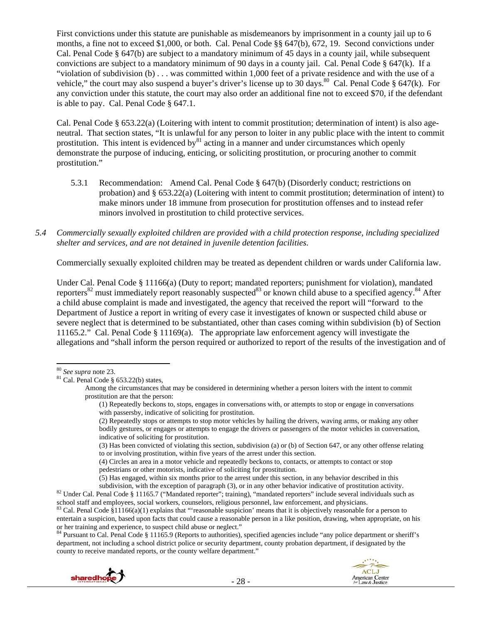First convictions under this statute are punishable as misdemeanors by imprisonment in a county jail up to 6 months, a fine not to exceed \$1,000, or both. Cal. Penal Code §§ 647(b), 672, 19. Second convictions under Cal. Penal Code § 647(b) are subject to a mandatory minimum of 45 days in a county jail, while subsequent convictions are subject to a mandatory minimum of 90 days in a county jail. Cal. Penal Code  $\S$  647(k). If a "violation of subdivision (b) . . . was committed within 1,000 feet of a private residence and with the use of a vehicle," the court may also suspend a buyer's driver's license up to  $30$  days.<sup>80</sup> Cal. Penal Code § 647(k). For any conviction under this statute, the court may also order an additional fine not to exceed \$70, if the defendant is able to pay. Cal. Penal Code § 647.1.

Cal. Penal Code § 653.22(a) (Loitering with intent to commit prostitution; determination of intent) is also ageneutral. That section states, "It is unlawful for any person to loiter in any public place with the intent to commit prostitution. This intent is evidenced by $^{81}$  acting in a manner and under circumstances which openly demonstrate the purpose of inducing, enticing, or soliciting prostitution, or procuring another to commit prostitution."

- 5.3.1 Recommendation: Amend Cal. Penal Code § 647(b) (Disorderly conduct; restrictions on probation) and § 653.22(a) (Loitering with intent to commit prostitution; determination of intent) to make minors under 18 immune from prosecution for prostitution offenses and to instead refer minors involved in prostitution to child protective services.
- *5.4 Commercially sexually exploited children are provided with a child protection response, including specialized shelter and services, and are not detained in juvenile detention facilities.*

Commercially sexually exploited children may be treated as dependent children or wards under California law.

Under Cal. Penal Code § 11166(a) (Duty to report; mandated reporters; punishment for violation), mandated reporters<sup>82</sup> must immediately report reasonably suspected<sup>83</sup> or known child abuse to a specified agency.<sup>84</sup> After a child abuse complaint is made and investigated, the agency that received the report will "forward to the Department of Justice a report in writing of every case it investigates of known or suspected child abuse or severe neglect that is determined to be substantiated, other than cases coming within subdivision (b) of Section 11165.2." Cal. Penal Code § 11169(a). The appropriate law enforcement agency will investigate the allegations and "shall inform the person required or authorized to report of the results of the investigation and of

(4) Circles an area in a motor vehicle and repeatedly beckons to, contacts, or attempts to contact or stop pedestrians or other motorists, indicative of soliciting for prostitution.

 $(5)$  Has engaged, within six months prior to the arrest under this section, in any behavior described in this subdivision, with the exception of paragraph  $(3)$ , or in any other behavior indicative of prostitution activi

<sup>82</sup> Under Cal. Penal Code § 11165.7 ("Mandated reporter"; training), "mandated reporters" include several individuals such as school staff and employees, social workers, counselors, religious personnel, law enforcement, a

 $83$  Cal. Penal Code  $\S 11166(a)(1)$  explains that "'reasonable suspicion' means that it is objectively reasonable for a person to entertain a suspicion, based upon facts that could cause a reasonable person in a like position, drawing, when appropriate, on his or her training and experience, to suspect child abuse or neglect."<br><sup>84</sup> Pursuant to Cal. Penal Code § 11165.9 (Reports to authorities), specified agencies include "any police department or sheriff's

department, not including a school district police or security department, county probation department, if designated by the county to receive mandated reports, or the county welfare department."



<sup>80</sup> *See supra* note 23. 81 Cal. Penal Code § 653.22(b) states,

Among the circumstances that may be considered in determining whether a person loiters with the intent to commit prostitution are that the person:

<sup>(1)</sup> Repeatedly beckons to, stops, engages in conversations with, or attempts to stop or engage in conversations with passersby, indicative of soliciting for prostitution.

<sup>(2)</sup> Repeatedly stops or attempts to stop motor vehicles by hailing the drivers, waving arms, or making any other bodily gestures, or engages or attempts to engage the drivers or passengers of the motor vehicles in conversation, indicative of soliciting for prostitution.

<sup>(3)</sup> Has been convicted of violating this section, subdivision (a) or (b) of Section 647, or any other offense relating to or involving prostitution, within five years of the arrest under this section.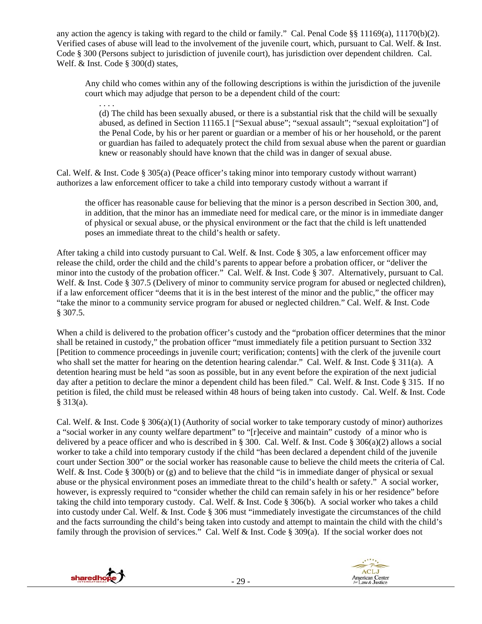any action the agency is taking with regard to the child or family." Cal. Penal Code §§ 11169(a), 11170(b)(2). Verified cases of abuse will lead to the involvement of the juvenile court, which, pursuant to Cal. Welf. & Inst. Code § 300 (Persons subject to jurisdiction of juvenile court), has jurisdiction over dependent children. Cal. Welf. & Inst. Code § 300(d) states,

Any child who comes within any of the following descriptions is within the jurisdiction of the juvenile court which may adjudge that person to be a dependent child of the court:

. . . . (d) The child has been sexually abused, or there is a substantial risk that the child will be sexually abused, as defined in Section 11165.1 ["Sexual abuse"; "sexual assault"; "sexual exploitation"] of the Penal Code, by his or her parent or guardian or a member of his or her household, or the parent or guardian has failed to adequately protect the child from sexual abuse when the parent or guardian knew or reasonably should have known that the child was in danger of sexual abuse.

Cal. Welf. & Inst. Code § 305(a) (Peace officer's taking minor into temporary custody without warrant) authorizes a law enforcement officer to take a child into temporary custody without a warrant if

the officer has reasonable cause for believing that the minor is a person described in Section 300, and, in addition, that the minor has an immediate need for medical care, or the minor is in immediate danger of physical or sexual abuse, or the physical environment or the fact that the child is left unattended poses an immediate threat to the child's health or safety.

After taking a child into custody pursuant to Cal. Welf. & Inst. Code § 305, a law enforcement officer may release the child, order the child and the child's parents to appear before a probation officer, or "deliver the minor into the custody of the probation officer." Cal. Welf. & Inst. Code § 307. Alternatively, pursuant to Cal. Welf. & Inst. Code § 307.5 (Delivery of minor to community service program for abused or neglected children), if a law enforcement officer "deems that it is in the best interest of the minor and the public," the officer may "take the minor to a community service program for abused or neglected children." Cal. Welf. & Inst. Code § 307.5.

When a child is delivered to the probation officer's custody and the "probation officer determines that the minor shall be retained in custody," the probation officer "must immediately file a petition pursuant to Section 332 [Petition to commence proceedings in juvenile court; verification; contents] with the clerk of the juvenile court who shall set the matter for hearing on the detention hearing calendar." Cal. Welf. & Inst. Code § 311(a). A detention hearing must be held "as soon as possible, but in any event before the expiration of the next judicial day after a petition to declare the minor a dependent child has been filed." Cal. Welf. & Inst. Code § 315. If no petition is filed, the child must be released within 48 hours of being taken into custody. Cal. Welf. & Inst. Code § 313(a).

Cal. Welf. & Inst. Code § 306(a)(1) (Authority of social worker to take temporary custody of minor) authorizes a "social worker in any county welfare department" to "[r]eceive and maintain" custody of a minor who is delivered by a peace officer and who is described in § 300. Cal. Welf. & Inst. Code § 306(a)(2) allows a social worker to take a child into temporary custody if the child "has been declared a dependent child of the juvenile court under Section 300" or the social worker has reasonable cause to believe the child meets the criteria of Cal. Welf. & Inst. Code § 300(b) or (g) and to believe that the child "is in immediate danger of physical or sexual abuse or the physical environment poses an immediate threat to the child's health or safety." A social worker, however, is expressly required to "consider whether the child can remain safely in his or her residence" before taking the child into temporary custody. Cal. Welf. & Inst. Code § 306(b). A social worker who takes a child into custody under Cal. Welf. & Inst. Code § 306 must "immediately investigate the circumstances of the child and the facts surrounding the child's being taken into custody and attempt to maintain the child with the child's family through the provision of services." Cal. Welf & Inst. Code § 309(a). If the social worker does not



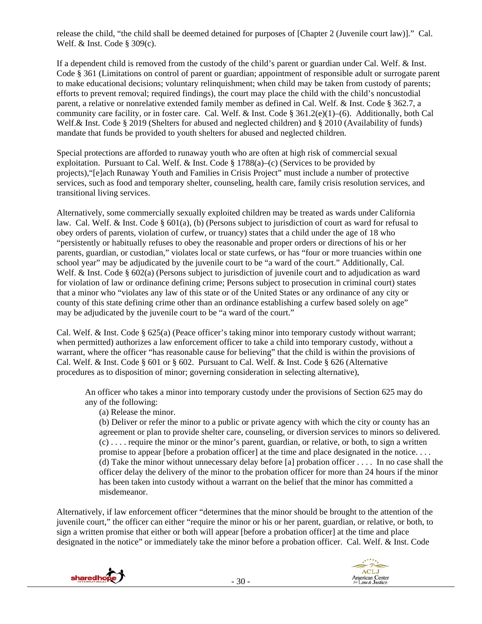release the child, "the child shall be deemed detained for purposes of [Chapter 2 (Juvenile court law)]." Cal. Welf. & Inst. Code § 309(c).

If a dependent child is removed from the custody of the child's parent or guardian under Cal. Welf. & Inst. Code § 361 (Limitations on control of parent or guardian; appointment of responsible adult or surrogate parent to make educational decisions; voluntary relinquishment; when child may be taken from custody of parents; efforts to prevent removal; required findings), the court may place the child with the child's noncustodial parent, a relative or nonrelative extended family member as defined in Cal. Welf. & Inst. Code § 362.7, a community care facility, or in foster care. Cal. Welf. & Inst. Code § 361.2(e)(1)–(6). Additionally, both Cal Welf. & Inst. Code § 2019 (Shelters for abused and neglected children) and § 2010 (Availability of funds) mandate that funds be provided to youth shelters for abused and neglected children.

Special protections are afforded to runaway youth who are often at high risk of commercial sexual exploitation. Pursuant to Cal. Welf.  $\&$  Inst. Code § 1788(a)–(c) (Services to be provided by projects),"[e]ach Runaway Youth and Families in Crisis Project" must include a number of protective services, such as food and temporary shelter, counseling, health care, family crisis resolution services, and transitional living services.

Alternatively, some commercially sexually exploited children may be treated as wards under California law. Cal. Welf. & Inst. Code § 601(a), (b) (Persons subject to jurisdiction of court as ward for refusal to obey orders of parents, violation of curfew, or truancy) states that a child under the age of 18 who "persistently or habitually refuses to obey the reasonable and proper orders or directions of his or her parents, guardian, or custodian," violates local or state curfews, or has "four or more truancies within one school year" may be adjudicated by the juvenile court to be "a ward of the court." Additionally, Cal. Welf. & Inst. Code § 602(a) (Persons subject to jurisdiction of juvenile court and to adjudication as ward for violation of law or ordinance defining crime; Persons subject to prosecution in criminal court) states that a minor who "violates any law of this state or of the United States or any ordinance of any city or county of this state defining crime other than an ordinance establishing a curfew based solely on age" may be adjudicated by the juvenile court to be "a ward of the court."

Cal. Welf. & Inst. Code § 625(a) (Peace officer's taking minor into temporary custody without warrant; when permitted) authorizes a law enforcement officer to take a child into temporary custody, without a warrant, where the officer "has reasonable cause for believing" that the child is within the provisions of Cal. Welf. & Inst. Code § 601 or § 602. Pursuant to Cal. Welf. & Inst. Code § 626 (Alternative procedures as to disposition of minor; governing consideration in selecting alternative),

An officer who takes a minor into temporary custody under the provisions of Section 625 may do any of the following:

(a) Release the minor.

(b) Deliver or refer the minor to a public or private agency with which the city or county has an agreement or plan to provide shelter care, counseling, or diversion services to minors so delivered. (c) . . . . require the minor or the minor's parent, guardian, or relative, or both, to sign a written promise to appear [before a probation officer] at the time and place designated in the notice. . . . (d) Take the minor without unnecessary delay before [a] probation officer . . . . In no case shall the officer delay the delivery of the minor to the probation officer for more than 24 hours if the minor has been taken into custody without a warrant on the belief that the minor has committed a misdemeanor.

Alternatively, if law enforcement officer "determines that the minor should be brought to the attention of the juvenile court," the officer can either "require the minor or his or her parent, guardian, or relative, or both, to sign a written promise that either or both will appear [before a probation officer] at the time and place designated in the notice" or immediately take the minor before a probation officer. Cal. Welf. & Inst. Code



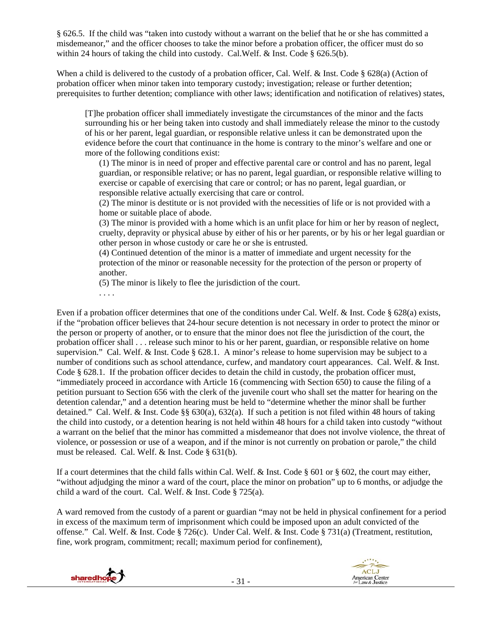§ 626.5. If the child was "taken into custody without a warrant on the belief that he or she has committed a misdemeanor," and the officer chooses to take the minor before a probation officer, the officer must do so within 24 hours of taking the child into custody. Cal.Welf. & Inst. Code § 626.5(b).

When a child is delivered to the custody of a probation officer, Cal. Welf. & Inst. Code § 628(a) (Action of probation officer when minor taken into temporary custody; investigation; release or further detention; prerequisites to further detention; compliance with other laws; identification and notification of relatives) states,

[T]he probation officer shall immediately investigate the circumstances of the minor and the facts surrounding his or her being taken into custody and shall immediately release the minor to the custody of his or her parent, legal guardian, or responsible relative unless it can be demonstrated upon the evidence before the court that continuance in the home is contrary to the minor's welfare and one or more of the following conditions exist:

(1) The minor is in need of proper and effective parental care or control and has no parent, legal guardian, or responsible relative; or has no parent, legal guardian, or responsible relative willing to exercise or capable of exercising that care or control; or has no parent, legal guardian, or responsible relative actually exercising that care or control.

(2) The minor is destitute or is not provided with the necessities of life or is not provided with a home or suitable place of abode.

(3) The minor is provided with a home which is an unfit place for him or her by reason of neglect, cruelty, depravity or physical abuse by either of his or her parents, or by his or her legal guardian or other person in whose custody or care he or she is entrusted.

(4) Continued detention of the minor is a matter of immediate and urgent necessity for the protection of the minor or reasonable necessity for the protection of the person or property of another.

(5) The minor is likely to flee the jurisdiction of the court.

. . . .

Even if a probation officer determines that one of the conditions under Cal. Welf. & Inst. Code § 628(a) exists, if the "probation officer believes that 24-hour secure detention is not necessary in order to protect the minor or the person or property of another, or to ensure that the minor does not flee the jurisdiction of the court, the probation officer shall . . . release such minor to his or her parent, guardian, or responsible relative on home supervision." Cal. Welf. & Inst. Code § 628.1. A minor's release to home supervision may be subject to a number of conditions such as school attendance, curfew, and mandatory court appearances. Cal. Welf. & Inst. Code § 628.1. If the probation officer decides to detain the child in custody, the probation officer must, "immediately proceed in accordance with Article 16 (commencing with Section 650) to cause the filing of a petition pursuant to Section 656 with the clerk of the juvenile court who shall set the matter for hearing on the detention calendar," and a detention hearing must be held to "determine whether the minor shall be further detained." Cal. Welf. & Inst. Code §§ 630(a), 632(a). If such a petition is not filed within 48 hours of taking the child into custody, or a detention hearing is not held within 48 hours for a child taken into custody "without a warrant on the belief that the minor has committed a misdemeanor that does not involve violence, the threat of violence, or possession or use of a weapon, and if the minor is not currently on probation or parole," the child must be released. Cal. Welf. & Inst. Code § 631(b).

If a court determines that the child falls within Cal. Welf. & Inst. Code § 601 or § 602, the court may either, "without adjudging the minor a ward of the court, place the minor on probation" up to 6 months, or adjudge the child a ward of the court. Cal. Welf. & Inst. Code § 725(a).

A ward removed from the custody of a parent or guardian "may not be held in physical confinement for a period in excess of the maximum term of imprisonment which could be imposed upon an adult convicted of the offense." Cal. Welf. & Inst. Code § 726(c). Under Cal. Welf. & Inst. Code § 731(a) (Treatment, restitution, fine, work program, commitment; recall; maximum period for confinement),



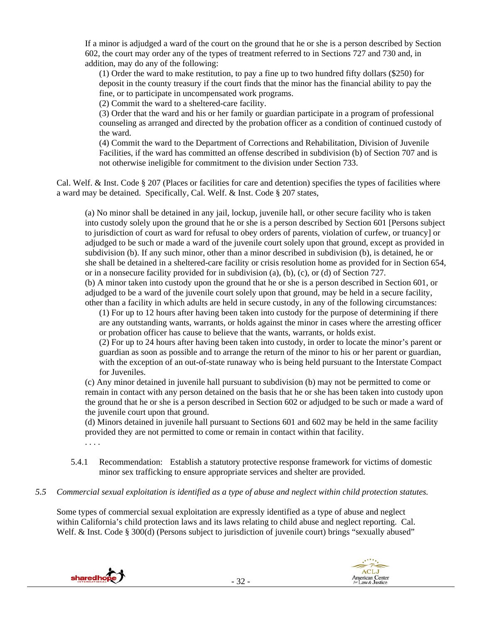If a minor is adjudged a ward of the court on the ground that he or she is a person described by Section 602, the court may order any of the types of treatment referred to in Sections 727 and 730 and, in addition, may do any of the following:

(1) Order the ward to make restitution, to pay a fine up to two hundred fifty dollars (\$250) for deposit in the county treasury if the court finds that the minor has the financial ability to pay the fine, or to participate in uncompensated work programs.

(2) Commit the ward to a sheltered-care facility.

(3) Order that the ward and his or her family or guardian participate in a program of professional counseling as arranged and directed by the probation officer as a condition of continued custody of the ward.

(4) Commit the ward to the Department of Corrections and Rehabilitation, Division of Juvenile Facilities, if the ward has committed an offense described in subdivision (b) of Section 707 and is not otherwise ineligible for commitment to the division under Section 733.

Cal. Welf. & Inst. Code § 207 (Places or facilities for care and detention) specifies the types of facilities where a ward may be detained. Specifically, Cal. Welf. & Inst. Code § 207 states,

(a) No minor shall be detained in any jail, lockup, juvenile hall, or other secure facility who is taken into custody solely upon the ground that he or she is a person described by Section 601 [Persons subject to jurisdiction of court as ward for refusal to obey orders of parents, violation of curfew, or truancy] or adjudged to be such or made a ward of the juvenile court solely upon that ground, except as provided in subdivision (b). If any such minor, other than a minor described in subdivision (b), is detained, he or she shall be detained in a sheltered-care facility or crisis resolution home as provided for in Section 654, or in a nonsecure facility provided for in subdivision (a), (b), (c), or (d) of Section 727.

(b) A minor taken into custody upon the ground that he or she is a person described in Section 601, or adjudged to be a ward of the juvenile court solely upon that ground, may be held in a secure facility, other than a facility in which adults are held in secure custody, in any of the following circumstances:

(1) For up to 12 hours after having been taken into custody for the purpose of determining if there are any outstanding wants, warrants, or holds against the minor in cases where the arresting officer or probation officer has cause to believe that the wants, warrants, or holds exist.

(2) For up to 24 hours after having been taken into custody, in order to locate the minor's parent or guardian as soon as possible and to arrange the return of the minor to his or her parent or guardian, with the exception of an out-of-state runaway who is being held pursuant to the Interstate Compact for Juveniles.

(c) Any minor detained in juvenile hall pursuant to subdivision (b) may not be permitted to come or remain in contact with any person detained on the basis that he or she has been taken into custody upon the ground that he or she is a person described in Section 602 or adjudged to be such or made a ward of the juvenile court upon that ground.

(d) Minors detained in juvenile hall pursuant to Sections 601 and 602 may be held in the same facility provided they are not permitted to come or remain in contact within that facility.

- . . . .
- 5.4.1 Recommendation: Establish a statutory protective response framework for victims of domestic minor sex trafficking to ensure appropriate services and shelter are provided.
- *5.5 Commercial sexual exploitation is identified as a type of abuse and neglect within child protection statutes.*

Some types of commercial sexual exploitation are expressly identified as a type of abuse and neglect within California's child protection laws and its laws relating to child abuse and neglect reporting. Cal. Welf. & Inst. Code § 300(d) (Persons subject to jurisdiction of juvenile court) brings "sexually abused"



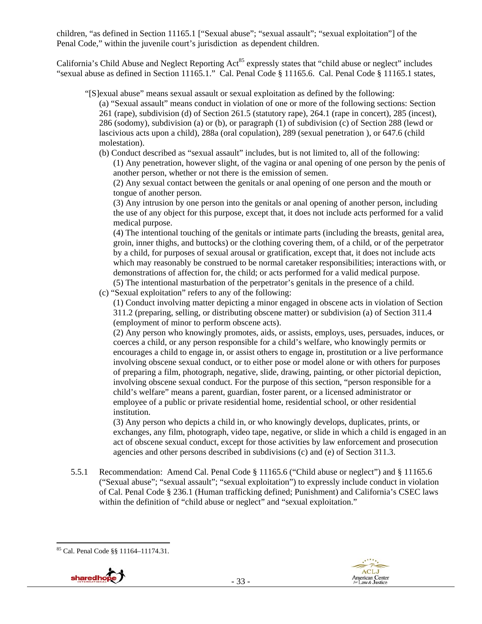children, "as defined in Section 11165.1 ["Sexual abuse"; "sexual assault"; "sexual exploitation"] of the Penal Code," within the juvenile court's jurisdiction as dependent children.

California's Child Abuse and Neglect Reporting Act<sup>85</sup> expressly states that "child abuse or neglect" includes "sexual abuse as defined in Section 11165.1." Cal. Penal Code § 11165.6. Cal. Penal Code § 11165.1 states,

"[S]exual abuse" means sexual assault or sexual exploitation as defined by the following:

(a) "Sexual assault" means conduct in violation of one or more of the following sections: Section 261 (rape), subdivision (d) of Section 261.5 (statutory rape), 264.1 (rape in concert), 285 (incest), 286 (sodomy), subdivision (a) or (b), or paragraph (1) of subdivision (c) of Section 288 (lewd or lascivious acts upon a child), 288a (oral copulation), 289 (sexual penetration ), or 647.6 (child molestation).

(b) Conduct described as "sexual assault" includes, but is not limited to, all of the following:

(1) Any penetration, however slight, of the vagina or anal opening of one person by the penis of another person, whether or not there is the emission of semen.

(2) Any sexual contact between the genitals or anal opening of one person and the mouth or tongue of another person.

(3) Any intrusion by one person into the genitals or anal opening of another person, including the use of any object for this purpose, except that, it does not include acts performed for a valid medical purpose.

(4) The intentional touching of the genitals or intimate parts (including the breasts, genital area, groin, inner thighs, and buttocks) or the clothing covering them, of a child, or of the perpetrator by a child, for purposes of sexual arousal or gratification, except that, it does not include acts which may reasonably be construed to be normal caretaker responsibilities; interactions with, or demonstrations of affection for, the child; or acts performed for a valid medical purpose. (5) The intentional masturbation of the perpetrator's genitals in the presence of a child.

(c) "Sexual exploitation" refers to any of the following:

(1) Conduct involving matter depicting a minor engaged in obscene acts in violation of Section 311.2 (preparing, selling, or distributing obscene matter) or subdivision (a) of Section 311.4 (employment of minor to perform obscene acts).

(2) Any person who knowingly promotes, aids, or assists, employs, uses, persuades, induces, or coerces a child, or any person responsible for a child's welfare, who knowingly permits or encourages a child to engage in, or assist others to engage in, prostitution or a live performance involving obscene sexual conduct, or to either pose or model alone or with others for purposes of preparing a film, photograph, negative, slide, drawing, painting, or other pictorial depiction, involving obscene sexual conduct. For the purpose of this section, "person responsible for a child's welfare" means a parent, guardian, foster parent, or a licensed administrator or employee of a public or private residential home, residential school, or other residential institution.

(3) Any person who depicts a child in, or who knowingly develops, duplicates, prints, or exchanges, any film, photograph, video tape, negative, or slide in which a child is engaged in an act of obscene sexual conduct, except for those activities by law enforcement and prosecution agencies and other persons described in subdivisions (c) and (e) of Section 311.3.

5.5.1 Recommendation: Amend Cal. Penal Code § 11165.6 ("Child abuse or neglect") and § 11165.6 ("Sexual abuse"; "sexual assault"; "sexual exploitation") to expressly include conduct in violation of Cal. Penal Code § 236.1 (Human trafficking defined; Punishment) and California's CSEC laws within the definition of "child abuse or neglect" and "sexual exploitation."

 85 Cal. Penal Code §§ 11164–11174.31.

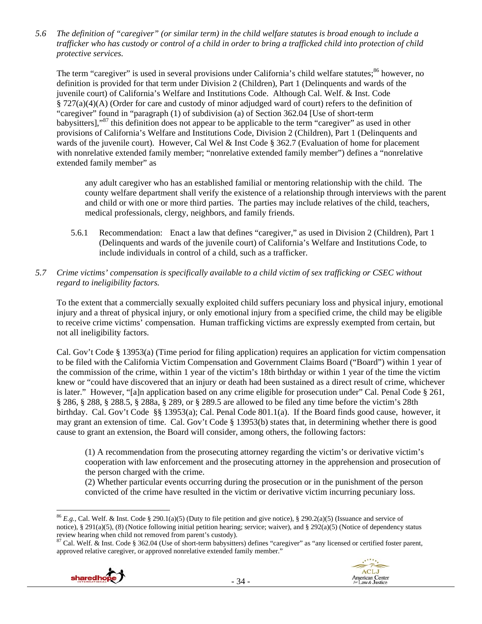*5.6 The definition of "caregiver" (or similar term) in the child welfare statutes is broad enough to include a trafficker who has custody or control of a child in order to bring a trafficked child into protection of child protective services.* 

The term "caregiver" is used in several provisions under California's child welfare statutes;<sup>86</sup> however, no definition is provided for that term under Division 2 (Children), Part 1 (Delinquents and wards of the juvenile court) of California's Welfare and Institutions Code. Although Cal. Welf. & Inst. Code § 727(a)(4)(A) (Order for care and custody of minor adjudged ward of court) refers to the definition of "caregiver" found in "paragraph (1) of subdivision (a) of Section 362.04 [Use of short-term babysitters],"87 this definition does not appear to be applicable to the term "caregiver" as used in other provisions of California's Welfare and Institutions Code, Division 2 (Children), Part 1 (Delinquents and wards of the juvenile court). However, Cal Wel & Inst Code § 362.7 (Evaluation of home for placement with nonrelative extended family member; "nonrelative extended family member") defines a "nonrelative extended family member" as

any adult caregiver who has an established familial or mentoring relationship with the child. The county welfare department shall verify the existence of a relationship through interviews with the parent and child or with one or more third parties. The parties may include relatives of the child, teachers, medical professionals, clergy, neighbors, and family friends.

- 5.6.1 Recommendation: Enact a law that defines "caregiver," as used in Division 2 (Children), Part 1 (Delinquents and wards of the juvenile court) of California's Welfare and Institutions Code, to include individuals in control of a child, such as a trafficker.
- *5.7 Crime victims' compensation is specifically available to a child victim of sex trafficking or CSEC without regard to ineligibility factors.*

To the extent that a commercially sexually exploited child suffers pecuniary loss and physical injury, emotional injury and a threat of physical injury, or only emotional injury from a specified crime, the child may be eligible to receive crime victims' compensation. Human trafficking victims are expressly exempted from certain, but not all ineligibility factors.

Cal. Gov't Code § 13953(a) (Time period for filing application) requires an application for victim compensation to be filed with the California Victim Compensation and Government Claims Board ("Board") within 1 year of the commission of the crime, within 1 year of the victim's 18th birthday or within 1 year of the time the victim knew or "could have discovered that an injury or death had been sustained as a direct result of crime, whichever is later." However, "[a]n application based on any crime eligible for prosecution under" Cal. Penal Code § 261, § 286, § 288, § 288.5, § 288a, § 289, or § 289.5 are allowed to be filed any time before the victim's 28th birthday. Cal. Gov't Code §§ 13953(a); Cal. Penal Code 801.1(a). If the Board finds good cause, however, it may grant an extension of time. Cal. Gov't Code § 13953(b) states that, in determining whether there is good cause to grant an extension, the Board will consider, among others, the following factors:

(1) A recommendation from the prosecuting attorney regarding the victim's or derivative victim's cooperation with law enforcement and the prosecuting attorney in the apprehension and prosecution of the person charged with the crime.

(2) Whether particular events occurring during the prosecution or in the punishment of the person convicted of the crime have resulted in the victim or derivative victim incurring pecuniary loss.

- 34 -





<sup>86</sup> *E.g.*, Cal. Welf. & Inst. Code § 290.1(a)(5) (Duty to file petition and give notice), § 290.2(a)(5) (Issuance and service of notice), § 291(a)(5), (8) (Notice following initial petition hearing; service; waiver), and § 292(a)(5) (Notice of dependency status review hearing when child not removed from parent's custody).

 $87$  Cal. Welf.  $\&$  Inst. Code  $\S 362.04$  (Use of short-term babysitters) defines "caregiver" as "any licensed or certified foster parent, approved relative caregiver, or approved nonrelative extended family member."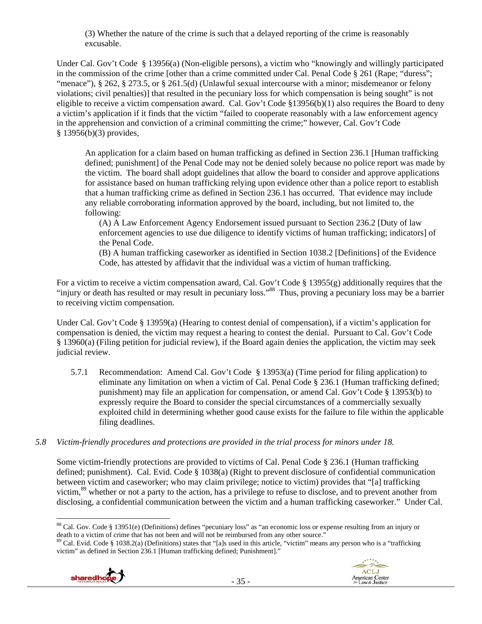(3) Whether the nature of the crime is such that a delayed reporting of the crime is reasonably excusable.

Under Cal. Gov't Code § 13956(a) (Non-eligible persons), a victim who "knowingly and willingly participated in the commission of the crime [other than a crime committed under Cal. Penal Code § 261 (Rape; "duress"; "menace"), § 262, § 273.5, or § 261.5(d) (Unlawful sexual intercourse with a minor; misdemeanor or felony violations; civil penalties)] that resulted in the pecuniary loss for which compensation is being sought" is not eligible to receive a victim compensation award. Cal. Gov't Code §13956(b)(1) also requires the Board to deny a victim's application if it finds that the victim "failed to cooperate reasonably with a law enforcement agency in the apprehension and conviction of a criminal committing the crime;" however, Cal. Gov't Code § 13956(b)(3) provides,

An application for a claim based on human trafficking as defined in Section 236.1 [Human trafficking defined; punishment] of the Penal Code may not be denied solely because no police report was made by the victim. The board shall adopt guidelines that allow the board to consider and approve applications for assistance based on human trafficking relying upon evidence other than a police report to establish that a human trafficking crime as defined in Section 236.1 has occurred. That evidence may include any reliable corroborating information approved by the board, including, but not limited to, the following:

(A) A Law Enforcement Agency Endorsement issued pursuant to Section 236.2 [Duty of law enforcement agencies to use due diligence to identify victims of human trafficking; indicators] of the Penal Code.

(B) A human trafficking caseworker as identified in Section 1038.2 [Definitions] of the Evidence Code, has attested by affidavit that the individual was a victim of human trafficking.

For a victim to receive a victim compensation award, Cal. Gov't Code § 13955(g) additionally requires that the "injury or death has resulted or may result in pecuniary loss."<sup>88</sup> Thus, proving a pecuniary loss may be a barrier to receiving victim compensation.

Under Cal. Gov't Code § 13959(a) (Hearing to contest denial of compensation), if a victim's application for compensation is denied, the victim may request a hearing to contest the denial. Pursuant to Cal. Gov't Code § 13960(a) (Filing petition for judicial review), if the Board again denies the application, the victim may seek judicial review.

- 5.7.1 Recommendation: Amend Cal. Gov't Code § 13953(a) (Time period for filing application) to eliminate any limitation on when a victim of Cal. Penal Code § 236.1 (Human trafficking defined; punishment) may file an application for compensation, or amend Cal. Gov't Code § 13953(b) to expressly require the Board to consider the special circumstances of a commercially sexually exploited child in determining whether good cause exists for the failure to file within the applicable filing deadlines.
- *5.8 Victim-friendly procedures and protections are provided in the trial process for minors under 18.*

Some victim-friendly protections are provided to victims of Cal. Penal Code § 236.1 (Human trafficking defined; punishment). Cal. Evid. Code § 1038(a) (Right to prevent disclosure of confidential communication between victim and caseworker; who may claim privilege; notice to victim) provides that "[a] trafficking victim,<sup>89</sup> whether or not a party to the action, has a privilege to refuse to disclose, and to prevent another from disclosing, a confidential communication between the victim and a human trafficking caseworker." Under Cal.

 $89$  Cal. Evid. Code § 1038.2(a) (Definitions) states that "[a]s used in this article, "victim" means any person who is a "trafficking victim" as defined in Section 236.1 [Human trafficking defined; Punishment]."





  $88$  Cal. Gov. Code § 13951(e) (Definitions) defines "pecuniary loss" as "an economic loss or expense resulting from an injury or death to a victim of crime that has not been and will not be reimbursed from any other source."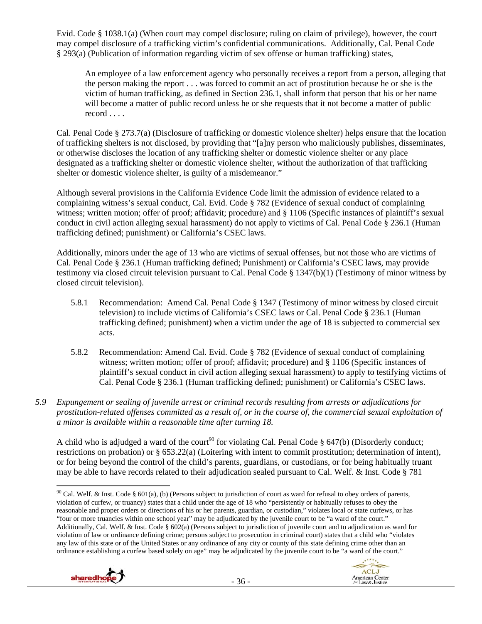Evid. Code § 1038.1(a) (When court may compel disclosure; ruling on claim of privilege), however, the court may compel disclosure of a trafficking victim's confidential communications. Additionally, Cal. Penal Code § 293(a) (Publication of information regarding victim of sex offense or human trafficking) states,

An employee of a law enforcement agency who personally receives a report from a person, alleging that the person making the report . . . was forced to commit an act of prostitution because he or she is the victim of human trafficking, as defined in Section 236.1, shall inform that person that his or her name will become a matter of public record unless he or she requests that it not become a matter of public record . . . .

Cal. Penal Code § 273.7(a) (Disclosure of trafficking or domestic violence shelter) helps ensure that the location of trafficking shelters is not disclosed, by providing that "[a]ny person who maliciously publishes, disseminates, or otherwise discloses the location of any trafficking shelter or domestic violence shelter or any place designated as a trafficking shelter or domestic violence shelter, without the authorization of that trafficking shelter or domestic violence shelter, is guilty of a misdemeanor."

Although several provisions in the California Evidence Code limit the admission of evidence related to a complaining witness's sexual conduct, Cal. Evid. Code § 782 (Evidence of sexual conduct of complaining witness; written motion; offer of proof; affidavit; procedure) and § 1106 (Specific instances of plaintiff's sexual conduct in civil action alleging sexual harassment) do not apply to victims of Cal. Penal Code § 236.1 (Human trafficking defined; punishment) or California's CSEC laws.

Additionally, minors under the age of 13 who are victims of sexual offenses, but not those who are victims of Cal. Penal Code § 236.1 (Human trafficking defined; Punishment) or California's CSEC laws, may provide testimony via closed circuit television pursuant to Cal. Penal Code § 1347(b)(1) (Testimony of minor witness by closed circuit television).

- 5.8.1 Recommendation: Amend Cal. Penal Code § 1347 (Testimony of minor witness by closed circuit television) to include victims of California's CSEC laws or Cal. Penal Code § 236.1 (Human trafficking defined; punishment) when a victim under the age of 18 is subjected to commercial sex acts.
- 5.8.2 Recommendation: Amend Cal. Evid. Code § 782 (Evidence of sexual conduct of complaining witness; written motion; offer of proof; affidavit; procedure) and § 1106 (Specific instances of plaintiff's sexual conduct in civil action alleging sexual harassment) to apply to testifying victims of Cal. Penal Code § 236.1 (Human trafficking defined; punishment) or California's CSEC laws.
- *5.9 Expungement or sealing of juvenile arrest or criminal records resulting from arrests or adjudications for prostitution-related offenses committed as a result of, or in the course of, the commercial sexual exploitation of a minor is available within a reasonable time after turning 18.*

A child who is adjudged a ward of the court<sup>90</sup> for violating Cal. Penal Code § 647(b) (Disorderly conduct; restrictions on probation) or § 653.22(a) (Loitering with intent to commit prostitution; determination of intent), or for being beyond the control of the child's parents, guardians, or custodians, or for being habitually truant may be able to have records related to their adjudication sealed pursuant to Cal. Welf. & Inst. Code § 781

 <sup>90</sup> Cal. Welf. & Inst. Code § 601(a), (b) (Persons subject to jurisdiction of court as ward for refusal to obey orders of parents, violation of curfew, or truancy) states that a child under the age of 18 who "persistently or habitually refuses to obey the reasonable and proper orders or directions of his or her parents, guardian, or custodian," violates local or state curfews, or has "four or more truancies within one school year" may be adjudicated by the juvenile court to be "a ward of the court." Additionally, Cal. Welf. & Inst. Code § 602(a) (Persons subject to jurisdiction of juvenile court and to adjudication as ward for violation of law or ordinance defining crime; persons subject to prosecution in criminal court) states that a child who "violates any law of this state or of the United States or any ordinance of any city or county of this state defining crime other than an ordinance establishing a curfew based solely on age" may be adjudicated by the juvenile court to be "a ward of the court."



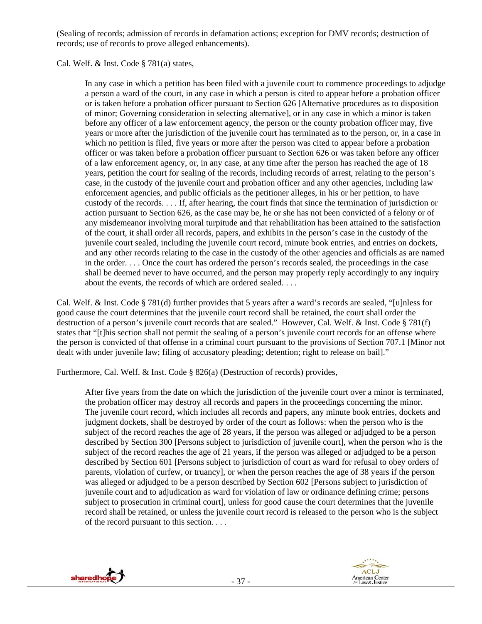(Sealing of records; admission of records in defamation actions; exception for DMV records; destruction of records; use of records to prove alleged enhancements).

Cal. Welf. & Inst. Code § 781(a) states,

In any case in which a petition has been filed with a juvenile court to commence proceedings to adjudge a person a ward of the court, in any case in which a person is cited to appear before a probation officer or is taken before a probation officer pursuant to Section 626 [Alternative procedures as to disposition of minor; Governing consideration in selecting alternative], or in any case in which a minor is taken before any officer of a law enforcement agency, the person or the county probation officer may, five years or more after the jurisdiction of the juvenile court has terminated as to the person, or, in a case in which no petition is filed, five years or more after the person was cited to appear before a probation officer or was taken before a probation officer pursuant to Section 626 or was taken before any officer of a law enforcement agency, or, in any case, at any time after the person has reached the age of 18 years, petition the court for sealing of the records, including records of arrest, relating to the person's case, in the custody of the juvenile court and probation officer and any other agencies, including law enforcement agencies, and public officials as the petitioner alleges, in his or her petition, to have custody of the records. . . . If, after hearing, the court finds that since the termination of jurisdiction or action pursuant to Section 626, as the case may be, he or she has not been convicted of a felony or of any misdemeanor involving moral turpitude and that rehabilitation has been attained to the satisfaction of the court, it shall order all records, papers, and exhibits in the person's case in the custody of the juvenile court sealed, including the juvenile court record, minute book entries, and entries on dockets, and any other records relating to the case in the custody of the other agencies and officials as are named in the order. . . . Once the court has ordered the person's records sealed, the proceedings in the case shall be deemed never to have occurred, and the person may properly reply accordingly to any inquiry about the events, the records of which are ordered sealed. . . .

Cal. Welf. & Inst. Code § 781(d) further provides that 5 years after a ward's records are sealed, "[u]nless for good cause the court determines that the juvenile court record shall be retained, the court shall order the destruction of a person's juvenile court records that are sealed." However, Cal. Welf. & Inst. Code § 781(f) states that "[t]his section shall not permit the sealing of a person's juvenile court records for an offense where the person is convicted of that offense in a criminal court pursuant to the provisions of Section 707.1 [Minor not dealt with under juvenile law; filing of accusatory pleading; detention; right to release on bail]."

Furthermore, Cal. Welf. & Inst. Code § 826(a) (Destruction of records) provides,

After five years from the date on which the jurisdiction of the juvenile court over a minor is terminated, the probation officer may destroy all records and papers in the proceedings concerning the minor. The juvenile court record, which includes all records and papers, any minute book entries, dockets and judgment dockets, shall be destroyed by order of the court as follows: when the person who is the subject of the record reaches the age of 28 years, if the person was alleged or adjudged to be a person described by Section 300 [Persons subject to jurisdiction of juvenile court], when the person who is the subject of the record reaches the age of 21 years, if the person was alleged or adjudged to be a person described by Section 601 [Persons subject to jurisdiction of court as ward for refusal to obey orders of parents, violation of curfew, or truancy], or when the person reaches the age of 38 years if the person was alleged or adjudged to be a person described by Section 602 [Persons subject to jurisdiction of juvenile court and to adjudication as ward for violation of law or ordinance defining crime; persons subject to prosecution in criminal court], unless for good cause the court determines that the juvenile record shall be retained, or unless the juvenile court record is released to the person who is the subject of the record pursuant to this section. . . .



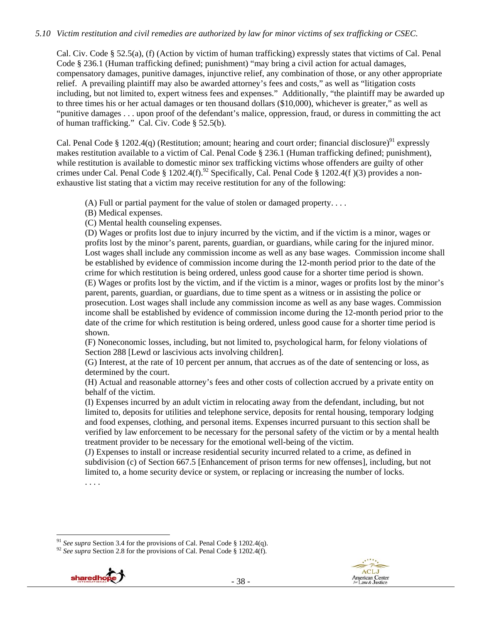#### *5.10 Victim restitution and civil remedies are authorized by law for minor victims of sex trafficking or CSEC.*

Cal. Civ. Code § 52.5(a), (f) (Action by victim of human trafficking) expressly states that victims of Cal. Penal Code § 236.1 (Human trafficking defined; punishment) "may bring a civil action for actual damages, compensatory damages, punitive damages, injunctive relief, any combination of those, or any other appropriate relief. A prevailing plaintiff may also be awarded attorney's fees and costs," as well as "litigation costs including, but not limited to, expert witness fees and expenses." Additionally, "the plaintiff may be awarded up to three times his or her actual damages or ten thousand dollars (\$10,000), whichever is greater," as well as "punitive damages . . . upon proof of the defendant's malice, oppression, fraud, or duress in committing the act of human trafficking." Cal. Civ. Code § 52.5(b).

Cal. Penal Code § 1202.4(q) (Restitution; amount; hearing and court order; financial disclosure)<sup>91</sup> expressly makes restitution available to a victim of Cal. Penal Code § 236.1 (Human trafficking defined; punishment), while restitution is available to domestic minor sex trafficking victims whose offenders are guilty of other crimes under Cal. Penal Code § 1202.4(f).<sup>92</sup> Specifically, Cal. Penal Code § 1202.4(f)(3) provides a nonexhaustive list stating that a victim may receive restitution for any of the following:

(A) Full or partial payment for the value of stolen or damaged property. . . .

(B) Medical expenses.

(C) Mental health counseling expenses.

(D) Wages or profits lost due to injury incurred by the victim, and if the victim is a minor, wages or profits lost by the minor's parent, parents, guardian, or guardians, while caring for the injured minor. Lost wages shall include any commission income as well as any base wages. Commission income shall be established by evidence of commission income during the 12-month period prior to the date of the crime for which restitution is being ordered, unless good cause for a shorter time period is shown. (E) Wages or profits lost by the victim, and if the victim is a minor, wages or profits lost by the minor's parent, parents, guardian, or guardians, due to time spent as a witness or in assisting the police or prosecution. Lost wages shall include any commission income as well as any base wages. Commission income shall be established by evidence of commission income during the 12-month period prior to the date of the crime for which restitution is being ordered, unless good cause for a shorter time period is shown.

(F) Noneconomic losses, including, but not limited to, psychological harm, for felony violations of Section 288 [Lewd or lascivious acts involving children].

(G) Interest, at the rate of 10 percent per annum, that accrues as of the date of sentencing or loss, as determined by the court.

(H) Actual and reasonable attorney's fees and other costs of collection accrued by a private entity on behalf of the victim.

(I) Expenses incurred by an adult victim in relocating away from the defendant, including, but not limited to, deposits for utilities and telephone service, deposits for rental housing, temporary lodging and food expenses, clothing, and personal items. Expenses incurred pursuant to this section shall be verified by law enforcement to be necessary for the personal safety of the victim or by a mental health treatment provider to be necessary for the emotional well-being of the victim.

(J) Expenses to install or increase residential security incurred related to a crime, as defined in subdivision (c) of Section 667.5 [Enhancement of prison terms for new offenses], including, but not limited to, a home security device or system, or replacing or increasing the number of locks. . . . .

<sup>&</sup>lt;sup>92</sup> *See supra* Section 2.8 for the provisions of Cal. Penal Code § 1202.4(f).





<sup>&</sup>lt;sup>91</sup> See supra Section 3.4 for the provisions of Cal. Penal Code § 1202.4(q).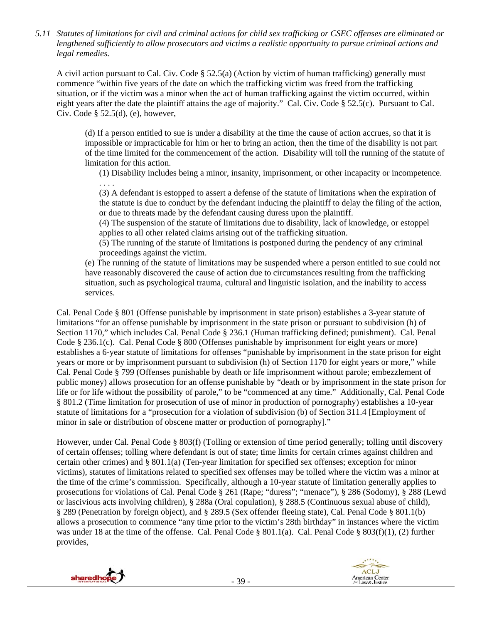*5.11 Statutes of limitations for civil and criminal actions for child sex trafficking or CSEC offenses are eliminated or lengthened sufficiently to allow prosecutors and victims a realistic opportunity to pursue criminal actions and legal remedies.* 

A civil action pursuant to Cal. Civ. Code § 52.5(a) (Action by victim of human trafficking) generally must commence "within five years of the date on which the trafficking victim was freed from the trafficking situation, or if the victim was a minor when the act of human trafficking against the victim occurred, within eight years after the date the plaintiff attains the age of majority." Cal. Civ. Code § 52.5(c). Pursuant to Cal. Civ. Code  $\S$  52.5(d), (e), however,

(d) If a person entitled to sue is under a disability at the time the cause of action accrues, so that it is impossible or impracticable for him or her to bring an action, then the time of the disability is not part of the time limited for the commencement of the action. Disability will toll the running of the statute of limitation for this action.

(1) Disability includes being a minor, insanity, imprisonment, or other incapacity or incompetence. . . . .

(3) A defendant is estopped to assert a defense of the statute of limitations when the expiration of the statute is due to conduct by the defendant inducing the plaintiff to delay the filing of the action, or due to threats made by the defendant causing duress upon the plaintiff.

(4) The suspension of the statute of limitations due to disability, lack of knowledge, or estoppel applies to all other related claims arising out of the trafficking situation.

(5) The running of the statute of limitations is postponed during the pendency of any criminal proceedings against the victim.

(e) The running of the statute of limitations may be suspended where a person entitled to sue could not have reasonably discovered the cause of action due to circumstances resulting from the trafficking situation, such as psychological trauma, cultural and linguistic isolation, and the inability to access services.

Cal. Penal Code § 801 (Offense punishable by imprisonment in state prison) establishes a 3-year statute of limitations "for an offense punishable by imprisonment in the state prison or pursuant to subdivision (h) of Section 1170," which includes Cal. Penal Code § 236.1 (Human trafficking defined; punishment). Cal. Penal Code § 236.1(c). Cal. Penal Code § 800 (Offenses punishable by imprisonment for eight years or more) establishes a 6-year statute of limitations for offenses "punishable by imprisonment in the state prison for eight years or more or by imprisonment pursuant to subdivision (h) of Section 1170 for eight years or more," while Cal. Penal Code § 799 (Offenses punishable by death or life imprisonment without parole; embezzlement of public money) allows prosecution for an offense punishable by "death or by imprisonment in the state prison for life or for life without the possibility of parole," to be "commenced at any time." Additionally, Cal. Penal Code § 801.2 (Time limitation for prosecution of use of minor in production of pornography) establishes a 10-year statute of limitations for a "prosecution for a violation of subdivision (b) of Section 311.4 [Employment of minor in sale or distribution of obscene matter or production of pornography]."

However, under Cal. Penal Code § 803(f) (Tolling or extension of time period generally; tolling until discovery of certain offenses; tolling where defendant is out of state; time limits for certain crimes against children and certain other crimes) and § 801.1(a) (Ten-year limitation for specified sex offenses; exception for minor victims), statutes of limitations related to specified sex offenses may be tolled where the victim was a minor at the time of the crime's commission. Specifically, although a 10-year statute of limitation generally applies to prosecutions for violations of Cal. Penal Code § 261 (Rape; "duress"; "menace"), § 286 (Sodomy), § 288 (Lewd or lascivious acts involving children), § 288a (Oral copulation), § 288.5 (Continuous sexual abuse of child), § 289 (Penetration by foreign object), and § 289.5 (Sex offender fleeing state), Cal. Penal Code § 801.1(b) allows a prosecution to commence "any time prior to the victim's 28th birthday" in instances where the victim was under 18 at the time of the offense. Cal. Penal Code § 801.1(a). Cal. Penal Code § 803(f)(1), (2) further provides,



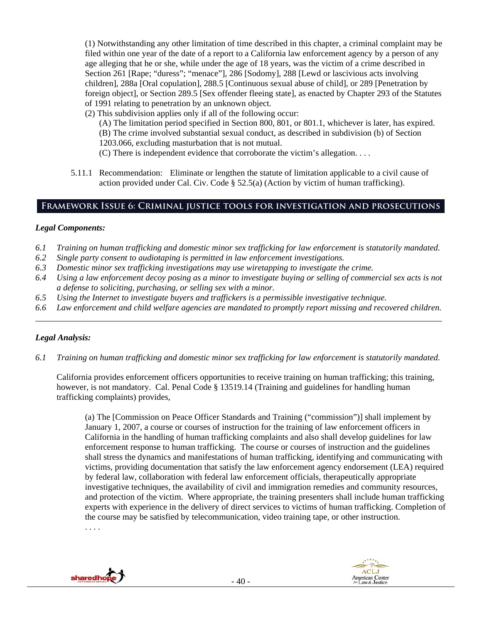(1) Notwithstanding any other limitation of time described in this chapter, a criminal complaint may be filed within one year of the date of a report to a California law enforcement agency by a person of any age alleging that he or she, while under the age of 18 years, was the victim of a crime described in Section 261 [Rape; "duress"; "menace"], 286 [Sodomy], 288 [Lewd or lascivious acts involving children], 288a [Oral copulation], 288.5 [Continuous sexual abuse of child], or 289 [Penetration by foreign object], or Section 289.5 [Sex offender fleeing state], as enacted by Chapter 293 of the Statutes of 1991 relating to penetration by an unknown object.

(2) This subdivision applies only if all of the following occur:

(A) The limitation period specified in Section 800, 801, or 801.1, whichever is later, has expired. (B) The crime involved substantial sexual conduct, as described in subdivision (b) of Section

1203.066, excluding masturbation that is not mutual.

(C) There is independent evidence that corroborate the victim's allegation. . . .

5.11.1 Recommendation: Eliminate or lengthen the statute of limitation applicable to a civil cause of action provided under Cal. Civ. Code § 52.5(a) (Action by victim of human trafficking).

## **Framework Issue 6: Criminal justice tools for investigation and prosecutions**

#### *Legal Components:*

- *6.1 Training on human trafficking and domestic minor sex trafficking for law enforcement is statutorily mandated.*
- *6.2 Single party consent to audiotaping is permitted in law enforcement investigations.*
- *6.3 Domestic minor sex trafficking investigations may use wiretapping to investigate the crime.*
- *6.4 Using a law enforcement decoy posing as a minor to investigate buying or selling of commercial sex acts is not a defense to soliciting, purchasing, or selling sex with a minor.*
- *6.5 Using the Internet to investigate buyers and traffickers is a permissible investigative technique.*
- *6.6 Law enforcement and child welfare agencies are mandated to promptly report missing and recovered children. \_\_\_\_\_\_\_\_\_\_\_\_\_\_\_\_\_\_\_\_\_\_\_\_\_\_\_\_\_\_\_\_\_\_\_\_\_\_\_\_\_\_\_\_\_\_\_\_\_\_\_\_\_\_\_\_\_\_\_\_\_\_\_\_\_\_\_\_\_\_\_\_\_\_\_\_\_\_\_\_\_\_\_\_\_\_\_\_\_\_\_\_\_\_*

## *Legal Analysis:*

*6.1 Training on human trafficking and domestic minor sex trafficking for law enforcement is statutorily mandated.* 

California provides enforcement officers opportunities to receive training on human trafficking; this training, however, is not mandatory. Cal. Penal Code § 13519.14 (Training and guidelines for handling human trafficking complaints) provides,

(a) The [Commission on Peace Officer Standards and Training ("commission")] shall implement by January 1, 2007, a course or courses of instruction for the training of law enforcement officers in California in the handling of human trafficking complaints and also shall develop guidelines for law enforcement response to human trafficking. The course or courses of instruction and the guidelines shall stress the dynamics and manifestations of human trafficking, identifying and communicating with victims, providing documentation that satisfy the law enforcement agency endorsement (LEA) required by federal law, collaboration with federal law enforcement officials, therapeutically appropriate investigative techniques, the availability of civil and immigration remedies and community resources, and protection of the victim. Where appropriate, the training presenters shall include human trafficking experts with experience in the delivery of direct services to victims of human trafficking. Completion of the course may be satisfied by telecommunication, video training tape, or other instruction.

. . . .



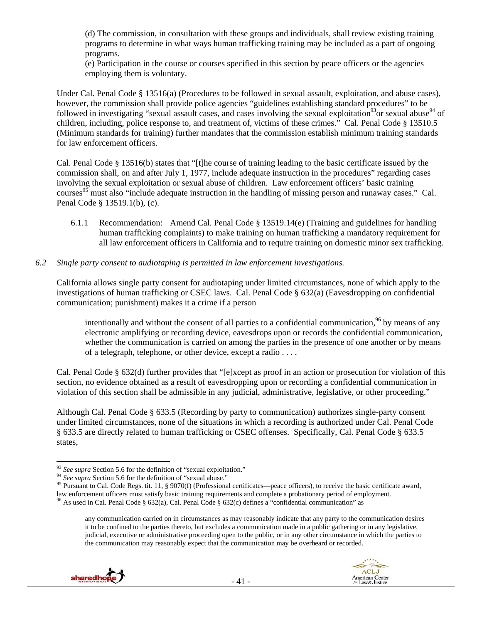(d) The commission, in consultation with these groups and individuals, shall review existing training programs to determine in what ways human trafficking training may be included as a part of ongoing programs.

(e) Participation in the course or courses specified in this section by peace officers or the agencies employing them is voluntary.

Under Cal. Penal Code § 13516(a) (Procedures to be followed in sexual assault, exploitation, and abuse cases), however, the commission shall provide police agencies "guidelines establishing standard procedures" to be followed in investigating "sexual assault cases, and cases involving the sexual exploitation<sup>93</sup>or sexual abuse<sup>94</sup> of children, including, police response to, and treatment of, victims of these crimes." Cal. Penal Code § 13510.5 (Minimum standards for training) further mandates that the commission establish minimum training standards for law enforcement officers.

Cal. Penal Code § 13516(b) states that "[t]he course of training leading to the basic certificate issued by the commission shall, on and after July 1, 1977, include adequate instruction in the procedures" regarding cases involving the sexual exploitation or sexual abuse of children. Law enforcement officers' basic training courses<sup>95</sup> must also "include adequate instruction in the handling of missing person and runaway cases." Cal. Penal Code § 13519.1(b), (c).

6.1.1 Recommendation: Amend Cal. Penal Code § 13519.14(e) (Training and guidelines for handling human trafficking complaints) to make training on human trafficking a mandatory requirement for all law enforcement officers in California and to require training on domestic minor sex trafficking.

#### *6.2 Single party consent to audiotaping is permitted in law enforcement investigations.*

California allows single party consent for audiotaping under limited circumstances, none of which apply to the investigations of human trafficking or CSEC laws. Cal. Penal Code § 632(a) (Eavesdropping on confidential communication; punishment) makes it a crime if a person

intentionally and without the consent of all parties to a confidential communication,  $96$  by means of any electronic amplifying or recording device, eavesdrops upon or records the confidential communication, whether the communication is carried on among the parties in the presence of one another or by means of a telegraph, telephone, or other device, except a radio . . . .

Cal. Penal Code § 632(d) further provides that "[e]xcept as proof in an action or prosecution for violation of this section, no evidence obtained as a result of eavesdropping upon or recording a confidential communication in violation of this section shall be admissible in any judicial, administrative, legislative, or other proceeding."

Although Cal. Penal Code § 633.5 (Recording by party to communication) authorizes single-party consent under limited circumstances, none of the situations in which a recording is authorized under Cal. Penal Code § 633.5 are directly related to human trafficking or CSEC offenses. Specifically, Cal. Penal Code § 633.5 states,

any communication carried on in circumstances as may reasonably indicate that any party to the communication desires it to be confined to the parties thereto, but excludes a communication made in a public gathering or in any legislative, judicial, executive or administrative proceeding open to the public, or in any other circumstance in which the parties to the communication may reasonably expect that the communication may be overheard or recorded.





<sup>&</sup>lt;sup>93</sup> See supra Section 5.6 for the definition of "sexual exploitation."<br><sup>94</sup> See supra Section 5.6 for the definition of "sexual abuse."

<sup>&</sup>lt;sup>95</sup> Pursuant to Cal. Code Regs. tit. 11, § 9070(f) (Professional certificates—peace officers), to receive the basic certificate award, law enforcement officers must satisfy basic training requirements and complete a proba <sup>96</sup> As used in Cal. Penal Code § 632(a), Cal. Penal Code § 632(c) defines a "confidential communication" as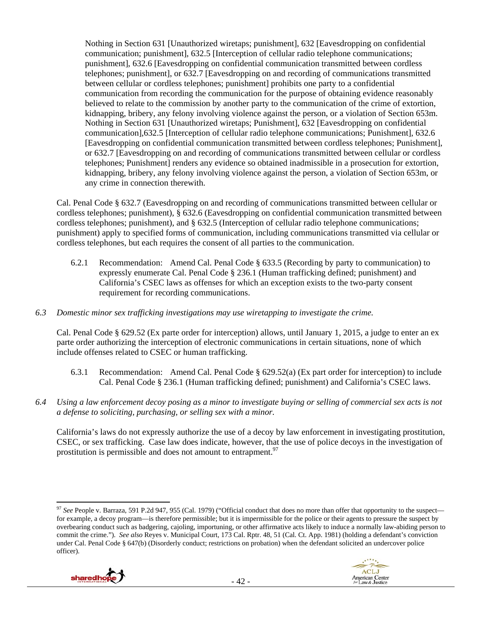Nothing in Section 631 [Unauthorized wiretaps; punishment], 632 [Eavesdropping on confidential communication; punishment], 632.5 [Interception of cellular radio telephone communications; punishment], 632.6 [Eavesdropping on confidential communication transmitted between cordless telephones; punishment], or 632.7 [Eavesdropping on and recording of communications transmitted between cellular or cordless telephones; punishment] prohibits one party to a confidential communication from recording the communication for the purpose of obtaining evidence reasonably believed to relate to the commission by another party to the communication of the crime of extortion, kidnapping, bribery, any felony involving violence against the person, or a violation of Section 653m. Nothing in Section 631 [Unauthorized wiretaps; Punishment], 632 [Eavesdropping on confidential communication],632.5 [Interception of cellular radio telephone communications; Punishment], 632.6 [Eavesdropping on confidential communication transmitted between cordless telephones; Punishment], or 632.7 [Eavesdropping on and recording of communications transmitted between cellular or cordless telephones; Punishment] renders any evidence so obtained inadmissible in a prosecution for extortion, kidnapping, bribery, any felony involving violence against the person, a violation of Section 653m, or any crime in connection therewith.

Cal. Penal Code § 632.7 (Eavesdropping on and recording of communications transmitted between cellular or cordless telephones; punishment), § 632.6 (Eavesdropping on confidential communication transmitted between cordless telephones; punishment), and § 632.5 (Interception of cellular radio telephone communications; punishment) apply to specified forms of communication, including communications transmitted via cellular or cordless telephones, but each requires the consent of all parties to the communication.

- 6.2.1 Recommendation: Amend Cal. Penal Code § 633.5 (Recording by party to communication) to expressly enumerate Cal. Penal Code § 236.1 (Human trafficking defined; punishment) and California's CSEC laws as offenses for which an exception exists to the two-party consent requirement for recording communications.
- *6.3 Domestic minor sex trafficking investigations may use wiretapping to investigate the crime.*

Cal. Penal Code § 629.52 (Ex parte order for interception) allows, until January 1, 2015, a judge to enter an ex parte order authorizing the interception of electronic communications in certain situations, none of which include offenses related to CSEC or human trafficking.

- 6.3.1 Recommendation: Amend Cal. Penal Code § 629.52(a) (Ex part order for interception) to include Cal. Penal Code § 236.1 (Human trafficking defined; punishment) and California's CSEC laws.
- *6.4 Using a law enforcement decoy posing as a minor to investigate buying or selling of commercial sex acts is not a defense to soliciting, purchasing, or selling sex with a minor.*

California's laws do not expressly authorize the use of a decoy by law enforcement in investigating prostitution, CSEC, or sex trafficking. Case law does indicate, however, that the use of police decoys in the investigation of prostitution is permissible and does not amount to entrapment.<sup>97</sup>

 <sup>97</sup> See People v. Barraza, 591 P.2d 947, 955 (Cal. 1979) ("Official conduct that does no more than offer that opportunity to the suspect for example, a decoy program—is therefore permissible; but it is impermissible for the police or their agents to pressure the suspect by overbearing conduct such as badgering, cajoling, importuning, or other affirmative acts likely to induce a normally law-abiding person to commit the crime."). *See also* Reyes v. Municipal Court, 173 Cal. Rptr. 48, 51 (Cal. Ct. App. 1981) (holding a defendant's conviction under Cal. Penal Code § 647(b) (Disorderly conduct; restrictions on probation) when the defendant solicited an undercover police officer).

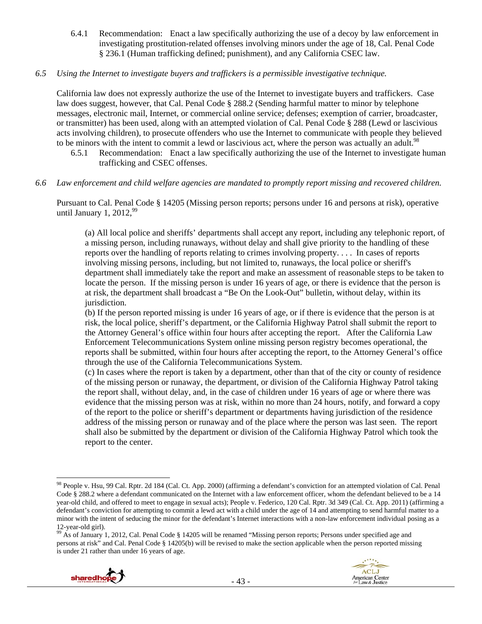6.4.1 Recommendation: Enact a law specifically authorizing the use of a decoy by law enforcement in investigating prostitution-related offenses involving minors under the age of 18, Cal. Penal Code § 236.1 (Human trafficking defined; punishment), and any California CSEC law.

#### *6.5 Using the Internet to investigate buyers and traffickers is a permissible investigative technique.*

California law does not expressly authorize the use of the Internet to investigate buyers and traffickers. Case law does suggest, however, that Cal. Penal Code § 288.2 (Sending harmful matter to minor by telephone messages, electronic mail, Internet, or commercial online service; defenses; exemption of carrier, broadcaster, or transmitter) has been used, along with an attempted violation of Cal. Penal Code § 288 (Lewd or lascivious acts involving children), to prosecute offenders who use the Internet to communicate with people they believed to be minors with the intent to commit a lewd or lascivious act, where the person was actually an adult.<sup>98</sup>

- 6.5.1 Recommendation: Enact a law specifically authorizing the use of the Internet to investigate human trafficking and CSEC offenses.
- *6.6 Law enforcement and child welfare agencies are mandated to promptly report missing and recovered children.*

Pursuant to Cal. Penal Code § 14205 (Missing person reports; persons under 16 and persons at risk), operative until January 1,  $2012,99$ 

(a) All local police and sheriffs' departments shall accept any report, including any telephonic report, of a missing person, including runaways, without delay and shall give priority to the handling of these reports over the handling of reports relating to crimes involving property. . . . In cases of reports involving missing persons, including, but not limited to, runaways, the local police or sheriff's department shall immediately take the report and make an assessment of reasonable steps to be taken to locate the person. If the missing person is under 16 years of age, or there is evidence that the person is at risk, the department shall broadcast a "Be On the Look-Out" bulletin, without delay, within its jurisdiction.

(b) If the person reported missing is under 16 years of age, or if there is evidence that the person is at risk, the local police, sheriff's department, or the California Highway Patrol shall submit the report to the Attorney General's office within four hours after accepting the report. After the California Law Enforcement Telecommunications System online missing person registry becomes operational, the reports shall be submitted, within four hours after accepting the report, to the Attorney General's office through the use of the California Telecommunications System.

(c) In cases where the report is taken by a department, other than that of the city or county of residence of the missing person or runaway, the department, or division of the California Highway Patrol taking the report shall, without delay, and, in the case of children under 16 years of age or where there was evidence that the missing person was at risk, within no more than 24 hours, notify, and forward a copy of the report to the police or sheriff's department or departments having jurisdiction of the residence address of the missing person or runaway and of the place where the person was last seen. The report shall also be submitted by the department or division of the California Highway Patrol which took the report to the center.

<sup>&</sup>lt;sup>99</sup> As of January 1, 2012, Cal. Penal Code § 14205 will be renamed "Missing person reports; Persons under specified age and persons at risk" and Cal. Penal Code § 14205(b) will be revised to make the section applicable when the person reported missing is under 21 rather than under 16 years of age.



 98 People v. Hsu, 99 Cal. Rptr. 2d 184 (Cal. Ct. App. 2000) (affirming a defendant's conviction for an attempted violation of Cal. Penal Code § 288.2 where a defendant communicated on the Internet with a law enforcement officer, whom the defendant believed to be a 14 year-old child, and offered to meet to engage in sexual acts); People v. Federico, 120 Cal. Rptr. 3d 349 (Cal. Ct. App. 2011) (affirming a defendant's conviction for attempting to commit a lewd act with a child under the age of 14 and attempting to send harmful matter to a minor with the intent of seducing the minor for the defendant's Internet interactions with a non-law enforcement individual posing as a 12-year-old girl).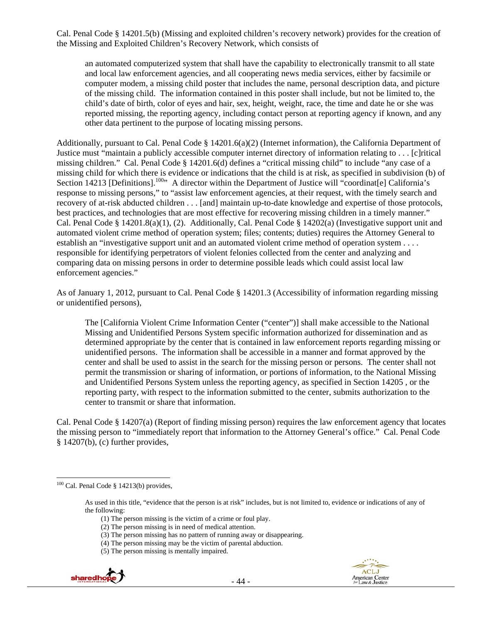Cal. Penal Code § 14201.5(b) (Missing and exploited children's recovery network) provides for the creation of the Missing and Exploited Children's Recovery Network, which consists of

an automated computerized system that shall have the capability to electronically transmit to all state and local law enforcement agencies, and all cooperating news media services, either by facsimile or computer modem, a missing child poster that includes the name, personal description data, and picture of the missing child. The information contained in this poster shall include, but not be limited to, the child's date of birth, color of eyes and hair, sex, height, weight, race, the time and date he or she was reported missing, the reporting agency, including contact person at reporting agency if known, and any other data pertinent to the purpose of locating missing persons.

Additionally, pursuant to Cal. Penal Code § 14201.6(a)(2) (Internet information), the California Department of Justice must "maintain a publicly accessible computer internet directory of information relating to ... [c]ritical missing children." Cal. Penal Code § 14201.6(d) defines a "critical missing child" to include "any case of a missing child for which there is evidence or indications that the child is at risk, as specified in subdivision (b) of Section 14213 [Definitions].<sup>100</sup><sup>,</sup> A director within the Department of Justice will "coordinat[e] California's response to missing persons," to "assist law enforcement agencies, at their request, with the timely search and recovery of at-risk abducted children . . . [and] maintain up-to-date knowledge and expertise of those protocols, best practices, and technologies that are most effective for recovering missing children in a timely manner." Cal. Penal Code § 14201.8(a)(1), (2). Additionally, Cal. Penal Code § 14202(a) (Investigative support unit and automated violent crime method of operation system; files; contents; duties) requires the Attorney General to establish an "investigative support unit and an automated violent crime method of operation system . . . . responsible for identifying perpetrators of violent felonies collected from the center and analyzing and comparing data on missing persons in order to determine possible leads which could assist local law enforcement agencies."

As of January 1, 2012, pursuant to Cal. Penal Code § 14201.3 (Accessibility of information regarding missing or unidentified persons),

The [California Violent Crime Information Center ("center")] shall make accessible to the National Missing and Unidentified Persons System specific information authorized for dissemination and as determined appropriate by the center that is contained in law enforcement reports regarding missing or unidentified persons. The information shall be accessible in a manner and format approved by the center and shall be used to assist in the search for the missing person or persons. The center shall not permit the transmission or sharing of information, or portions of information, to the National Missing and Unidentified Persons System unless the reporting agency, as specified in Section 14205 , or the reporting party, with respect to the information submitted to the center, submits authorization to the center to transmit or share that information.

Cal. Penal Code § 14207(a) (Report of finding missing person) requires the law enforcement agency that locates the missing person to "immediately report that information to the Attorney General's office." Cal. Penal Code § 14207(b), (c) further provides,

 <sup>(5)</sup> The person missing is mentally impaired.





  $100$  Cal. Penal Code § 14213(b) provides,

As used in this title, "evidence that the person is at risk" includes, but is not limited to, evidence or indications of any of the following:

 <sup>(1)</sup> The person missing is the victim of a crime or foul play.

 <sup>(2)</sup> The person missing is in need of medical attention.

 <sup>(3)</sup> The person missing has no pattern of running away or disappearing.

 <sup>(4)</sup> The person missing may be the victim of parental abduction.